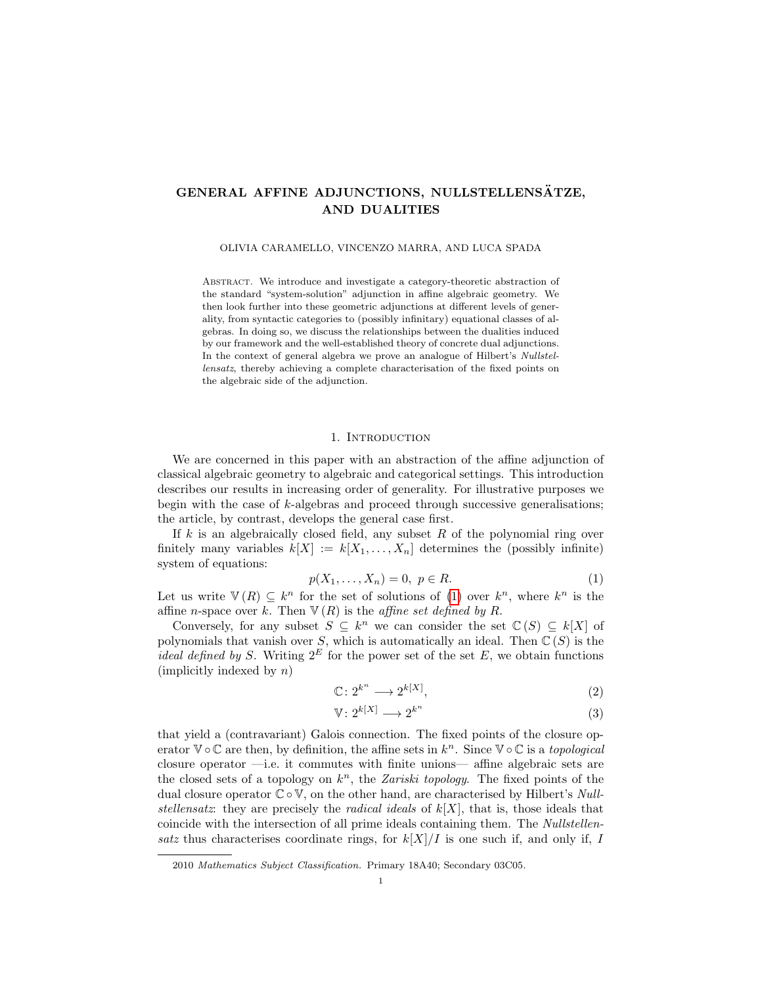# GENERAL AFFINE ADJUNCTIONS, NULLSTELLENSÄTZE, AND DUALITIES

OLIVIA CARAMELLO, VINCENZO MARRA, AND LUCA SPADA

Abstract. We introduce and investigate a category-theoretic abstraction of the standard "system-solution" adjunction in affine algebraic geometry. We then look further into these geometric adjunctions at different levels of generality, from syntactic categories to (possibly infinitary) equational classes of algebras. In doing so, we discuss the relationships between the dualities induced by our framework and the well-established theory of concrete dual adjunctions. In the context of general algebra we prove an analogue of Hilbert's Nullstellensatz, thereby achieving a complete characterisation of the fixed points on the algebraic side of the adjunction.

## 1. INTRODUCTION

We are concerned in this paper with an abstraction of the affine adjunction of classical algebraic geometry to algebraic and categorical settings. This introduction describes our results in increasing order of generality. For illustrative purposes we begin with the case of k-algebras and proceed through successive generalisations; the article, by contrast, develops the general case first.

If  $k$  is an algebraically closed field, any subset  $R$  of the polynomial ring over finitely many variables  $k[X] := k[X_1, \ldots, X_n]$  determines the (possibly infinite) system of equations:

<span id="page-0-0"></span>
$$
p(X_1, \ldots, X_n) = 0, \ p \in R. \tag{1}
$$

Let us write  $\mathbb{V}(R) \subseteq k^n$  for the set of solutions of [\(1\)](#page-0-0) over  $k^n$ , where  $k^n$  is the affine *n*-space over k. Then  $\nabla(R)$  is the *affine set defined by R*.

Conversely, for any subset  $S \subseteq k^n$  we can consider the set  $\mathbb{C}(S) \subseteq k[X]$  of polynomials that vanish over S, which is automatically an ideal. Then  $\mathbb{C}(S)$  is the *ideal defined by S.* Writing  $2^E$  for the power set of the set E, we obtain functions  $(\text{implicitly indexed by } n)$ 

<span id="page-0-1"></span>
$$
\mathbb{C} \colon 2^{k^n} \longrightarrow 2^{k[X]},\tag{2}
$$

<span id="page-0-2"></span>
$$
\mathbb{V}: 2^{k[X]} \longrightarrow 2^{k^n} \tag{3}
$$

that yield a (contravariant) Galois connection. The fixed points of the closure operator  $\mathbb{V} \circ \mathbb{C}$  are then, by definition, the affine sets in  $k^n$ . Since  $\mathbb{V} \circ \mathbb{C}$  is a topological closure operator —i.e. it commutes with finite unions— affine algebraic sets are the closed sets of a topology on  $k<sup>n</sup>$ , the Zariski topology. The fixed points of the dual closure operator  $\mathbb{C} \circ \mathbb{V}$ , on the other hand, are characterised by Hilbert's Nullstellensatz: they are precisely the *radical ideals* of  $k[X]$ , that is, those ideals that coincide with the intersection of all prime ideals containing them. The Nullstellensatz thus characterises coordinate rings, for  $k[X]/I$  is one such if, and only if, I

<sup>2010</sup> Mathematics Subject Classification. Primary 18A40; Secondary 03C05.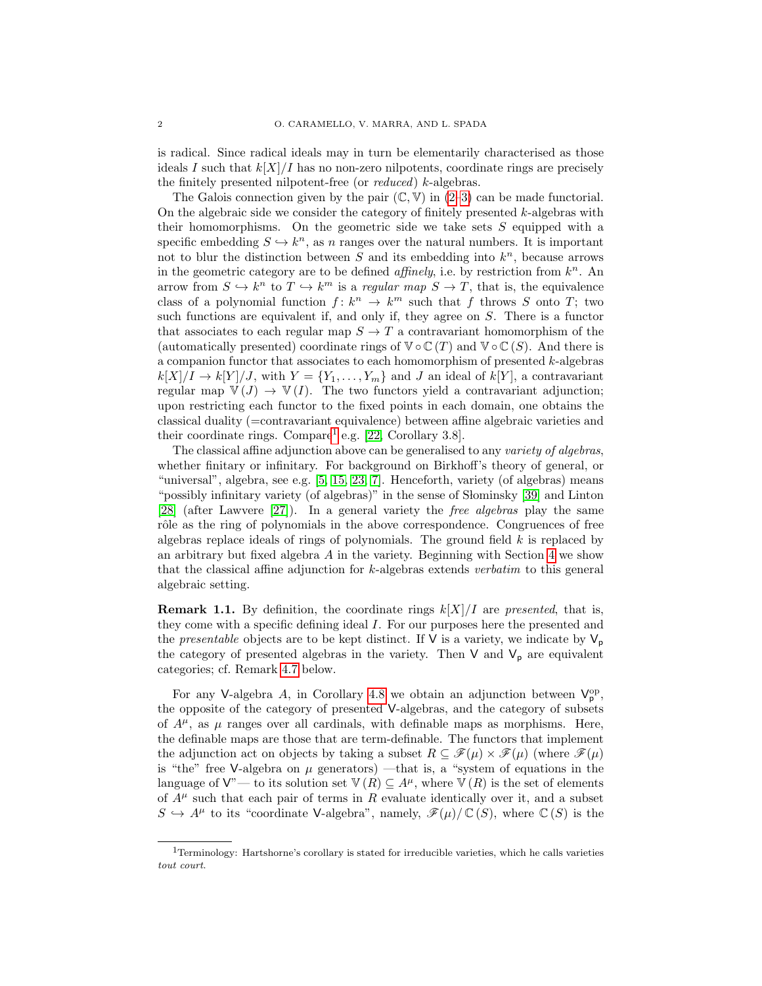is radical. Since radical ideals may in turn be elementarily characterised as those ideals I such that  $k[X]/I$  has no non-zero nilpotents, coordinate rings are precisely the finitely presented nilpotent-free (or reduced) k-algebras.

The Galois connection given by the pair  $(\mathbb{C}, \mathbb{V})$  in  $(2-3)$  $(2-3)$  can be made functorial. On the algebraic side we consider the category of finitely presented  $k$ -algebras with their homomorphisms. On the geometric side we take sets  $S$  equipped with a specific embedding  $S \hookrightarrow k^n$ , as n ranges over the natural numbers. It is important not to blur the distinction between  $S$  and its embedding into  $k<sup>n</sup>$ , because arrows in the geometric category are to be defined *affinely*, i.e. by restriction from  $k<sup>n</sup>$ . An arrow from  $S \hookrightarrow k^n$  to  $T \hookrightarrow k^m$  is a regular map  $S \to T$ , that is, the equivalence class of a polynomial function  $f: k^n \to k^m$  such that f throws S onto T; two such functions are equivalent if, and only if, they agree on S. There is a functor that associates to each regular map  $S \to T$  a contravariant homomorphism of the (automatically presented) coordinate rings of  $\mathbb{V} \circ \mathbb{C}(T)$  and  $\mathbb{V} \circ \mathbb{C}(S)$ . And there is a companion functor that associates to each homomorphism of presented  $k$ -algebras  $k[X]/I \to k[Y]/J$ , with  $Y = \{Y_1, \ldots, Y_m\}$  and J an ideal of  $k[Y]$ , a contravariant regular map  $\mathbb{V}(J) \to \mathbb{V}(I)$ . The two functors yield a contravariant adjunction; upon restricting each functor to the fixed points in each domain, one obtains the classical duality (=contravariant equivalence) between affine algebraic varieties and their coordinate rings. Compare<sup>[1](#page-1-0)</sup> e.g.  $[22,$  Corollary 3.8.

The classical affine adjunction above can be generalised to any variety of algebras, whether finitary or infinitary. For background on Birkhoff's theory of general, or "universal", algebra, see e.g. [\[5,](#page-32-1) [15,](#page-32-2) [23,](#page-32-3) [7\]](#page-32-4). Henceforth, variety (of algebras) means "possibly infinitary variety (of algebras)" in the sense of Słominsky [\[39\]](#page-33-0) and Linton [\[28\]](#page-32-5) (after Lawvere [\[27\]](#page-32-6)). In a general variety the free algebras play the same rôle as the ring of polynomials in the above correspondence. Congruences of free algebras replace ideals of rings of polynomials. The ground field  $k$  is replaced by an arbitrary but fixed algebra  $A$  in the variety. Beginning with Section [4](#page-14-0) we show that the classical affine adjunction for k-algebras extends verbatim to this general algebraic setting.

**Remark 1.1.** By definition, the coordinate rings  $k[X]/I$  are presented, that is, they come with a specific defining ideal I. For our purposes here the presented and the *presentable* objects are to be kept distinct. If  $V$  is a variety, we indicate by  $V_p$ the category of presented algebras in the variety. Then  $V$  and  $V_p$  are equivalent categories; cf. Remark [4.7](#page-18-0) below.

For any V-algebra A, in Corollary [4.8](#page-18-1) we obtain an adjunction between  $V_p^{\rm op}$ , the opposite of the category of presented V-algebras, and the category of subsets of  $A^{\mu}$ , as  $\mu$  ranges over all cardinals, with definable maps as morphisms. Here, the definable maps are those that are term-definable. The functors that implement the adjunction act on objects by taking a subset  $R \subseteq \mathscr{F}(\mu) \times \mathscr{F}(\mu)$  (where  $\mathscr{F}(\mu)$ ) is "the" free V-algebra on  $\mu$  generators) —that is, a "system of equations in the language of  $V''$ — to its solution set  $V(R) \subseteq A^{\mu}$ , where  $V(R)$  is the set of elements of  $A^{\mu}$  such that each pair of terms in R evaluate identically over it, and a subset  $S \hookrightarrow A^{\mu}$  to its "coordinate V-algebra", namely,  $\mathscr{F}(\mu)/\mathbb{C}(S)$ , where  $\mathbb{C}(S)$  is the

<span id="page-1-0"></span><sup>1</sup>Terminology: Hartshorne's corollary is stated for irreducible varieties, which he calls varieties tout court.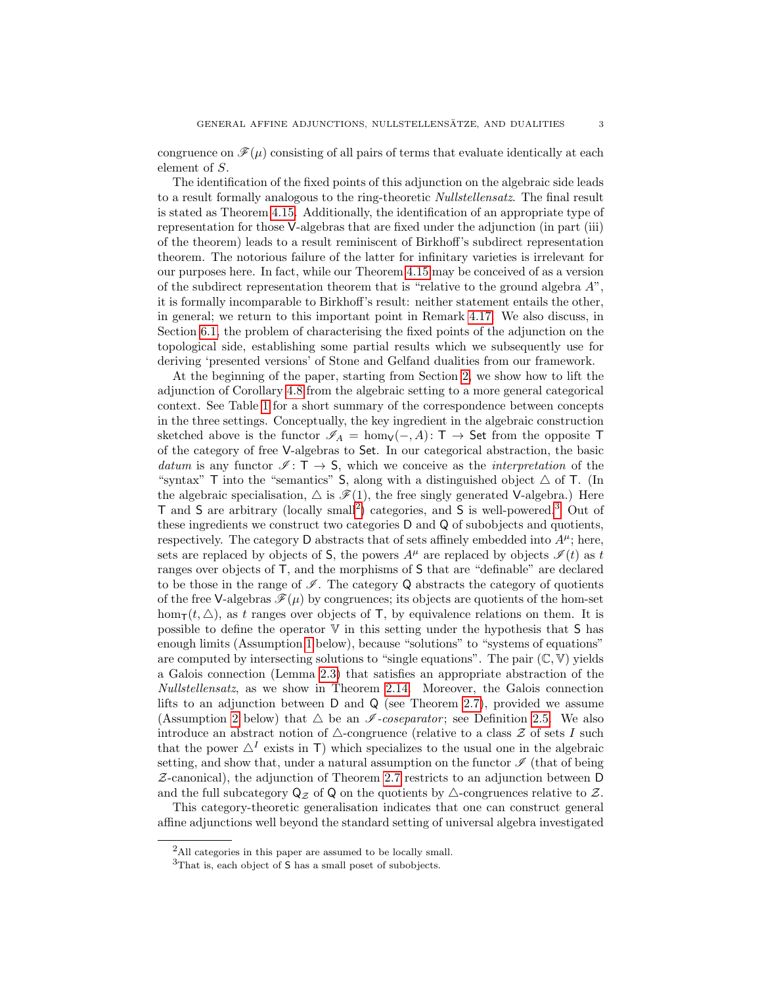congruence on  $\mathscr{F}(\mu)$  consisting of all pairs of terms that evaluate identically at each element of S.

The identification of the fixed points of this adjunction on the algebraic side leads to a result formally analogous to the ring-theoretic *Nullstellensatz*. The final result is stated as Theorem [4.15.](#page-21-0) Additionally, the identification of an appropriate type of representation for those V-algebras that are fixed under the adjunction (in part (iii) of the theorem) leads to a result reminiscent of Birkhoff's subdirect representation theorem. The notorious failure of the latter for infinitary varieties is irrelevant for our purposes here. In fact, while our Theorem [4.15](#page-21-0) may be conceived of as a version of the subdirect representation theorem that is "relative to the ground algebra  $A$ ", it is formally incomparable to Birkhoff's result: neither statement entails the other, in general; we return to this important point in Remark [4.17.](#page-22-0) We also discuss, in Section [6.1,](#page-26-0) the problem of characterising the fixed points of the adjunction on the topological side, establishing some partial results which we subsequently use for deriving 'presented versions' of Stone and Gelfand dualities from our framework.

At the beginning of the paper, starting from Section [2,](#page-4-0) we show how to lift the adjunction of Corollary [4.8](#page-18-1) from the algebraic setting to a more general categorical context. See Table [1](#page-3-0) for a short summary of the correspondence between concepts in the three settings. Conceptually, the key ingredient in the algebraic construction sketched above is the functor  $\mathscr{I}_A = \text{hom}_{\mathsf{V}}(-, A)$ : T  $\rightarrow$  Set from the opposite T of the category of free V-algebras to Set. In our categorical abstraction, the basic datum is any functor  $\mathscr{I} : \mathsf{T} \to \mathsf{S}$ , which we conceive as the *interpretation* of the "syntax"  $\top$  into the "semantics" S, along with a distinguished object  $\triangle$  of  $\top$ . (In the algebraic specialisation,  $\Delta$  is  $\mathscr{F}(1)$ , the free singly generated V-algebra.) Here T and S are arbitrary (locally small<sup>[2](#page-2-0)</sup>) categories, and S is well-powered.<sup>[3](#page-2-1)</sup> Out of these ingredients we construct two categories D and Q of subobjects and quotients, respectively. The category D abstracts that of sets affinely embedded into  $A^{\mu}$ ; here, sets are replaced by objects of S, the powers  $A^{\mu}$  are replaced by objects  $\mathcal{I}(t)$  as t ranges over objects of T, and the morphisms of S that are "definable" are declared to be those in the range of  $\mathscr I$ . The category Q abstracts the category of quotients of the free V-algebras  $\mathcal{F}(\mu)$  by congruences; its objects are quotients of the hom-set hom<sub>T</sub> $(t, \triangle)$ , as t ranges over objects of T, by equivalence relations on them. It is possible to define the operator V in this setting under the hypothesis that S has enough limits (Assumption [1](#page-4-1) below), because "solutions" to "systems of equations" are computed by intersecting solutions to "single equations". The pair  $(\mathbb{C}, \mathbb{V})$  yields a Galois connection (Lemma [2.3\)](#page-5-0) that satisfies an appropriate abstraction of the Nullstellensatz, as we show in Theorem [2.14.](#page-10-0) Moreover, the Galois connection lifts to an adjunction between  $D$  and  $Q$  (see Theorem [2.7\)](#page-7-0), provided we assume (Assumption [2](#page-7-1) below) that  $\triangle$  be an  $\mathscr I$ -coseparator; see Definition [2.5.](#page-7-2) We also introduce an abstract notion of  $\triangle$ -congruence (relative to a class  $\mathcal Z$  of sets I such that the power  $\Delta^I$  exists in T) which specializes to the usual one in the algebraic setting, and show that, under a natural assumption on the functor  $\mathscr I$  (that of being  $Z$ -canonical), the adjunction of Theorem [2.7](#page-7-0) restricts to an adjunction between D and the full subcategory  $\mathsf{Q}_{\mathcal{Z}}$  of  $\mathsf{Q}$  on the quotients by  $\triangle$ -congruences relative to  $\mathcal{Z}$ .

This category-theoretic generalisation indicates that one can construct general affine adjunctions well beyond the standard setting of universal algebra investigated

<span id="page-2-0"></span><sup>&</sup>lt;sup>2</sup>All categories in this paper are assumed to be locally small.

<span id="page-2-1"></span><sup>3</sup>That is, each object of S has a small poset of subobjects.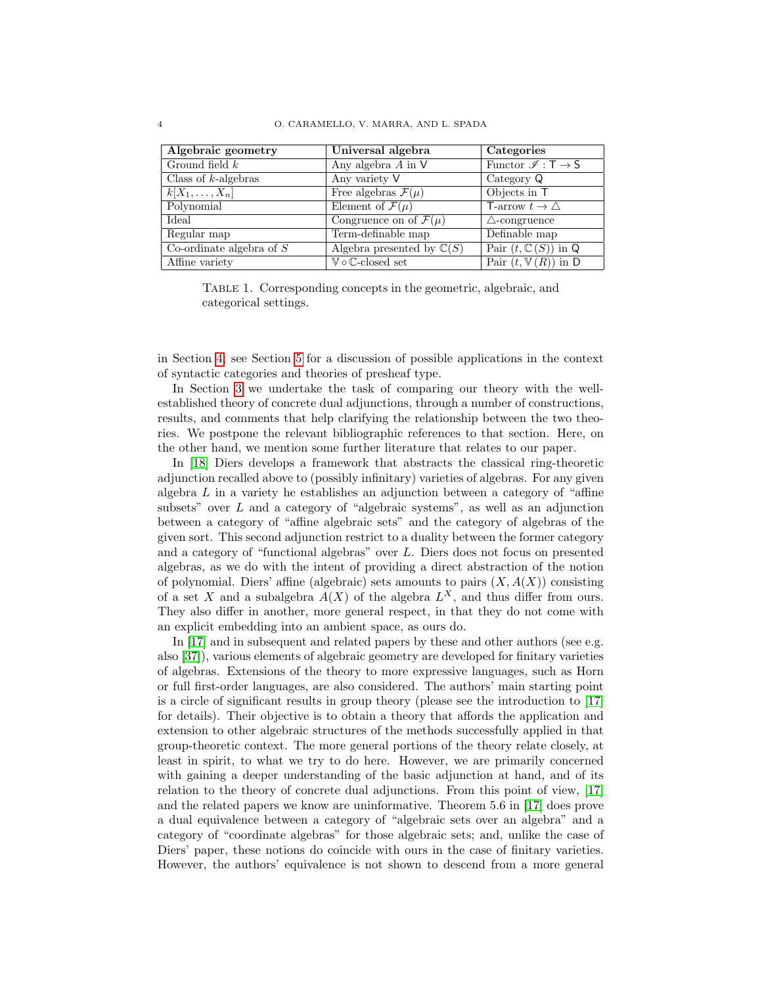| Algebraic geometry              | Universal algebra                                 | Categories                                       |
|---------------------------------|---------------------------------------------------|--------------------------------------------------|
| Ground field $k$                | Any algebra $A$ in $V$                            | Functor $\mathscr{I}: \mathsf{T} \to \mathsf{S}$ |
| Class of $k$ -algebras          | Any variety V                                     | Category Q                                       |
| $k X_1,\ldots,X_n $             | Free algebras $\mathcal{F}(\mu)$                  | Objects in T                                     |
| Polynomial                      | Element of $\mathcal{F}(\mu)$                     | T-arrow $t \to \triangle$                        |
| Ideal                           | Congruence on of $\mathcal{F}(\mu)$               | $\triangle$ -congruence                          |
| $\overline{\text{Regular map}}$ | Term-definable map                                | Definable map                                    |
| Co-ordinate algebra of $S$      | Algebra presented by $\mathbb{C}(S)$              | Pair $(t, \mathbb{C}(S))$ in Q                   |
| Affine variety                  | $\mathbb {V} \circ \mathbb {C}\text{-closed set}$ | Pair $(t, \mathbb{V}(R))$ in D                   |

<span id="page-3-0"></span>

|                       | TABLE 1. Corresponding concepts in the geometric, algebraic, and |  |  |  |
|-----------------------|------------------------------------------------------------------|--|--|--|
| categorical settings. |                                                                  |  |  |  |

in Section [4;](#page-14-0) see Section [5](#page-23-0) for a discussion of possible applications in the context of syntactic categories and theories of presheaf type.

In Section [3](#page-11-0) we undertake the task of comparing our theory with the wellestablished theory of concrete dual adjunctions, through a number of constructions, results, and comments that help clarifying the relationship between the two theories. We postpone the relevant bibliographic references to that section. Here, on the other hand, we mention some further literature that relates to our paper.

In [\[18\]](#page-32-7) Diers develops a framework that abstracts the classical ring-theoretic adjunction recalled above to (possibly infinitary) varieties of algebras. For any given algebra  $L$  in a variety he establishes an adjunction between a category of "affine" subsets" over  $L$  and a category of "algebraic systems", as well as an adjunction between a category of "affine algebraic sets" and the category of algebras of the given sort. This second adjunction restrict to a duality between the former category and a category of "functional algebras" over L. Diers does not focus on presented algebras, as we do with the intent of providing a direct abstraction of the notion of polynomial. Diers' affine (algebraic) sets amounts to pairs  $(X, A(X))$  consisting of a set X and a subalgebra  $A(X)$  of the algebra  $L^X$ , and thus differ from ours. They also differ in another, more general respect, in that they do not come with an explicit embedding into an ambient space, as ours do.

In [\[17\]](#page-32-8) and in subsequent and related papers by these and other authors (see e.g. also [\[37\]](#page-33-1)), various elements of algebraic geometry are developed for finitary varieties of algebras. Extensions of the theory to more expressive languages, such as Horn or full first-order languages, are also considered. The authors' main starting point is a circle of significant results in group theory (please see the introduction to [\[17\]](#page-32-8) for details). Their objective is to obtain a theory that affords the application and extension to other algebraic structures of the methods successfully applied in that group-theoretic context. The more general portions of the theory relate closely, at least in spirit, to what we try to do here. However, we are primarily concerned with gaining a deeper understanding of the basic adjunction at hand, and of its relation to the theory of concrete dual adjunctions. From this point of view, [\[17\]](#page-32-8) and the related papers we know are uninformative. Theorem 5.6 in [\[17\]](#page-32-8) does prove a dual equivalence between a category of "algebraic sets over an algebra" and a category of "coordinate algebras" for those algebraic sets; and, unlike the case of Diers' paper, these notions do coincide with ours in the case of finitary varieties. However, the authors' equivalence is not shown to descend from a more general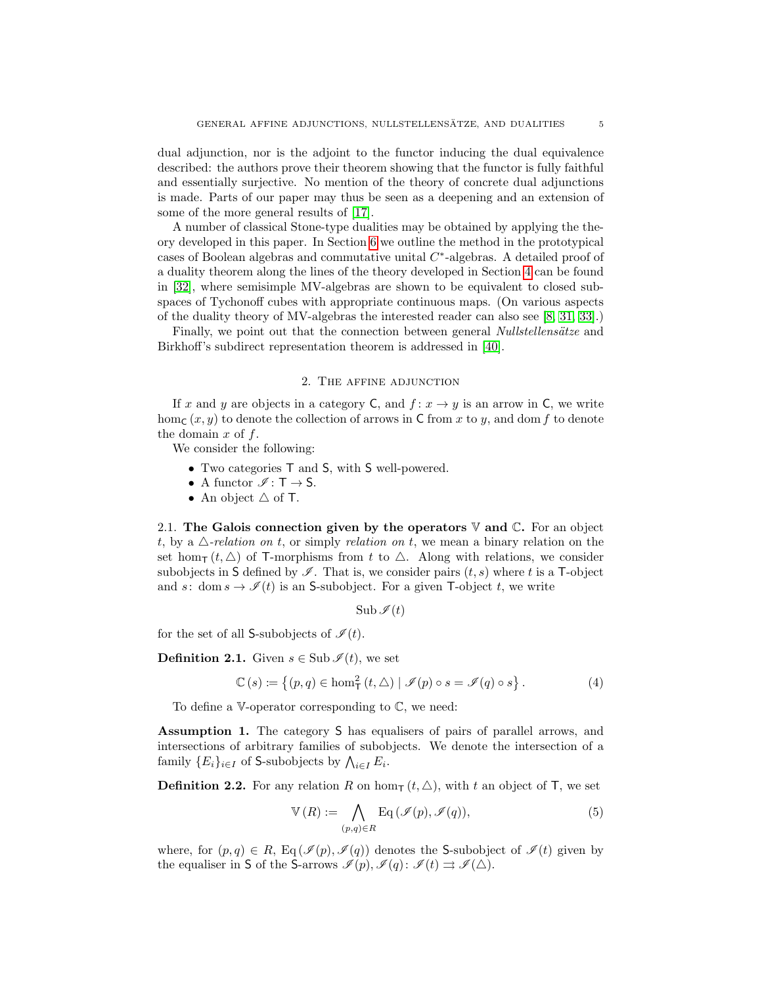dual adjunction, nor is the adjoint to the functor inducing the dual equivalence described: the authors prove their theorem showing that the functor is fully faithful and essentially surjective. No mention of the theory of concrete dual adjunctions is made. Parts of our paper may thus be seen as a deepening and an extension of some of the more general results of [\[17\]](#page-32-8).

A number of classical Stone-type dualities may be obtained by applying the theory developed in this paper. In Section [6](#page-26-1) we outline the method in the prototypical cases of Boolean algebras and commutative unital  $C^*$ -algebras. A detailed proof of a duality theorem along the lines of the theory developed in Section [4](#page-14-0) can be found in [\[32\]](#page-33-2), where semisimple MV-algebras are shown to be equivalent to closed subspaces of Tychonoff cubes with appropriate continuous maps. (On various aspects of the duality theory of MV-algebras the interested reader can also see [\[8,](#page-32-9) [31,](#page-33-3) [33\]](#page-33-4).)

Finally, we point out that the connection between general *Nullstellensätze* and Birkhoff's subdirect representation theorem is addressed in [\[40\]](#page-33-5).

### 2. The affine adjunction

<span id="page-4-0"></span>If x and y are objects in a category C, and  $f: x \to y$  is an arrow in C, we write hom<sub>C</sub>  $(x, y)$  to denote the collection of arrows in C from x to y, and dom f to denote the domain  $x$  of  $f$ .

We consider the following:

- Two categories T and S, with S well-powered.
- A functor  $\mathcal{I}: T \to S$ .
- An object  $\triangle$  of T.

2.1. The Galois connection given by the operators  $\nabla$  and  $\mathbb{C}$ . For an object t, by a  $\triangle$ -relation on t, or simply relation on t, we mean a binary relation on the set hom<sub>T</sub>  $(t, \triangle)$  of T-morphisms from t to  $\triangle$ . Along with relations, we consider subobjects in S defined by  $\mathscr I$ . That is, we consider pairs  $(t, s)$  where t is a T-object and s: dom  $s \to \mathscr{I}(t)$  is an S-subobject. For a given T-object t, we write

<span id="page-4-3"></span>
$$
\operatorname{Sub}\mathscr{I}(t)
$$

for the set of all S-subobjects of  $\mathcal{I}(t)$ .

<span id="page-4-4"></span>**Definition 2.1.** Given  $s \in \text{Sub }\mathscr{I}(t)$ , we set

$$
\mathbb{C}(s) \coloneqq \left\{ (p,q) \in \text{hom}^2_{\mathsf{T}}(t,\Delta) \mid \mathscr{I}(p) \circ s = \mathscr{I}(q) \circ s \right\}. \tag{4}
$$

To define a V-operator corresponding to C, we need:

<span id="page-4-1"></span>Assumption 1. The category S has equalisers of pairs of parallel arrows, and intersections of arbitrary families of subobjects. We denote the intersection of a family  $\{E_i\}_{i\in I}$  of S-subobjects by  $\bigwedge_{i\in I} E_i$ .

**Definition 2.2.** For any relation R on hom<sub>T</sub>  $(t, \triangle)$ , with t an object of T, we set

<span id="page-4-2"></span>
$$
\mathbb{V}(R) := \bigwedge_{(p,q)\in R} \text{Eq}(\mathscr{I}(p), \mathscr{I}(q)),\tag{5}
$$

where, for  $(p, q) \in R$ , Eq $(\mathcal{I}(p), \mathcal{I}(q))$  denotes the S-subobject of  $\mathcal{I}(t)$  given by the equaliser in S of the S-arrows  $\mathscr{I}(p), \mathscr{I}(q) : \mathscr{I}(t) \rightrightarrows \mathscr{I}(\triangle)$ .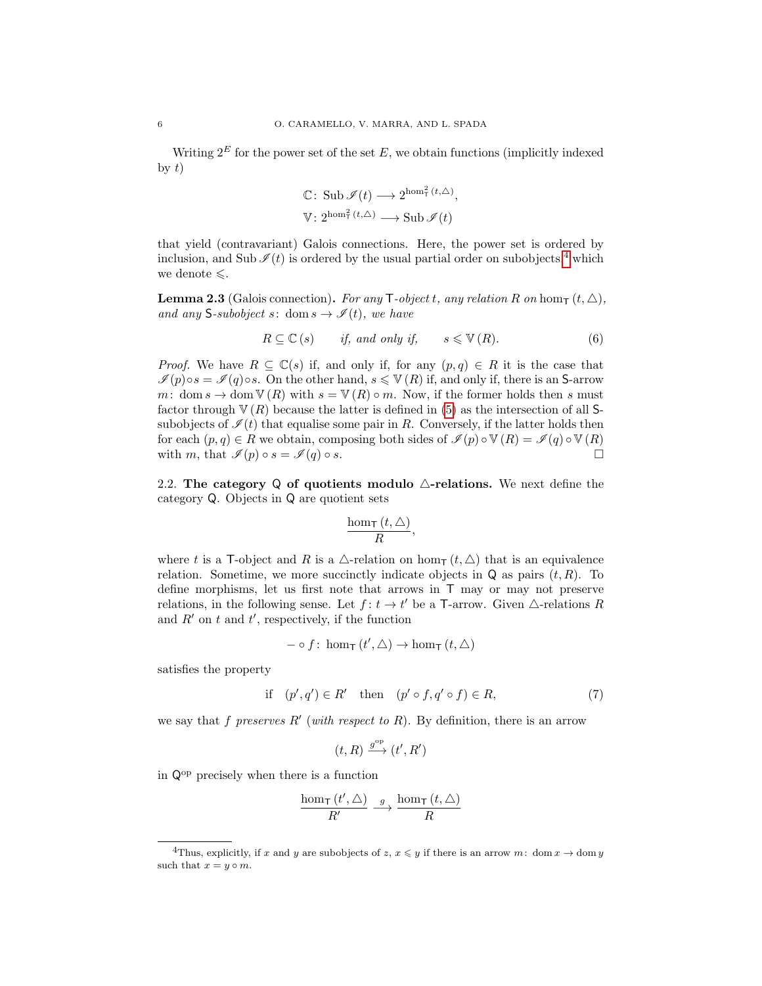Writing  $2^E$  for the power set of the set E, we obtain functions (implicitly indexed by  $t$ )

$$
\mathbb{C}: \operatorname{Sub} \mathscr{I}(t) \longrightarrow 2^{\operatorname{hom}_{\mathsf{T}}^2(t,\triangle)},
$$
  

$$
\mathbb{V}: 2^{\operatorname{hom}_{\mathsf{T}}^2(t,\triangle)} \longrightarrow \operatorname{Sub} \mathscr{I}(t)
$$

that yield (contravariant) Galois connections. Here, the power set is ordered by inclusion, and Sub  $\mathcal{I}(t)$  is ordered by the usual partial order on subobjects,<sup>[4](#page-5-1)</sup> which we denote  $\leq$ .

<span id="page-5-0"></span>**Lemma 2.3** (Galois connection). For any T-object t, any relation R on hom<sub>T</sub>  $(t, \triangle)$ , and any S-subobject s: dom  $s \to \mathscr{I}(t)$ , we have

$$
R \subseteq \mathbb{C} \left( s \right) \qquad \text{if, and only if,} \qquad s \leqslant \mathbb{V} \left( R \right). \tag{6}
$$

*Proof.* We have  $R \subseteq \mathbb{C}(s)$  if, and only if, for any  $(p,q) \in R$  it is the case that  $\mathcal{I}(p) \circ s = \mathcal{I}(q) \circ s$ . On the other hand,  $s \leqslant V(R)$  if, and only if, there is an **S**-arrow m: dom  $s \to$  dom  $\mathbb{V}(R)$  with  $s = \mathbb{V}(R) \circ m$ . Now, if the former holds then s must factor through  $V(R)$  because the latter is defined in [\(5\)](#page-4-2) as the intersection of all Ssubobjects of  $\mathcal{I}(t)$  that equalise some pair in R. Conversely, if the latter holds then for each  $(p, q) \in R$  we obtain, composing both sides of  $\mathcal{I}(p) \circ \mathbb{V}(R) = \mathcal{I}(q) \circ \mathbb{V}(R)$ with m, that  $\mathscr{I}(p) \circ s = \mathscr{I}(q) \circ s$ .

<span id="page-5-4"></span>2.2. The category Q of quotients modulo  $\triangle$ -relations. We next define the category Q. Objects in Q are quotient sets

<span id="page-5-3"></span>
$$
\frac{\hom_{\mathsf{T}}\left( t,\triangle\right) }{R},
$$

where t is a T-object and R is a  $\triangle$ -relation on hom<sub>T</sub>  $(t, \triangle)$  that is an equivalence relation. Sometime, we more succinctly indicate objects in  $Q$  as pairs  $(t, R)$ . To define morphisms, let us first note that arrows in T may or may not preserve relations, in the following sense. Let  $f: t \to t'$  be a T-arrow. Given  $\triangle$ -relations R and  $R'$  on t and  $t'$ , respectively, if the function

$$
- \circ f : \text{hom}_{\mathsf{T}} (t', \triangle) \to \text{hom}_{\mathsf{T}} (t, \triangle)
$$

satisfies the property

$$
\text{if} \quad (p', q') \in R' \quad \text{then} \quad (p' \circ f, q' \circ f) \in R,\tag{7}
$$

we say that f preserves  $R'$  (with respect to R). By definition, there is an arrow

<span id="page-5-2"></span>
$$
(t,R) \xrightarrow{g^{\text{op}}} (t',R')
$$

in Qop precisely when there is a function

$$
\frac{\hom_{\mathsf{T}}\left(t',\triangle\right)}{R'}\stackrel{g}{\longrightarrow}\frac{\hom_{\mathsf{T}}\left(t,\triangle\right)}{R}
$$

<span id="page-5-1"></span><sup>&</sup>lt;sup>4</sup>Thus, explicitly, if x and y are subobjects of z,  $x \leq y$  if there is an arrow m: dom  $x \to$  dom y such that  $x = y \circ m$ .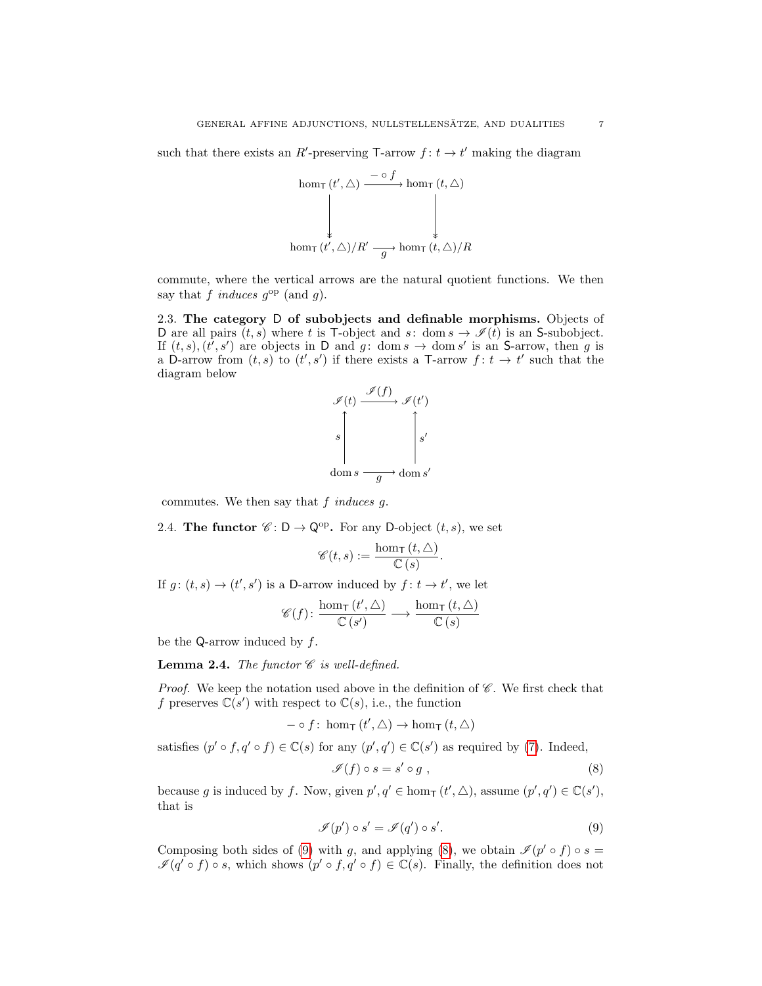such that there exists an R'-preserving T-arrow  $f: t \to t'$  making the diagram

$$
\operatorname{hom}_{\mathsf{T}}(t', \triangle) \xrightarrow{\phantom{a}\frown\quad f \to \phi} \operatorname{hom}_{\mathsf{T}}(t, \triangle)
$$
\n
$$
\downarrow \qquad \qquad \downarrow \qquad \qquad \downarrow
$$
\n
$$
\operatorname{hom}_{\mathsf{T}}(t', \triangle)/R' \xrightarrow{\phantom{a}\frown \phi} \operatorname{hom}_{\mathsf{T}}(t, \triangle)/R
$$

commute, where the vertical arrows are the natural quotient functions. We then say that f induces  $g^{\rm op}$  (and g).

<span id="page-6-2"></span>2.3. The category D of subobjects and definable morphisms. Objects of D are all pairs  $(t, s)$  where t is T-object and s: dom  $s \to \mathscr{I}(t)$  is an S-subobject. If  $(t, s)$ ,  $(t', s')$  are objects in D and g: dom  $s \to \text{dom } s'$  is an S-arrow, then g is a D-arrow from  $(t, s)$  to  $(t', s')$  if there exists a T-arrow  $f: t \to t'$  such that the diagram below



commutes. We then say that  $f$  induces  $g$ .

2.4. The functor  $\mathscr{C} : \mathsf{D} \to \mathsf{Q}^{\mathrm{op}}$ . For any D-object  $(t, s)$ , we set

$$
\mathscr{C}(t,s) := \frac{\hom_{\mathsf{T}}(t,\triangle)}{\mathbb{C}(s)}.
$$

If  $g: (t, s) \to (t', s')$  is a D-arrow induced by  $f: t \to t'$ , we let

$$
\mathscr{C}(f) \colon \frac{\hom_{\mathsf{T}}(t', \triangle)}{\mathbb{C}(s')} \longrightarrow \frac{\hom_{\mathsf{T}}(t, \triangle)}{\mathbb{C}(s)}
$$

be the Q-arrow induced by  $f$ .

**Lemma 2.4.** The functor  $\mathscr C$  is well-defined.

*Proof.* We keep the notation used above in the definition of  $\mathscr{C}$ . We first check that f preserves  $\mathbb{C}(s')$  with respect to  $\mathbb{C}(s)$ , i.e., the function

$$
- \circ f : \text{hom}_{\mathsf{T}}(t', \triangle) \to \text{hom}_{\mathsf{T}}(t, \triangle)
$$

satisfies  $(p' \circ f, q' \circ f) \in \mathbb{C}(s)$  for any  $(p', q') \in \mathbb{C}(s')$  as required by [\(7\)](#page-5-2). Indeed,

<span id="page-6-1"></span><span id="page-6-0"></span>
$$
\mathscr{I}(f) \circ s = s' \circ g , \qquad (8)
$$

because g is induced by f. Now, given  $p', q' \in \text{hom}_{\mathsf{T}}(t', \triangle)$ , assume  $(p', q') \in \mathbb{C}(s')$ , that is

$$
\mathcal{I}(p') \circ s' = \mathcal{I}(q') \circ s'.\tag{9}
$$

Composing both sides of [\(9\)](#page-6-0) with g, and applying [\(8\)](#page-6-1), we obtain  $\mathcal{I}(p' \circ f) \circ s =$  $\mathscr{I}(q' \circ f) \circ s$ , which shows  $(p' \circ f, q' \circ f) \in \mathbb{C}(s)$ . Finally, the definition does not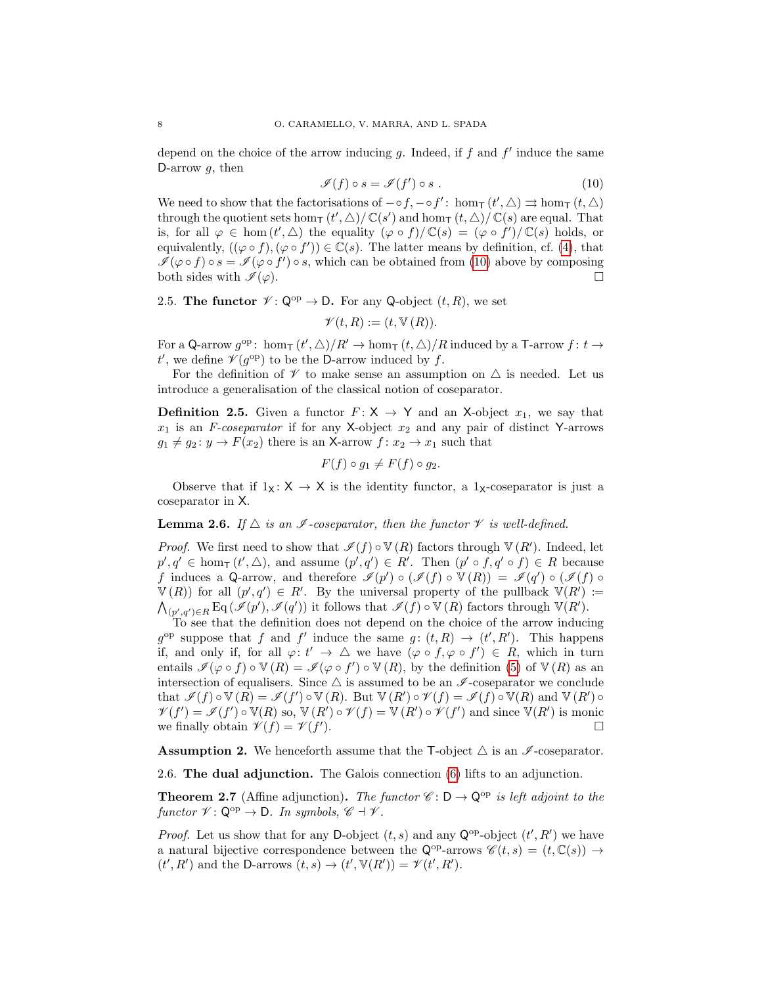depend on the choice of the arrow inducing  $g$ . Indeed, if  $f$  and  $f'$  induce the same D-arrow  $g$ , then

<span id="page-7-3"></span>
$$
\mathcal{I}(f) \circ s = \mathcal{I}(f') \circ s . \tag{10}
$$

We need to show that the factorisations of  $-\circ f, -\circ f'$ : hom<sub>T</sub>  $(t', \triangle) \rightrightarrows \text{hom}_{\mathsf{T}}(t, \triangle)$ through the quotient sets hom<sub>T</sub>  $(t', \triangle)/ \mathbb{C}(s')$  and hom<sub>T</sub>  $(t, \triangle)/ \mathbb{C}(s)$  are equal. That is, for all  $\varphi \in \text{hom}(t', \triangle)$  the equality  $(\varphi \circ f)/\mathbb{C}(s) = (\varphi \circ f')/\mathbb{C}(s)$  holds, or equivalently,  $((\varphi \circ f), (\varphi \circ f')) \in \mathbb{C}(s)$ . The latter means by definition, cf. [\(4\)](#page-4-3), that  $\mathscr{I}(\varphi \circ f) \circ s = \mathscr{I}(\varphi \circ f') \circ s$ , which can be obtained from [\(10\)](#page-7-3) above by composing both sides with  $\mathcal{I}(\varphi)$ .

2.5. The functor  $\mathscr{V} : \mathbb{Q}^{op} \to \mathsf{D}$ . For any Q-object  $(t, R)$ , we set

 $\mathscr{V}(t,R) := (t, \mathbb{V}(R)).$ 

For a Q-arrow  $g^{\rm op}$ : hom<sub>T</sub>  $(t', \triangle)/R' \to \text{hom}_{\text{T}}(t, \triangle)/R$  induced by a T-arrow  $f: t \to$  $t'$ , we define  $\mathcal{V}(g^{\text{op}})$  to be the D-arrow induced by f.

For the definition of  $\mathscr V$  to make sense an assumption on  $\triangle$  is needed. Let us introduce a generalisation of the classical notion of coseparator.

<span id="page-7-2"></span>**Definition 2.5.** Given a functor  $F: X \rightarrow Y$  and an X-object  $x_1$ , we say that  $x_1$  is an F-coseparator if for any X-object  $x_2$  and any pair of distinct Y-arrows  $g_1 \neq g_2 : y \to F(x_2)$  there is an X-arrow  $f : x_2 \to x_1$  such that

$$
F(f) \circ g_1 \neq F(f) \circ g_2.
$$

Observe that if  $1_X: X \to X$  is the identity functor, a  $1_X$ -coseparator is just a coseparator in X.

**Lemma 2.6.** If  $\triangle$  is an  $\mathscr{I}$ -coseparator, then the functor  $\mathscr{V}$  is well-defined.

*Proof.* We first need to show that  $\mathcal{I}(f) \circ \mathbb{V}(R)$  factors through  $\mathbb{V}(R')$ . Indeed, let  $p', q' \in \text{hom}_{\mathsf{T}}(t', \triangle)$ , and assume  $(p', q') \in R'$ . Then  $(p' \circ f, q' \circ f) \in R$  because f induces a Q-arrow, and therefore  $\mathscr{I}(p') \circ (\mathscr{I}(f) \circ \mathbb{V}(R)) = \mathscr{I}(q') \circ (\mathscr{I}(f) \circ$  $V(R)$  for all  $(p', q') \in R'$ . By the universal property of the pullback  $V(R') :=$  $\bigwedge_{(p',q')\in R} \mathrm{Eq}\left(\mathscr{I}(p'),\mathscr{I}(q')\right)$  it follows that  $\mathscr{I}(f)\circ\mathbb{V}(R)$  factors through  $\mathbb{V}(R').$ 

To see that the definition does not depend on the choice of the arrow inducing  $g^{\rm op}$  suppose that f and f' induce the same  $g: (t, R) \to (t', R')$ . This happens if, and only if, for all  $\varphi: t' \to \Delta$  we have  $(\varphi \circ f, \varphi \circ f') \in R$ , which in turn entails  $\mathscr{I}(\varphi \circ f) \circ \mathbb{V}(R) = \mathscr{I}(\varphi \circ f') \circ \mathbb{V}(R)$ , by the definition [\(5\)](#page-4-2) of  $\mathbb{V}(R)$  as an intersection of equalisers. Since  $\triangle$  is assumed to be an  $\mathscr I$ -coseparator we conclude that  $\mathscr{I}(f) \circ \mathbb{V}(R) = \mathscr{I}(f') \circ \mathbb{V}(R)$ . But  $\mathbb{V}(R') \circ \mathscr{V}(f) = \mathscr{I}(f) \circ \mathbb{V}(R)$  and  $\mathbb{V}(R') \circ \mathbb{V}(R)$  $\mathscr{V}(f') = \mathscr{I}(f') \circ \mathbb{V}(R)$  so,  $\mathbb{V}(R') \circ \mathscr{V}(f) = \mathbb{V}(R') \circ \mathscr{V}(f')$  and since  $\mathbb{V}(R')$  is monic we finally obtain  $\mathscr{V}(f) = \mathscr{V}(f')$ ).

<span id="page-7-1"></span>**Assumption 2.** We henceforth assume that the T-object  $\triangle$  is an  $\mathscr I$ -coseparator.

2.6. The dual adjunction. The Galois connection [\(6\)](#page-5-3) lifts to an adjunction.

<span id="page-7-0"></span>**Theorem 2.7** (Affine adjunction). The functor  $\mathscr{C} : D \to Q^{\text{op}}$  is left adjoint to the functor  $\mathcal{V}: \mathsf{Q}^{op} \to \mathsf{D}.$  In symbols,  $\mathscr{C} \dashv \mathscr{V}.$ 

*Proof.* Let us show that for any D-object  $(t, s)$  and any  $\mathsf{Q}^{\mathrm{op}}$ -object  $(t', R')$  we have a natural bijective correspondence between the  $\mathsf{Q}^{\mathrm{op}}$ -arrows  $\mathscr{C}(t,s) = (t,\mathbb{C}(s)) \to$  $(t', R')$  and the D-arrows  $(t, s) \rightarrow (t', \mathbb{V}(R')) = \mathcal{V}(t', R').$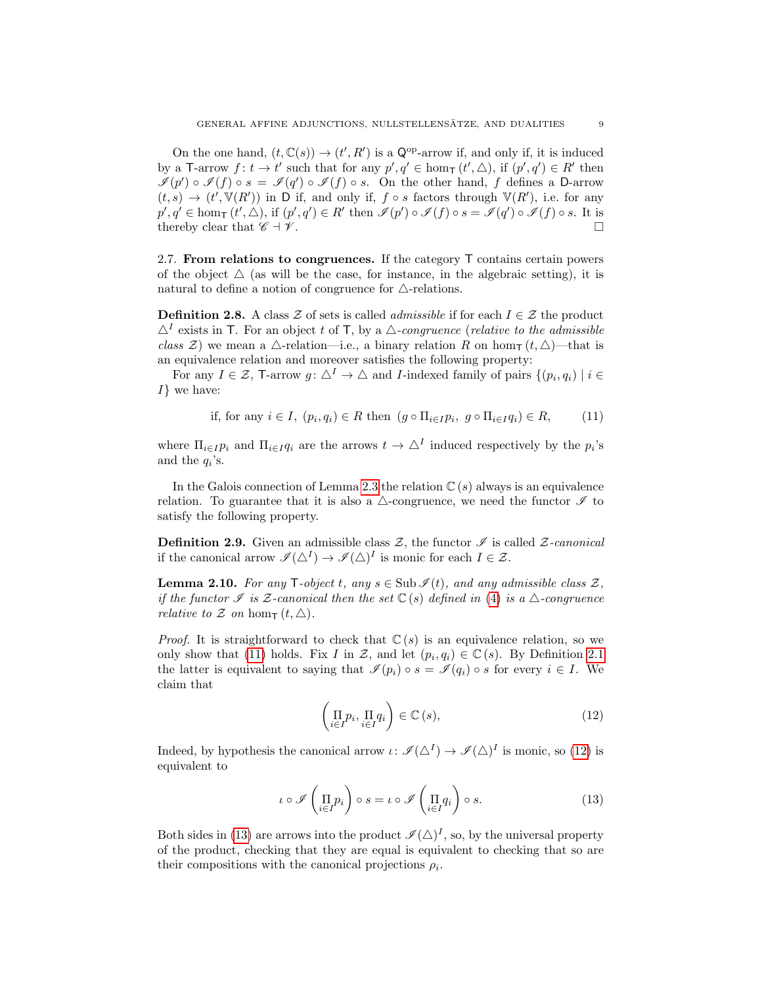On the one hand,  $(t, \mathbb{C}(s)) \to (t', R')$  is a  $\mathbb{Q}^{op}$ -arrow if, and only if, it is induced by a T-arrow  $f: t \to t'$  such that for any  $p', q' \in \text{hom}_{\mathsf{T}}(t', \triangle)$ , if  $(p', q') \in R'$  then  $\mathscr{I}(p') \circ \mathscr{I}(f) \circ s = \mathscr{I}(q') \circ \mathscr{I}(f) \circ s$ . On the other hand, f defines a D-arrow  $(t, s) \rightarrow (t', \mathbb{V}(R'))$  in D if, and only if,  $f \circ s$  factors through  $\mathbb{V}(R')$ , i.e. for any  $p', q' \in \text{hom}_{\mathsf{T}}(t', \triangle), \text{ if } (p', q') \in R' \text{ then } \mathscr{I}(p') \circ \mathscr{I}(f) \circ s = \mathscr{I}(q') \circ \mathscr{I}(f) \circ s.$  It is thereby clear that  $\mathscr{C} \dashv \mathscr{V}$ .

<span id="page-8-4"></span>2.7. From relations to congruences. If the category  $\top$  contains certain powers of the object  $\Delta$  (as will be the case, for instance, in the algebraic setting), it is natural to define a notion of congruence for  $\triangle$ -relations.

**Definition 2.8.** A class Z of sets is called *admissible* if for each  $I \in \mathcal{Z}$  the product  $\Delta^I$  exists in T. For an object t of T, by a  $\Delta$ -congruence (relative to the admissible class  $\mathcal{Z}$ ) we mean a  $\triangle$ -relation—i.e., a binary relation R on hom<sub>T</sub>  $(t, \triangle)$ —that is an equivalence relation and moreover satisfies the following property:

For any  $I \in \mathcal{Z}$ , T-arrow  $g: \triangle^I \to \triangle$  and *I*-indexed family of pairs  $\{(p_i, q_i) \mid i \in \mathcal{Z}\}$  $I\}$  we have:

<span id="page-8-0"></span>if, for any 
$$
i \in I
$$
,  $(p_i, q_i) \in R$  then  $(g \circ \Pi_{i \in I} p_i, g \circ \Pi_{i \in I} q_i) \in R$ ,  $(11)$ 

where  $\Pi_{i\in I}p_i$  and  $\Pi_{i\in I}q_i$  are the arrows  $t\to\Delta^I$  induced respectively by the  $p_i$ 's and the  $q_i$ 's.

In the Galois connection of Lemma [2.3](#page-5-0) the relation  $\mathbb{C}(s)$  always is an equivalence relation. To guarantee that it is also a  $\triangle$ -congruence, we need the functor  $\mathscr I$  to satisfy the following property.

**Definition 2.9.** Given an admissible class  $\mathcal{Z}$ , the functor  $\mathcal{I}$  is called  $\mathcal{Z}$ -canonical if the canonical arrow  $\mathscr{I}(\Delta^I) \to \mathscr{I}(\Delta)^I$  is monic for each  $I \in \mathcal{Z}$ .

<span id="page-8-3"></span>**Lemma 2.10.** For any T-object t, any  $s \in \text{Sub }\mathscr{I}(t)$ , and any admissible class  $\mathscr{Z}$ . if the functor I is Z-canonical then the set  $\mathbb{C}(s)$  defined in [\(4\)](#page-4-3) is a  $\triangle$ -congruence relative to  $\mathcal Z$  on hom $\tau$   $(t, \triangle)$ .

*Proof.* It is straightforward to check that  $\mathbb{C}(s)$  is an equivalence relation, so we only show that [\(11\)](#page-8-0) holds. Fix I in Z, and let  $(p_i, q_i) \in \mathbb{C}(s)$ . By Definition [2.1](#page-4-4) the latter is equivalent to saying that  $\mathscr{I}(p_i) \circ s = \mathscr{I}(q_i) \circ s$  for every  $i \in I$ . We claim that

<span id="page-8-2"></span><span id="page-8-1"></span>
$$
\left(\prod_{i\in I} p_i, \prod_{i\in I} q_i\right) \in \mathbb{C}\left(s\right),\tag{12}
$$

Indeed, by hypothesis the canonical arrow  $\iota \colon \mathscr{I}(\Delta^I) \to \mathscr{I}(\Delta)^I$  is monic, so [\(12\)](#page-8-1) is equivalent to

$$
\iota \circ \mathscr{I}\left(\prod_{i \in I} p_i\right) \circ s = \iota \circ \mathscr{I}\left(\prod_{i \in I} q_i\right) \circ s. \tag{13}
$$

Both sides in [\(13\)](#page-8-2) are arrows into the product  $\mathcal{I}(\triangle)^I$ , so, by the universal property of the product, checking that they are equal is equivalent to checking that so are their compositions with the canonical projections  $\rho_i$ .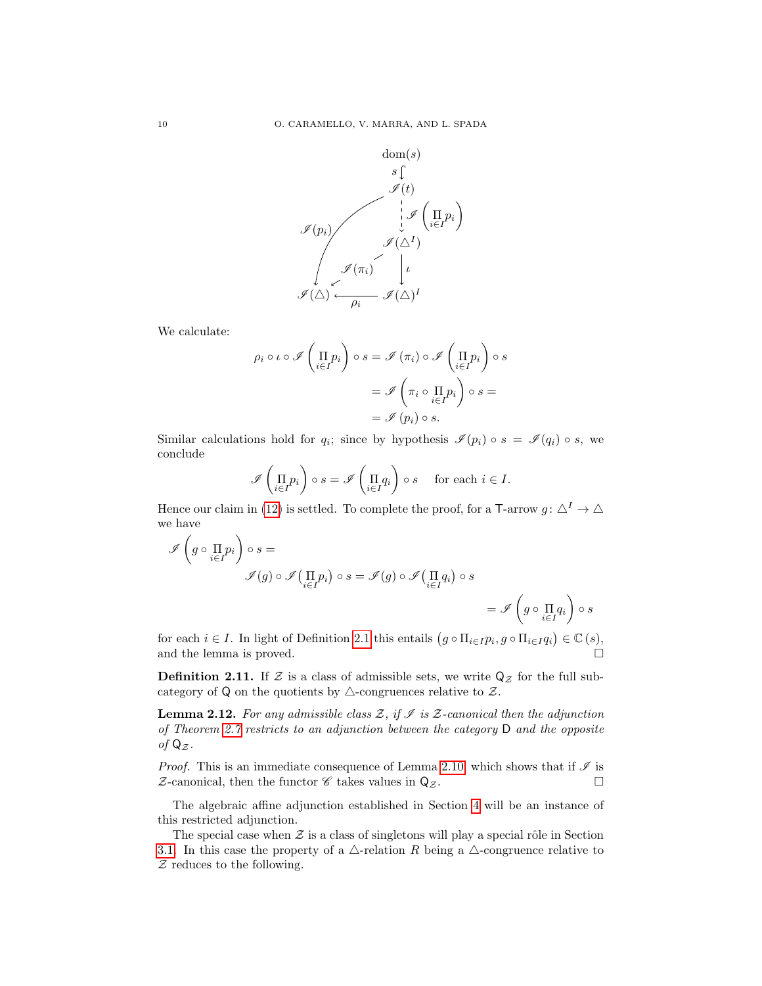

We calculate:

$$
\rho_i \circ \iota \circ \mathscr{I}\left(\prod_{i \in I} p_i\right) \circ s = \mathscr{I}\left(\pi_i\right) \circ \mathscr{I}\left(\prod_{i \in I} p_i\right) \circ s
$$

$$
= \mathscr{I}\left(\pi_i \circ \prod_{i \in I} p_i\right) \circ s =
$$

$$
= \mathscr{I}\left(p_i\right) \circ s.
$$

Similar calculations hold for  $q_i$ ; since by hypothesis  $\mathscr{I}(p_i) \circ s = \mathscr{I}(q_i) \circ s$ , we conclude

$$
\mathscr{I}\left(\prod_{i\in I}p_i\right)\circ s=\mathscr{I}\left(\prod_{i\in I}q_i\right)\circ s \quad \text{ for each } i\in I.
$$

Hence our claim in [\(12\)](#page-8-1) is settled. To complete the proof, for a T-arrow  $g: \triangle^I \to \triangle$ we have

$$
\mathscr{I}\left(g \circ \prod_{i \in I} p_i\right) \circ s =
$$
  

$$
\mathscr{I}(g) \circ \mathscr{I}\left(\prod_{i \in I} p_i\right) \circ s = \mathscr{I}(g) \circ \mathscr{I}\left(\prod_{i \in I} q_i\right) \circ s
$$
  

$$
= \mathscr{I}\left(g \circ \prod_{i \in I} q_i\right) \circ s
$$

for each  $i \in I$ . In light of Definition [2.1](#page-4-4) this entails  $(g \circ \Pi_{i \in I} p_i, g \circ \Pi_{i \in I} q_i) \in \mathbb{C}(s)$ , and the lemma is proved.

<span id="page-9-0"></span>**Definition 2.11.** If  $\mathcal Z$  is a class of admissible sets, we write  $\mathsf Q_{\mathcal Z}$  for the full subcategory of Q on the quotients by  $\triangle$ -congruences relative to  $\mathcal{Z}$ .

**Lemma 2.12.** For any admissible class  $\mathcal{Z}$ , if  $\mathcal{I}$  is  $\mathcal{Z}$ -canonical then the adjunction of Theorem [2.7](#page-7-0) restricts to an adjunction between the category D and the opposite of  $Q_{\mathcal{Z}}$ .

*Proof.* This is an immediate consequence of Lemma [2.10,](#page-8-3) which shows that if  $\mathscr I$  is  $\mathcal{Z}$ -canonical, then the functor  $\mathscr C$  takes values in  $\mathsf{Q}_{\mathcal{Z}}$ .

The algebraic affine adjunction established in Section [4](#page-14-0) will be an instance of this restricted adjunction.

The special case when  $\mathcal Z$  is a class of singletons will play a special rôle in Section [3.1.](#page-11-1) In this case the property of a  $\triangle$ -relation R being a  $\triangle$ -congruence relative to  $Z$  reduces to the following.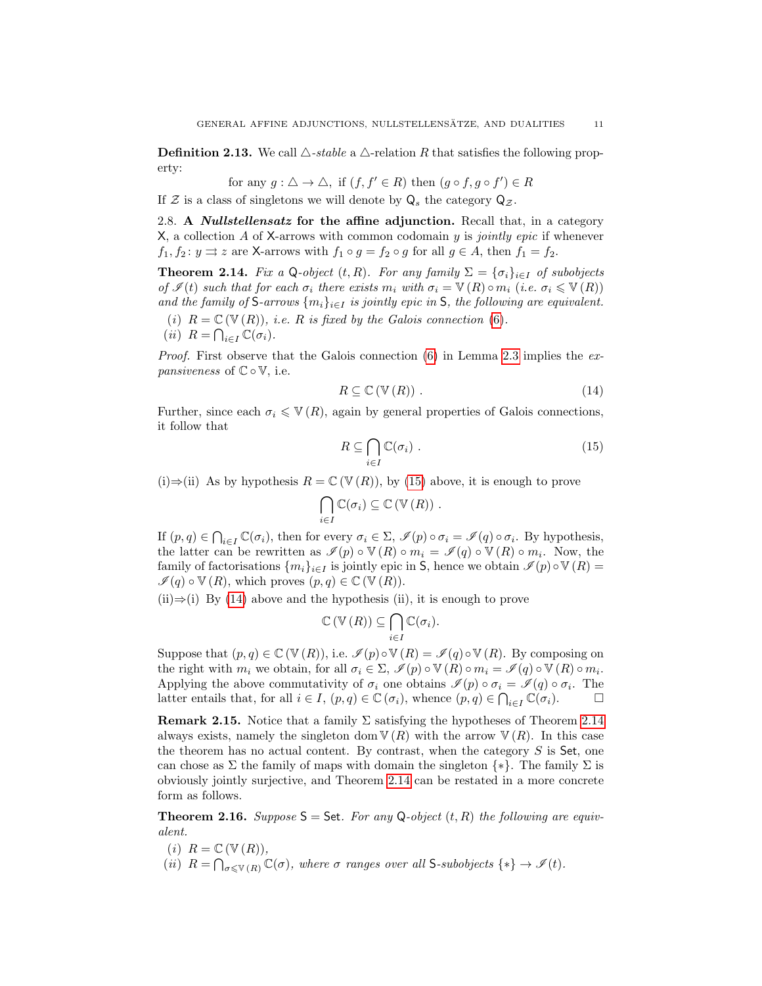<span id="page-10-3"></span>**Definition 2.13.** We call  $\triangle$ -stable a  $\triangle$ -relation R that satisfies the following property:

for any 
$$
g : \triangle \to \triangle
$$
, if  $(f, f' \in R)$  then  $(g \circ f, g \circ f') \in R$ 

If Z is a class of singletons we will denote by  $Q_s$  the category  $Q_z$ .

2.8. A *Nullstellensatz* for the affine adjunction. Recall that, in a category X, a collection A of X-arrows with common codomain  $y$  is *jointly epic* if whenever  $f_1, f_2 : y \rightrightarrows z$  are X-arrows with  $f_1 \circ g = f_2 \circ g$  for all  $g \in A$ , then  $f_1 = f_2$ .

<span id="page-10-0"></span>**Theorem 2.14.** Fix a Q-object  $(t, R)$ . For any family  $\Sigma = {\{\sigma_i\}}_{i \in I}$  of subobjects of  $\mathscr{I}(t)$  such that for each  $\sigma_i$  there exists  $m_i$  with  $\sigma_i = \mathbb{V}(R) \circ m_i$  (i.e.  $\sigma_i \leq \mathbb{V}(R)$ ) and the family of S-arrows  $\{m_i\}_{i\in I}$  is jointly epic in S, the following are equivalent. (i)  $R = \mathbb{C}(\mathbb{V}(R))$ , i.e. R is fixed by the Galois connection [\(6\)](#page-5-3).

(*ii*)  $R = \bigcap_{i \in I} \mathbb{C}(\sigma_i)$ .

*Proof.* First observe that the Galois connection  $(6)$  in Lemma [2.3](#page-5-0) implies the expansiveness of  $\mathbb{C} \circ \mathbb{V}$ , i.e.

<span id="page-10-2"></span>
$$
R \subseteq \mathbb{C}\left(\mathbb{V}\left(R\right)\right). \tag{14}
$$

Further, since each  $\sigma_i \leqslant \mathbb{V}(R)$ , again by general properties of Galois connections, it follow that

<span id="page-10-1"></span>
$$
R \subseteq \bigcap_{i \in I} \mathbb{C}(\sigma_i) . \tag{15}
$$

(i)⇒(ii) As by hypothesis  $R = \mathbb{C}(\mathbb{V}(R))$ , by [\(15\)](#page-10-1) above, it is enough to prove

$$
\bigcap_{i\in I}\mathbb{C}(\sigma_i)\subseteq \mathbb{C}(\mathbb{V}(R))\ .
$$

If  $(p, q) \in \bigcap_{i \in I} \mathbb{C}(\sigma_i)$ , then for every  $\sigma_i \in \Sigma$ ,  $\mathscr{I}(p) \circ \sigma_i = \mathscr{I}(q) \circ \sigma_i$ . By hypothesis, the latter can be rewritten as  $\mathscr{I}(p) \circ \mathbb{V}(R) \circ m_i = \mathscr{I}(q) \circ \mathbb{V}(R) \circ m_i$ . Now, the family of factorisations  $\{m_i\}_{i\in I}$  is jointly epic in S, hence we obtain  $\mathscr{I}(p) \circ \mathbb{V}(R) =$  $\mathscr{I}(q) \circ \mathbb{V}(R)$ , which proves  $(p, q) \in \mathbb{C}(\mathbb{V}(R))$ .

 $(ii) \Rightarrow (i)$  By [\(14\)](#page-10-2) above and the hypothesis (ii), it is enough to prove

$$
\mathbb{C}\left(\mathbb{V}\left(R\right)\right) \subseteq \bigcap_{i\in I} \mathbb{C}(\sigma_i).
$$

Suppose that  $(p, q) \in \mathbb{C}(\mathbb{V}(R))$ , i.e.  $\mathcal{I}(p) \circ \mathbb{V}(R) = \mathcal{I}(q) \circ \mathbb{V}(R)$ . By composing on the right with  $m_i$  we obtain, for all  $\sigma_i \in \Sigma$ ,  $\mathscr{I}(p) \circ \mathbb{V}(R) \circ m_i = \mathscr{I}(q) \circ \mathbb{V}(R) \circ m_i$ . Applying the above commutativity of  $\sigma_i$  one obtains  $\mathscr{I}(p) \circ \sigma_i = \mathscr{I}(q) \circ \sigma_i$ . The latter entails that, for all  $i \in I$ ,  $(p, q) \in \mathbb{C}(\sigma_i)$ , whence  $(p, q) \in \bigcap_{i \in I} \mathbb{C}(\sigma_i)$ .

**Remark 2.15.** Notice that a family  $\Sigma$  satisfying the hypotheses of Theorem [2.14](#page-10-0) always exists, namely the singleton dom  $\nabla(R)$  with the arrow  $\nabla(R)$ . In this case the theorem has no actual content. By contrast, when the category  $S$  is Set, one can chose as  $\Sigma$  the family of maps with domain the singleton  $\{*\}$ . The family  $\Sigma$  is obviously jointly surjective, and Theorem [2.14](#page-10-0) can be restated in a more concrete form as follows.

**Theorem 2.16.** Suppose  $S = Set$ . For any Q-object  $(t, R)$  the following are equivalent.

- (i)  $R = \mathbb{C}(\mathbb{V}(R)),$
- (ii)  $R = \bigcap_{\sigma \leqslant V(R)} \mathbb{C}(\sigma)$ , where  $\sigma$  ranges over all S-subobjects  $\{*\} \to \mathscr{I}(t)$ .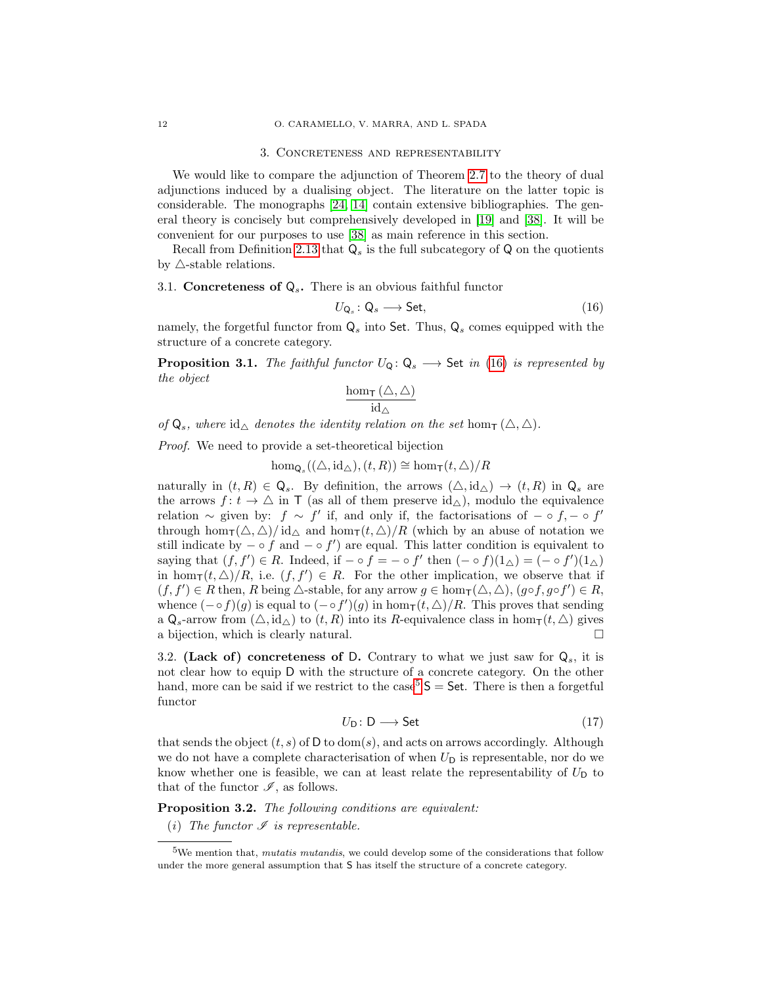### <span id="page-11-0"></span>12 O. CARAMELLO, V. MARRA, AND L. SPADA

#### 3. Concreteness and representability

We would like to compare the adjunction of Theorem [2.7](#page-7-0) to the theory of dual adjunctions induced by a dualising object. The literature on the latter topic is considerable. The monographs [\[24,](#page-32-10) [14\]](#page-32-11) contain extensive bibliographies. The general theory is concisely but comprehensively developed in [\[19\]](#page-32-12) and [\[38\]](#page-33-6). It will be convenient for our purposes to use [\[38\]](#page-33-6) as main reference in this section.

Recall from Definition [2.13](#page-10-3) that  $Q_s$  is the full subcategory of Q on the quotients by  $\triangle$ -stable relations.

## <span id="page-11-1"></span>3.1. Concreteness of  $Q_s$ . There is an obvious faithful functor

<span id="page-11-2"></span>
$$
U_{\mathsf{Q}_s} : \mathsf{Q}_s \longrightarrow \mathsf{Set},\tag{16}
$$

namely, the forgetful functor from  $Q_s$  into Set. Thus,  $Q_s$  comes equipped with the structure of a concrete category.

<span id="page-11-6"></span>**Proposition 3.1.** The faithful functor  $U_Q: Q_s \longrightarrow$  Set in [\(16\)](#page-11-2) is represented by the object

$$
\frac{\hom_{\mathsf{T}}\left(\triangle,\triangle\right)}{\mathrm{id}_{\triangle}}
$$

of  $Q_s$ , where  $id_{\triangle}$  denotes the identity relation on the set hom<sub>T</sub> ( $\triangle$ ,  $\triangle$ ).

Proof. We need to provide a set-theoretical bijection

 $hom_{\mathsf{Q}_{s}}((\triangle, id_{\triangle}), (t, R)) \cong hom_{\mathsf{T}}(t, \triangle)/R$ 

naturally in  $(t, R) \in \mathbb{Q}_s$ . By definition, the arrows  $(\triangle, id_\triangle) \to (t, R)$  in  $\mathbb{Q}_s$  are the arrows  $f: t \to \Delta$  in T (as all of them preserve  $\mathrm{id}_{\Delta}$ ), modulo the equivalence relation  $\sim$  given by:  $f \sim f'$  if, and only if, the factorisations of  $-\circ f, -\circ f'$ through hom $\tau(\Delta, \Delta)/ \mathrm{id}_{\Delta}$  and hom $\tau(t, \Delta)/R$  (which by an abuse of notation we still indicate by  $-\circ f$  and  $-\circ f'$  are equal. This latter condition is equivalent to saying that  $(f, f') \in R$ . Indeed, if  $-\circ f = -\circ f'$  then  $(- \circ f)(1_{\triangle}) = (-\circ f')(1_{\triangle})$ in hom $_{\mathsf{T}}(t, \triangle)/R$ , i.e.  $(f, f') \in R$ . For the other implication, we observe that if  $(f, f') \in R$  then, R being  $\triangle$ -stable, for any arrow  $g \in \hom_{\mathsf{T}}(\triangle, \triangle)$ ,  $(g \circ f, g \circ f') \in R$ , whence  $(-\circ f)(g)$  is equal to  $(-\circ f')(g)$  in  $\hom_{\mathsf{T}}(t, \triangle)/R$ . This proves that sending a  $\mathsf{Q}_s$ -arrow from  $(\triangle, id_\triangle)$  to  $(t, R)$  into its R-equivalence class in hom $\tau(t, \triangle)$  gives a bijection, which is clearly natural.

3.2. (Lack of) concreteness of D. Contrary to what we just saw for  $Q_s$ , it is not clear how to equip D with the structure of a concrete category. On the other hand, more can be said if we restrict to the case<sup>[5](#page-11-3)</sup>  $S =$  Set. There is then a forgetful functor

<span id="page-11-4"></span>
$$
U_{\mathsf{D}}\colon \mathsf{D}\longrightarrow \mathsf{Set} \tag{17}
$$

that sends the object  $(t, s)$  of D to dom(s), and acts on arrows accordingly. Although we do not have a complete characterisation of when  $U_D$  is representable, nor do we know whether one is feasible, we can at least relate the representability of  $U_D$  to that of the functor  $\mathscr{I}$ , as follows.

<span id="page-11-5"></span>Proposition 3.2. The following conditions are equivalent:

(i) The functor  $\mathscr I$  is representable.

<span id="page-11-3"></span> $5$ We mention that, *mutatis mutandis*, we could develop some of the considerations that follow under the more general assumption that S has itself the structure of a concrete category.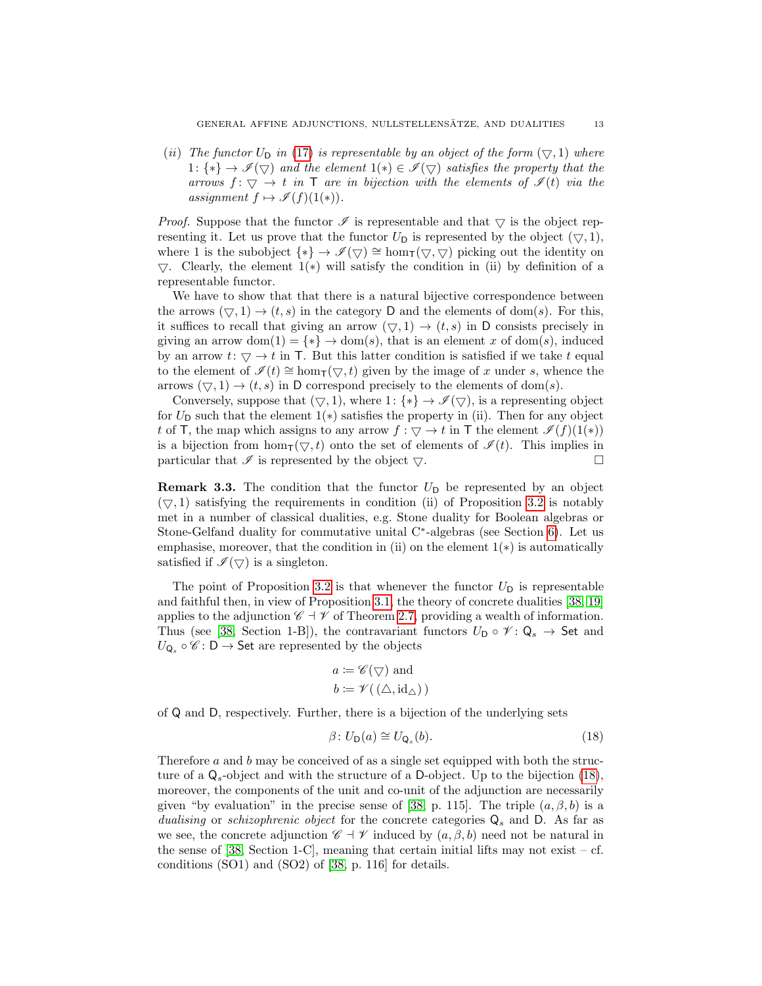(ii) The functor  $U_{\text{D}}$  in [\(17\)](#page-11-4) is representable by an object of the form  $(\nabla, 1)$  where 1:  $\{*\} \to \mathscr{I}(\nabla)$  and the element  $1(*) \in \mathscr{I}(\nabla)$  satisfies the property that the arrows  $f: \nabla \to t$  in T are in bijection with the elements of  $\mathcal{I}(t)$  via the assignment  $f \mapsto \mathscr{I}(f)(1(*)).$ 

*Proof.* Suppose that the functor  $\mathcal I$  is representable and that  $\bigtriangledown$  is the object representing it. Let us prove that the functor  $U_D$  is represented by the object  $(\nabla, 1)$ , where 1 is the subobject  $\{*\} \to \mathscr{I}(\nabla) \cong \text{hom}_{\mathsf{T}}(\nabla, \nabla)$  picking out the identity on  $\bigtriangledown$ . Clearly, the element 1(\*) will satisfy the condition in (ii) by definition of a representable functor.

We have to show that that there is a natural bijective correspondence between the arrows  $(\nabla, 1) \rightarrow (t, s)$  in the category D and the elements of dom(s). For this, it suffices to recall that giving an arrow  $(\nabla, 1) \rightarrow (t, s)$  in D consists precisely in giving an arrow dom(1) = {\*}  $\rightarrow$  dom(s), that is an element x of dom(s), induced by an arrow  $t: \nabla \to t$  in T. But this latter condition is satisfied if we take t equal to the element of  $\mathscr{I}(t) \cong \text{hom}_{\mathsf{T}}(\nabla, t)$  given by the image of x under s, whence the arrows  $(\nabla, 1) \rightarrow (t, s)$  in D correspond precisely to the elements of dom(s).

Conversely, suppose that  $(\nabla, 1)$ , where 1:  $\{*\} \rightarrow \mathscr{I}(\nabla)$ , is a representing object for  $U_D$  such that the element  $1(*)$  satisfies the property in (ii). Then for any object t of T, the map which assigns to any arrow  $f : \nabla \to t$  in T the element  $\mathscr{I}(f)(1(*))$ is a bijection from hom $\tau(\nabla, t)$  onto the set of elements of  $\mathscr{I}(t)$ . This implies in particular that  $\mathscr I$  is represented by the object  $\bigtriangledown$ .

**Remark 3.3.** The condition that the functor  $U_D$  be represented by an object  $(\nabla, 1)$  satisfying the requirements in condition (ii) of Proposition [3.2](#page-11-5) is notably met in a number of classical dualities, e.g. Stone duality for Boolean algebras or Stone-Gelfand duality for commutative unital C<sup>∗</sup> -algebras (see Section [6\)](#page-26-1). Let us emphasise, moreover, that the condition in (ii) on the element  $1(*)$  is automatically satisfied if  $\mathscr{I}(\nabla)$  is a singleton.

The point of Proposition [3.2](#page-11-5) is that whenever the functor  $U_D$  is representable and faithful then, in view of Proposition [3.1,](#page-11-6) the theory of concrete dualities [\[38,](#page-33-6) [19\]](#page-32-12) applies to the adjunction  $\mathscr{C} \dashv \mathscr{V}$  of Theorem [2.7,](#page-7-0) providing a wealth of information. Thus (see [\[38,](#page-33-6) Section 1-B]), the contravariant functors  $U_D \circ \mathscr{V} \colon \mathsf{Q}_s \to \mathsf{Set}$  and  $U_{\mathsf{Q}_s} \circ \mathscr{C} \colon \mathsf{D} \to \mathsf{Set}$  are represented by the objects

$$
a := \mathscr{C}(\nabla)
$$
 and  
 $b := \mathscr{V}((\triangle, id_{\triangle}))$ 

of Q and D, respectively. Further, there is a bijection of the underlying sets

<span id="page-12-0"></span>
$$
\beta \colon U_{\mathsf{D}}(a) \cong U_{\mathsf{Q}_s}(b). \tag{18}
$$

Therefore a and b may be conceived of as a single set equipped with both the structure of a  $Q_s$ -object and with the structure of a D-object. Up to the bijection [\(18\)](#page-12-0), moreover, the components of the unit and co-unit of the adjunction are necessarily given "by evaluation" in the precise sense of [\[38,](#page-33-6) p. 115]. The triple  $(a, \beta, b)$  is a dualising or schizophrenic object for the concrete categories  $Q_s$  and D. As far as we see, the concrete adjunction  $\mathscr{C} \dashv \mathscr{V}$  induced by  $(a, \beta, b)$  need not be natural in the sense of  $[38, Section 1-C]$  $[38, Section 1-C]$ , meaning that certain initial lifts may not exist – cf. conditions (SO1) and (SO2) of [\[38,](#page-33-6) p. 116] for details.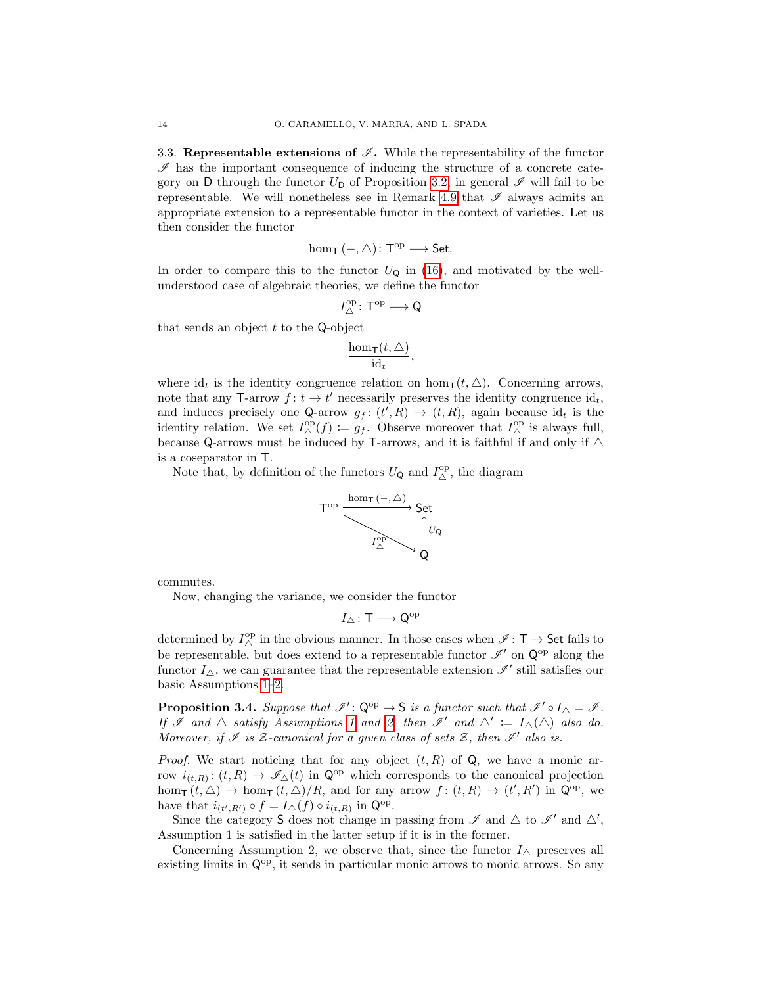3.3. Representable extensions of  $\mathscr I$ . While the representability of the functor  $\mathscr I$  has the important consequence of inducing the structure of a concrete category on D through the functor  $U_D$  of Proposition [3.2,](#page-11-5) in general  $\mathscr I$  will fail to be representable. We will nonetheless see in Remark [4.9](#page-18-2) that  $\mathscr I$  always admits an appropriate extension to a representable functor in the context of varieties. Let us then consider the functor

$$
\hom_{\mathsf{T}}\left(-,\triangle\right)\colon \mathsf{T}^{\mathrm{op}}\longrightarrow \mathsf{Set}.
$$

In order to compare this to the functor  $U_Q$  in [\(16\)](#page-11-2), and motivated by the wellunderstood case of algebraic theories, we define the functor

$$
I^{\operatorname{op}}_{\triangle}\colon \mathsf{T}^{\operatorname{op}}\longrightarrow \mathsf{Q}
$$

that sends an object  $t$  to the Q-object

$$
\frac{\hom_\mathsf{T}(t,\triangle)}{\mathrm{id}_t},
$$

where id<sub>t</sub> is the identity congruence relation on hom<sub>T</sub>(t,  $\triangle$ ). Concerning arrows, note that any T-arrow  $f: t \to t'$  necessarily preserves the identity congruence  $id_t$ , and induces precisely one Q-arrow  $g_f: (t', R) \to (t, R)$ , again because  $id_t$  is the identity relation. We set  $I_{\Delta}^{\text{op}}(f) := g_f$ . Observe moreover that  $I_{\Delta}^{\text{op}}$  is always full, because Q-arrows must be induced by T-arrows, and it is faithful if and only if  $\triangle$ is a coseparator in T.

Note that, by definition of the functors  $U_{\mathbf{Q}}$  and  $I_{\Delta}^{\mathrm{op}}$ , the diagram



commutes.

Now, changing the variance, we consider the functor

$$
I_\triangle\colon \mathsf{T}\longrightarrow \mathsf{Q}^{\mathrm{op}}
$$

determined by  $I^{\operatorname{op}}_{\triangle}$  in the obvious manner. In those cases when  $\mathscr{I} \colon \mathsf{T} \to \mathsf{Set}$  fails to be representable, but does extend to a representable functor  $\mathscr{I}'$  on  $\mathsf{Q}^\mathrm{op}$  along the functor  $I_{\Delta}$ , we can guarantee that the representable extension  $\mathscr{I}'$  still satisfies our basic Assumptions [1–](#page-4-1)[2.](#page-7-1)

<span id="page-13-0"></span>**Proposition 3.4.** Suppose that  $\mathscr{I}' : \mathbb{Q}^{op} \to \mathsf{S}$  is a functor such that  $\mathscr{I}' \circ I_{\Delta} = \mathscr{I}$ . If I and  $\triangle$  satisfy Assumptions [1](#page-4-1) and [2,](#page-7-1) then I' and  $\triangle' := I_{\triangle}(\triangle)$  also do. Moreover, if  $\mathscr I$  is  $\mathcal Z$ -canonical for a given class of sets  $\mathcal Z$ , then  $\mathscr I'$  also is.

*Proof.* We start noticing that for any object  $(t, R)$  of  $Q$ , we have a monic arrow  $i_{(t,R)}$ :  $(t, R) \to \mathscr{I}_{\Delta}(t)$  in  $\mathsf{Q}^{\text{op}}$  which corresponds to the canonical projection  $hom_{\mathsf{T}}(t, \triangle) \to hom_{\mathsf{T}}(t, \triangle)/R$ , and for any arrow  $f: (t, R) \to (t', R')$  in  $\mathsf{Q}^{\mathrm{op}}$ , we have that  $i_{(t',R')} \circ f = I_{\Delta}(f) \circ i_{(t,R)}$  in  $\mathsf{Q}^{\mathrm{op}}$ .

Since the category S does not change in passing from  $\mathscr I$  and  $\triangle$  to  $\mathscr I'$  and  $\triangle'$ , Assumption 1 is satisfied in the latter setup if it is in the former.

Concerning Assumption 2, we observe that, since the functor  $I_{\wedge}$  preserves all existing limits in  $Q^{op}$ , it sends in particular monic arrows to monic arrows. So any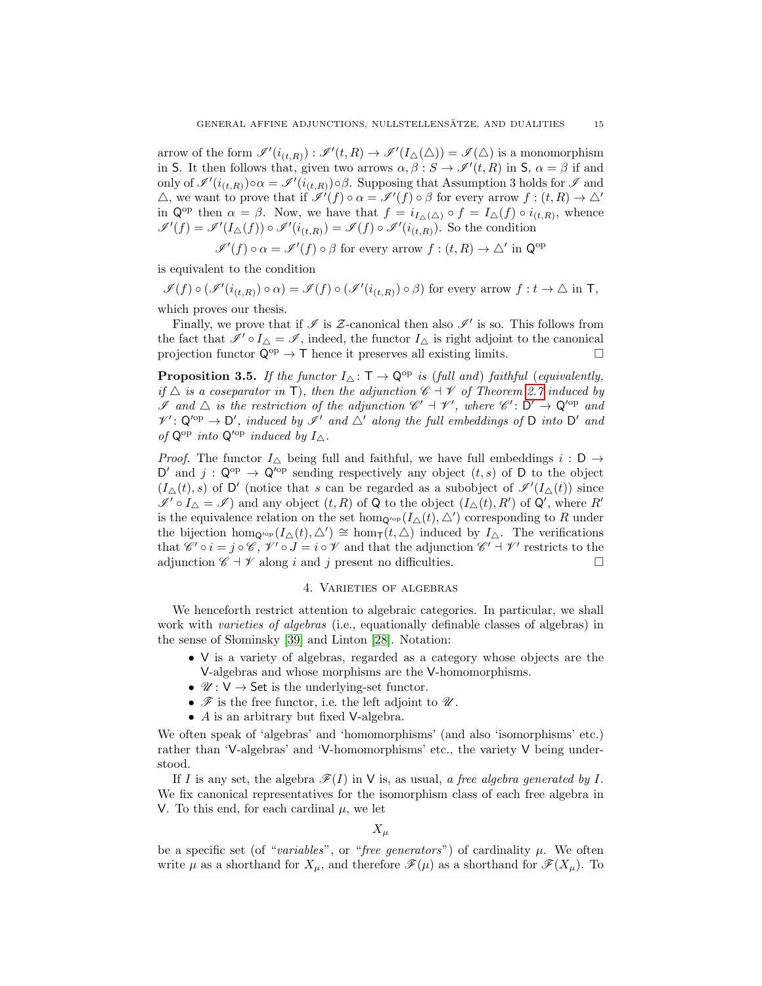arrow of the form  $\mathscr{I}'(i_{(t,R)}) : \mathscr{I}'(t,R) \to \mathscr{I}'(I_{\Delta}(\Delta)) = \mathscr{I}(\Delta)$  is a monomorphism in S. It then follows that, given two arrows  $\alpha, \beta : S \to \mathscr{I}'(t, R)$  in S,  $\alpha = \beta$  if and only of  $\mathscr{I}'(i_{(t,R)}) \circ \alpha = \mathscr{I}'(i_{(t,R)}) \circ \beta$ . Supposing that Assumption 3 holds for  $\mathscr{I}$  and  $\triangle$ , we want to prove that if  $\mathscr{I}'(f) \circ \alpha = \mathscr{I}'(f) \circ \beta$  for every arrow  $f : (t, R) \to \triangle'$ in  $\mathsf{Q}^{\mathrm{op}}$  then  $\alpha = \beta$ . Now, we have that  $f = i_{I_{\Delta}(\Delta)} \circ f = I_{\Delta}(f) \circ i_{(t,R)}$ , whence  $\mathscr{I}'(f) = \mathscr{I}'(I_{\Delta}(f)) \circ \mathscr{I}'(i_{(t,R)}) = \mathscr{I}(f) \circ \mathscr{I}'(i_{(t,R)})$ . So the condition

$$
\mathscr{I}'(f) \circ \alpha = \mathscr{I}'(f) \circ \beta
$$
 for every arrow  $f : (t, R) \to \triangle'$  in  $\mathbb{Q}^{\text{op}}$ 

is equivalent to the condition

 $\mathscr{I}(f) \circ (\mathscr{I}'(i_{(t,R)}) \circ \alpha) = \mathscr{I}(f) \circ (\mathscr{I}'(i_{(t,R)}) \circ \beta)$  for every arrow  $f: t \to \triangle$  in T, which proves our thesis.

Finally, we prove that if  $\mathscr I$  is  $\mathcal Z$ -canonical then also  $\mathscr I'$  is so. This follows from the fact that  $\mathscr{I}' \circ I_{\Delta} = \mathscr{I}$ , indeed, the functor  $I_{\Delta}$  is right adjoint to the canonical projection functor  $\mathsf{Q}^{\mathrm{op}} \to \mathsf{T}$  hence it preserves all existing limits.

<span id="page-14-1"></span>**Proposition 3.5.** If the functor  $I_{\Delta} : \mathsf{T} \to \mathsf{Q}^{\mathrm{op}}$  is (full and) faithful (equivalently, if  $\triangle$  is a coseparator in T), then the adjunction  $\mathscr{C} \dashv \mathscr{V}$  of Theorem [2.7](#page-7-0) induced by If and  $\Delta$  is the restriction of the adjunction  $\mathscr{C}' + \mathscr{V}'$ , where  $\mathscr{C}' : D' \to Q^{op}$  and  $\mathcal{V}' : \mathsf{Q}'^{\mathrm{op}} \to \mathsf{D}'$ , induced by  $\mathscr{I}'$  and  $\triangle'$  along the full embeddings of  $\mathsf{D}$  into  $\mathsf{D}'$  and of  $Q^{op}$  into  $Q'^{op}$  induced by  $I_{\Delta}$ .

*Proof.* The functor  $I_{\Delta}$  being full and faithful, we have full embeddings  $i : D \rightarrow$ D' and  $j: \mathbb{Q}^{op} \to \mathbb{Q}^{op}$  sending respectively any object  $(t, s)$  of D to the object  $(I_{\Delta}(t), s)$  of D' (notice that s can be regarded as a subobject of  $\mathscr{I}'(I_{\Delta}(t))$  since  $\mathscr{I}' \circ I_{\Delta} = \mathscr{I}$  and any object  $(t, R)$  of Q to the object  $(I_{\Delta}(t), R')$  of Q', where R' is the equivalence relation on the set hom<sub>Q'</sub><sup>op</sup> ( $I_{\Delta}(t), \Delta'$ ) corresponding to R under the bijection hom<sub>Q'</sub> $\varphi_P(I_{\Delta}(t), \Delta') \cong \hom_{\mathsf{T}}(t, \Delta)$  induced by  $I_{\Delta}$ . The verifications that  $\mathscr{C}' \circ i = j \circ \mathscr{C}, \mathscr{V}' \circ J = i \circ \mathscr{V}$  and that the adjunction  $\mathscr{C}' \dashv \mathscr{V}'$  restricts to the adjunction  $\mathscr{C} \dashv \mathscr{V}$  along i and j present no difficulties.

### 4. Varieties of algebras

<span id="page-14-0"></span>We henceforth restrict attention to algebraic categories. In particular, we shall work with *varieties of algebras* (i.e., equationally definable classes of algebras) in the sense of Słominsky  $|39|$  and Linton  $|28|$ . Notation:

- V is a variety of algebras, regarded as a category whose objects are the V-algebras and whose morphisms are the V-homomorphisms.
- $\mathscr{U}: V \to \mathsf{Set}$  is the underlying-set functor.
- $\mathscr F$  is the free functor, i.e. the left adjoint to  $\mathscr U$ .
- A is an arbitrary but fixed V-algebra.

We often speak of 'algebras' and 'homomorphisms' (and also 'isomorphisms' etc.) rather than 'V-algebras' and 'V-homomorphisms' etc., the variety V being understood.

If I is any set, the algebra  $\mathscr{F}(I)$  in V is, as usual, a free algebra generated by I. We fix canonical representatives for the isomorphism class of each free algebra in V. To this end, for each cardinal  $\mu$ , we let

 $X_{\mu}$ 

be a specific set (of "variables", or "free generators") of cardinality  $\mu$ . We often write  $\mu$  as a shorthand for  $X_{\mu}$ , and therefore  $\mathscr{F}(\mu)$  as a shorthand for  $\mathscr{F}(X_{\mu})$ . To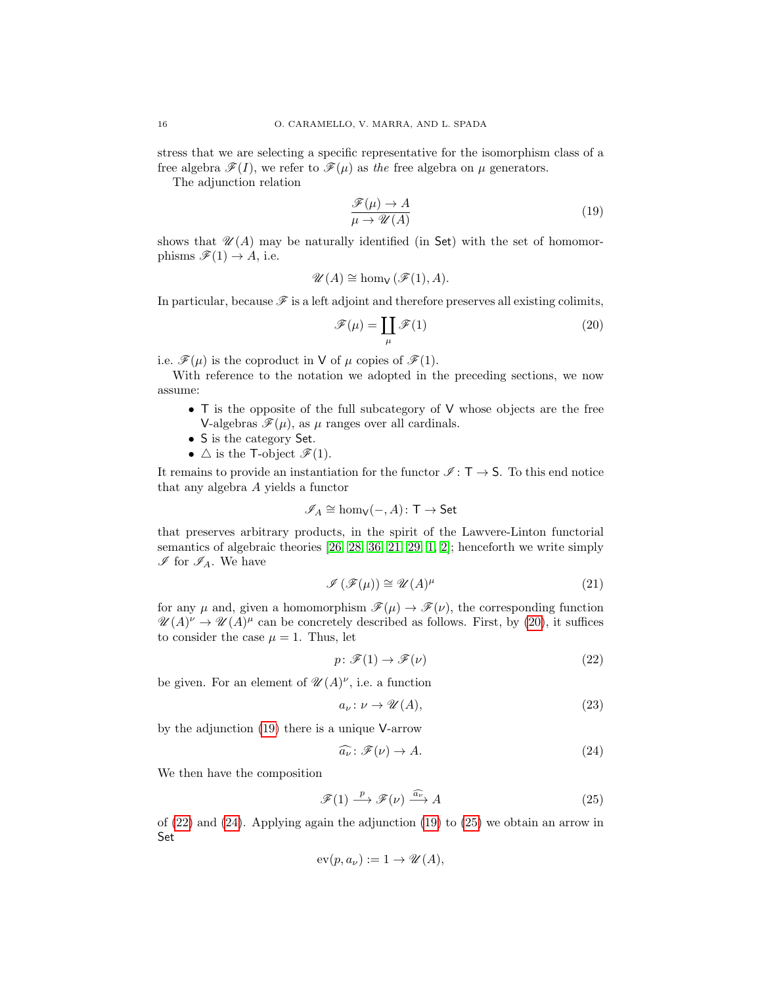stress that we are selecting a specific representative for the isomorphism class of a free algebra  $\mathscr{F}(I)$ , we refer to  $\mathscr{F}(\mu)$  as the free algebra on  $\mu$  generators.

The adjunction relation

<span id="page-15-1"></span>
$$
\frac{\mathcal{F}(\mu) \to A}{\mu \to \mathcal{U}(A)}\tag{19}
$$

shows that  $\mathcal{U}(A)$  may be naturally identified (in Set) with the set of homomorphisms  $\mathscr{F}(1) \rightarrow A$ , i.e.

$$
\mathscr{U}(A) \cong \hom_{\mathsf{V}}(\mathscr{F}(1), A).
$$

In particular, because  $\mathscr F$  is a left adjoint and therefore preserves all existing colimits,

<span id="page-15-0"></span>
$$
\mathscr{F}(\mu) = \coprod_{\mu} \mathscr{F}(1) \tag{20}
$$

i.e.  $\mathscr{F}(\mu)$  is the coproduct in V of  $\mu$  copies of  $\mathscr{F}(1)$ .

With reference to the notation we adopted in the preceding sections, we now assume:

- T is the opposite of the full subcategory of V whose objects are the free V-algebras  $\mathscr{F}(\mu)$ , as  $\mu$  ranges over all cardinals.
- S is the category Set.
- $\triangle$  is the T-object  $\mathscr{F}(1)$ .

It remains to provide an instantiation for the functor  $\mathscr{I} : \mathsf{T} \to \mathsf{S}$ . To this end notice that any algebra A yields a functor

$$
\mathscr{I}_A \cong \hom_\mathsf{V}(-, A) \colon \mathsf{T} \to \mathsf{Set}
$$

that preserves arbitrary products, in the spirit of the Lawvere-Linton functorial semantics of algebraic theories [\[26,](#page-32-13) [28,](#page-32-5) [36,](#page-33-7) [21,](#page-32-14) [29,](#page-32-15) [1,](#page-31-0) [2\]](#page-31-1); henceforth we write simply  $\mathscr{I}$  for  $\mathscr{I}_A$ . We have

<span id="page-15-6"></span>
$$
\mathcal{I}(\mathcal{F}(\mu)) \cong \mathcal{U}(A)^{\mu} \tag{21}
$$

for any  $\mu$  and, given a homomorphism  $\mathscr{F}(\mu) \to \mathscr{F}(\nu)$ , the corresponding function  $\mathscr{U}(A)^{\nu} \to \mathscr{U}(A)^{\mu}$  can be concretely described as follows. First, by [\(20\)](#page-15-0), it suffices to consider the case  $\mu = 1$ . Thus, let

<span id="page-15-2"></span>
$$
p \colon \mathcal{F}(1) \to \mathcal{F}(\nu) \tag{22}
$$

be given. For an element of  $\mathscr{U}(A)^{\nu}$ , i.e. a function

<span id="page-15-5"></span>
$$
a_{\nu} \colon \nu \to \mathcal{U}(A),\tag{23}
$$

by the adjunction [\(19\)](#page-15-1) there is a unique V-arrow

<span id="page-15-4"></span><span id="page-15-3"></span>
$$
\widehat{a_{\nu}} \colon \mathscr{F}(\nu) \to A. \tag{24}
$$

We then have the composition

$$
\mathcal{F}(1) \xrightarrow{p} \mathcal{F}(\nu) \xrightarrow{\widehat{a_{\nu}}} A \tag{25}
$$

of [\(22\)](#page-15-2) and [\(24\)](#page-15-3). Applying again the adjunction [\(19\)](#page-15-1) to [\(25\)](#page-15-4) we obtain an arrow in Set

$$
\operatorname{ev}(p, a_{\nu}) := 1 \to \mathscr{U}(A),
$$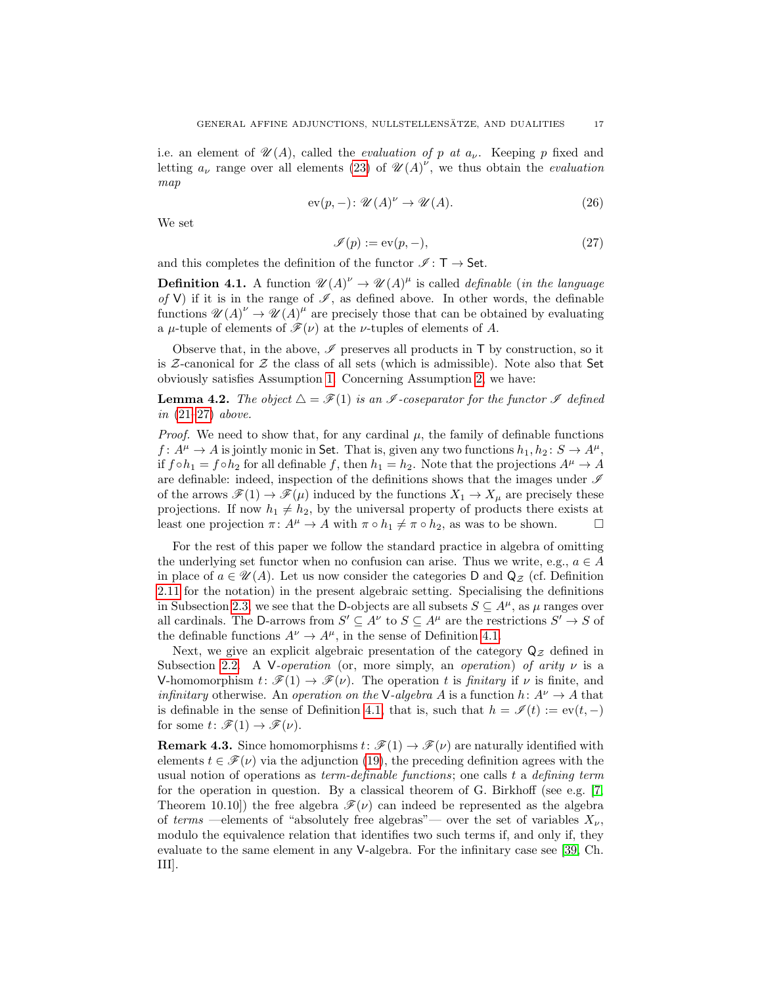i.e. an element of  $\mathscr{U}(A)$ , called the *evaluation of p at*  $a_{\nu}$ . Keeping p fixed and letting  $a_{\nu}$  range over all elements [\(23\)](#page-15-5) of  $\mathscr{U}(A)^{\nu}$ , we thus obtain the *evaluation* map

$$
ev(p,-): \mathcal{U}(A)^{\nu} \to \mathcal{U}(A). \tag{26}
$$

We set

<span id="page-16-2"></span><span id="page-16-0"></span>
$$
\mathcal{I}(p) := \text{ev}(p, -),\tag{27}
$$

and this completes the definition of the functor  $\mathscr{I} : \mathsf{T} \to \mathsf{Set}$ .

<span id="page-16-1"></span>**Definition 4.1.** A function  $\mathscr{U}(A)^{\nu} \to \mathscr{U}(A)^{\mu}$  is called *definable* (*in the language* of V) if it is in the range of  $\mathscr{I}$ , as defined above. In other words, the definable functions  $\mathscr{U}(A)^{\nu} \to \mathscr{U}(A)^{\mu}$  are precisely those that can be obtained by evaluating a  $\mu$ -tuple of elements of  $\mathscr{F}(\nu)$  at the *v*-tuples of elements of A.

Observe that, in the above,  $\mathscr I$  preserves all products in  $\mathsf T$  by construction, so it is  $\mathcal Z$ -canonical for  $\mathcal Z$  the class of all sets (which is admissible). Note also that Set obviously satisfies Assumption [1.](#page-4-1) Concerning Assumption [2,](#page-7-1) we have:

## **Lemma 4.2.** The object  $\Delta = \mathcal{F}(1)$  is an  $\mathcal{I}$ -coseparator for the functor  $\mathcal{I}$  defined in [\(21](#page-15-6)[–27\)](#page-16-0) above.

*Proof.* We need to show that, for any cardinal  $\mu$ , the family of definable functions  $f: A^{\mu} \to A$  is jointly monic in Set. That is, given any two functions  $h_1, h_2: S \to A^{\mu}$ , if  $f \circ h_1 = f \circ h_2$  for all definable f, then  $h_1 = h_2$ . Note that the projections  $A^{\mu} \to A$ are definable: indeed, inspection of the definitions shows that the images under  $\mathscr I$ of the arrows  $\mathcal{F}(1) \to \mathcal{F}(\mu)$  induced by the functions  $X_1 \to X_\mu$  are precisely these projections. If now  $h_1 \neq h_2$ , by the universal property of products there exists at least one projection  $\pi: A^{\mu} \to A$  with  $\pi \circ h_1 \neq \pi \circ h_2$ , as was to be shown.  $\square$ 

For the rest of this paper we follow the standard practice in algebra of omitting the underlying set functor when no confusion can arise. Thus we write, e.g.,  $a \in A$ in place of  $a \in \mathcal{U}(A)$ . Let us now consider the categories D and  $\mathsf{Q}_{\mathcal{Z}}$  (cf. Definition [2.11](#page-9-0) for the notation) in the present algebraic setting. Specialising the definitions in Subsection [2.3,](#page-6-2) we see that the D-objects are all subsets  $S \subseteq A^{\mu}$ , as  $\mu$  ranges over all cardinals. The D-arrows from  $S' \subseteq A^{\nu}$  to  $S \subseteq A^{\mu}$  are the restrictions  $S' \to S$  of the definable functions  $A^{\nu} \to A^{\mu}$ , in the sense of Definition [4.1.](#page-16-1)

Next, we give an explicit algebraic presentation of the category  $Q_{\mathcal{Z}}$  defined in Subsection [2.2.](#page-5-4) A V-operation (or, more simply, an operation) of arity  $\nu$  is a V-homomorphism  $t: \mathscr{F}(1) \to \mathscr{F}(\nu)$ . The operation t is finitary if  $\nu$  is finite, and *infinitary* otherwise. An *operation on the* V-*algebra A* is a function  $h: A^{\nu} \to A$  that is definable in the sense of Definition [4.1,](#page-16-1) that is, such that  $h = \mathscr{I}(t) := \text{ev}(t, -)$ for some  $t: \mathscr{F}(1) \to \mathscr{F}(\nu)$ .

**Remark 4.3.** Since homomorphisms  $t: \mathcal{F}(1) \to \mathcal{F}(\nu)$  are naturally identified with elements  $t \in \mathscr{F}(\nu)$  via the adjunction [\(19\)](#page-15-1), the preceding definition agrees with the usual notion of operations as  $term-defined$  functions; one calls t a defining term for the operation in question. By a classical theorem of G. Birkhoff (see e.g.  $[7,$ Theorem 10.10) the free algebra  $\mathcal{F}(\nu)$  can indeed be represented as the algebra of terms —elements of "absolutely free algebras"— over the set of variables  $X_{\nu}$ , modulo the equivalence relation that identifies two such terms if, and only if, they evaluate to the same element in any V-algebra. For the infinitary case see [\[39,](#page-33-0) Ch. III].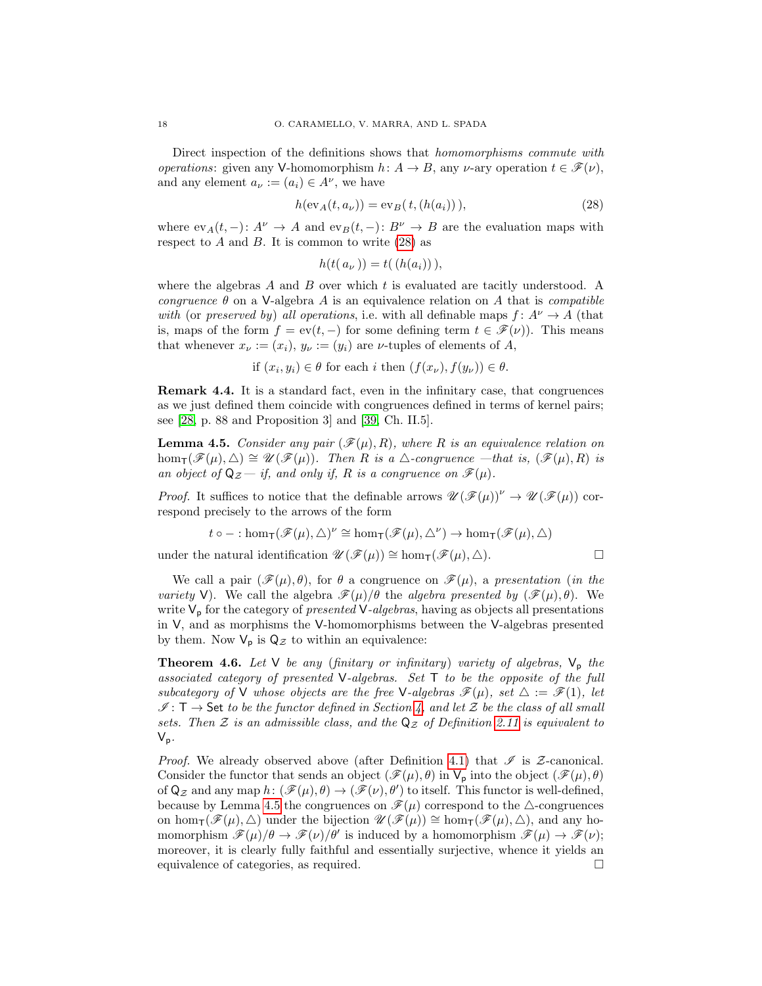Direct inspection of the definitions shows that *homomorphisms commute with operations*: given any V-homomorphism  $h: A \rightarrow B$ , any v-ary operation  $t \in \mathcal{F}(\nu)$ , and any element  $a_{\nu} := (a_i) \in A^{\nu}$ , we have

$$
h(\text{ev}_A(t, a_\nu)) = \text{ev}_B(t, (h(a_i))), \qquad (28)
$$

where  $ev_A(t, -): A^{\nu} \to A$  and  $ev_B(t, -): B^{\nu} \to B$  are the evaluation maps with respect to  $A$  and  $B$ . It is common to write  $(28)$  as

<span id="page-17-0"></span>
$$
h(t(a_{\nu}))=t((h(a_{i}))),
$$

where the algebras  $A$  and  $B$  over which  $t$  is evaluated are tacitly understood. A congruence  $\theta$  on a V-algebra A is an equivalence relation on A that is *compatible* with (or preserved by) all operations, i.e. with all definable maps  $f: A^{\nu} \to A$  (that is, maps of the form  $f = \text{ev}(t, -)$  for some defining term  $t \in \mathcal{F}(\nu)$ . This means that whenever  $x_{\nu} := (x_i), y_{\nu} := (y_i)$  are  $\nu$ -tuples of elements of A,

if 
$$
(x_i, y_i) \in \theta
$$
 for each *i* then  $(f(x_{\nu}), f(y_{\nu})) \in \theta$ .

Remark 4.4. It is a standard fact, even in the infinitary case, that congruences as we just defined them coincide with congruences defined in terms of kernel pairs; see [\[28,](#page-32-5) p. 88 and Proposition 3] and [\[39,](#page-33-0) Ch. II.5].

<span id="page-17-1"></span>**Lemma 4.5.** Consider any pair  $(\mathcal{F}(\mu), R)$ , where R is an equivalence relation on  $hom_{\mathsf{T}}(\mathscr{F}(\mu), \triangle) \cong \mathscr{U}(\mathscr{F}(\mu)).$  Then R is a  $\triangle$ -congruence —that is,  $(\mathscr{F}(\mu), R)$  is an object of  $\mathsf{Q}_{\mathcal{Z}}$  — if, and only if, R is a congruence on  $\mathscr{F}(\mu)$ .

*Proof.* It suffices to notice that the definable arrows  $\mathscr{U}(\mathscr{F}(\mu))^{\nu} \to \mathscr{U}(\mathscr{F}(\mu))$  correspond precisely to the arrows of the form

$$
t \circ - : \hom_{\mathsf{T}}(\mathscr{F}(\mu), \triangle)^{\nu} \cong \hom_{\mathsf{T}}(\mathscr{F}(\mu), \triangle^{\nu}) \to \hom_{\mathsf{T}}(\mathscr{F}(\mu), \triangle)
$$

under the natural identification  $\mathscr{U}(\mathscr{F}(\mu)) \cong \hom_{\mathsf{T}}(\mathscr{F}(\mu), \triangle)$ .

We call a pair  $(\mathscr{F}(\mu), \theta)$ , for  $\theta$  a congruence on  $\mathscr{F}(\mu)$ , a presentation (in the variety V). We call the algebra  $\mathscr{F}(\mu)/\theta$  the algebra presented by  $(\mathscr{F}(\mu), \theta)$ . We write  $V_p$  for the category of *presented*  $V$ -algebras, having as objects all presentations in V, and as morphisms the V-homomorphisms between the V-algebras presented by them. Now  $V_p$  is  $Q_Z$  to within an equivalence:

<span id="page-17-2"></span>**Theorem 4.6.** Let  $V$  be any (finitary or infinitary) variety of algebras,  $V_p$  the associated category of presented V-algebras. Set T to be the opposite of the full subcategory of V whose objects are the free V-algebras  $\mathscr{F}(\mu)$ , set  $\Delta := \mathscr{F}(1)$ , let  $\mathscr{I}: \mathsf{T} \to \mathsf{Set}$  to be the functor defined in Section [4,](#page-14-0) and let  $\mathcal Z$  be the class of all small sets. Then Z is an admissible class, and the  $\mathsf{Q}_{\mathcal{Z}}$  of Definition [2.11](#page-9-0) is equivalent to  $V_p$ .

*Proof.* We already observed above (after Definition [4.1\)](#page-16-1) that  $\mathscr I$  is Z-canonical. Consider the functor that sends an object  $(\mathscr{F}(\mu), \theta)$  in  $V_p$  into the object  $(\mathscr{F}(\mu), \theta)$ of  $\mathsf{Q}_{\mathcal{Z}}$  and any map  $h: (\mathscr{F}(\mu), \theta) \to (\mathscr{F}(\nu), \theta')$  to itself. This functor is well-defined, because by Lemma [4.5](#page-17-1) the congruences on  $\mathscr{F}(\mu)$  correspond to the  $\triangle$ -congruences on hom $\tau(\mathscr{F}(\mu), \triangle)$  under the bijection  $\mathscr{U}(\mathscr{F}(\mu)) \cong \text{hom}_{\tau}(\mathscr{F}(\mu), \triangle)$ , and any homomorphism  $\mathscr{F}(\mu)/\theta \to \mathscr{F}(\nu)/\theta'$  is induced by a homomorphism  $\mathscr{F}(\mu) \to \mathscr{F}(\nu)$ ; moreover, it is clearly fully faithful and essentially surjective, whence it yields an equivalence of categories, as required.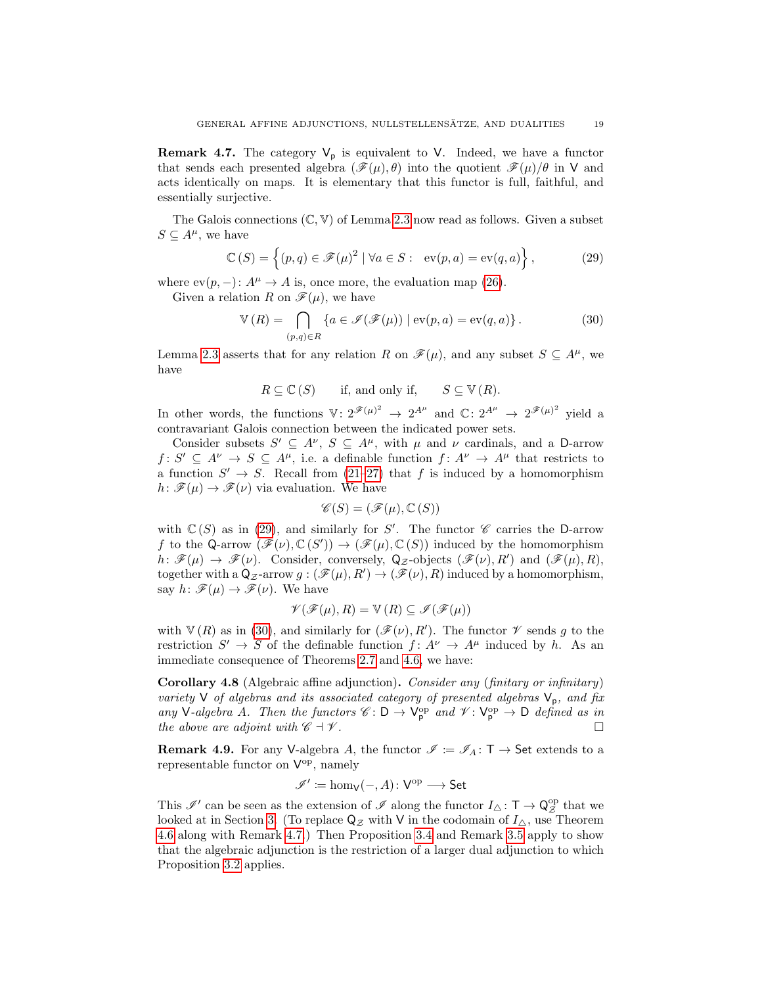<span id="page-18-0"></span>**Remark 4.7.** The category  $V_p$  is equivalent to V. Indeed, we have a functor that sends each presented algebra  $(\mathscr{F}(\mu), \theta)$  into the quotient  $\mathscr{F}(\mu)/\theta$  in V and acts identically on maps. It is elementary that this functor is full, faithful, and essentially surjective.

The Galois connections  $(\mathbb{C}, \mathbb{V})$  of Lemma [2.3](#page-5-0) now read as follows. Given a subset  $S \subseteq A^{\mu}$ , we have

$$
\mathbb{C}(S) = \left\{ (p, q) \in \mathcal{F}(\mu)^2 \mid \forall a \in S : \text{ev}(p, a) = \text{ev}(q, a) \right\},\tag{29}
$$

where  $ev(p, -)$ :  $A^{\mu} \rightarrow A$  is, once more, the evaluation map [\(26\)](#page-16-2).

Given a relation R on  $\mathscr{F}(\mu)$ , we have

<span id="page-18-3"></span>
$$
\mathbb{V}(R) = \bigcap_{(p,q)\in R} \{a \in \mathcal{I}(\mathcal{F}(\mu)) \mid \text{ev}(p,a) = \text{ev}(q,a) \}.
$$
 (30)

Lemma [2.3](#page-5-0) asserts that for any relation R on  $\mathscr{F}(\mu)$ , and any subset  $S \subseteq A^{\mu}$ , we have

$$
R \subseteq \mathbb{C}(S)
$$
 if, and only if,  $S \subseteq \mathbb{V}(R)$ .

In other words, the functions  $V: 2^{\mathscr{F}(\mu)^2} \to 2^{A^{\mu}}$  and  $\mathbb{C}: 2^{A^{\mu}} \to 2^{\mathscr{F}(\mu)^2}$  yield a contravariant Galois connection between the indicated power sets.

Consider subsets  $S' \subseteq A^{\nu}$ ,  $S \subseteq A^{\mu}$ , with  $\mu$  and  $\nu$  cardinals, and a D-arrow  $f: S' \subseteq A^{\nu} \to S \subseteq A^{\mu}$ , i.e. a definable function  $f: A^{\nu} \to A^{\mu}$  that restricts to a function  $S' \to S$ . Recall from [\(21–](#page-15-6)[27\)](#page-16-0) that f is induced by a homomorphism  $h: \mathscr{F}(\mu) \to \mathscr{F}(\nu)$  via evaluation. We have

<span id="page-18-4"></span>
$$
\mathscr{C}(S) = (\mathscr{F}(\mu), \mathbb{C}(S))
$$

with  $\mathbb{C}(S)$  as in [\(29\)](#page-18-3), and similarly for S'. The functor  $\mathscr C$  carries the D-arrow f to the Q-arrow  $(\mathscr{F}(\nu), \mathbb{C}(S')) \to (\mathscr{F}(\mu), \mathbb{C}(S))$  induced by the homomorphism  $h \colon \mathscr{F}(\mu) \to \mathscr{F}(\nu)$ . Consider, conversely,  $\mathsf{Q}_{\mathcal{Z}}$ -objects  $(\mathscr{F}(\nu), R')$  and  $(\mathscr{F}(\mu), R)$ , together with a  $Q_{\mathcal{Z}}$ -arrow  $g: (\mathscr{F}(\mu), R') \to (\mathscr{F}(\nu), R)$  induced by a homomorphism, say  $h: \mathscr{F}(\mu) \to \mathscr{F}(\nu)$ . We have

$$
\mathscr{V}(\mathscr{F}(\mu), R) = \mathbb{V}(R) \subseteq \mathscr{I}(\mathscr{F}(\mu))
$$

with  $\mathbb{V}(R)$  as in [\(30\)](#page-18-4), and similarly for  $(\mathscr{F}(\nu), R')$ . The functor  $\mathscr{V}$  sends g to the restriction  $S' \to S$  of the definable function  $f: A^{\nu} \to A^{\mu}$  induced by h. As an immediate consequence of Theorems [2.7](#page-7-0) and [4.6,](#page-17-2) we have:

<span id="page-18-1"></span>Corollary 4.8 (Algebraic affine adjunction). Consider any (finitary or infinitary) variety V of algebras and its associated category of presented algebras  $V_p$ , and fix any V-algebra A. Then the functors  $\mathscr{C} : D \to V_{p}^{\text{op}}$  and  $\mathscr{V} : V_{p}^{\text{op}} \to D$  defined as in the above are adjoint with  $\mathscr{C} \dashv \mathscr{V}$ .

<span id="page-18-2"></span>**Remark 4.9.** For any V-algebra A, the functor  $\mathscr{I} := \mathscr{I}_A : \mathsf{T} \to \mathsf{Set}$  extends to a representable functor on  $V^{\rm op}$ , namely

$$
\mathscr{I}' \coloneqq \hom_\mathsf{V}(-,A) \colon \mathsf{V}^\mathrm{op} \longrightarrow \mathsf{Set}
$$

This  $\mathscr{I}'$  can be seen as the extension of  $\mathscr{I}$  along the functor  $I_{\triangle} \colon \mathsf{T} \to \mathsf{Q}_{\mathcal{Z}}^{\mathrm{op}}$  that we looked at in Section [3.](#page-11-0) (To replace  $\mathsf{Q}_{\mathcal{Z}}$  with V in the codomain of  $I_{\Delta}$ , use Theorem [4.6](#page-17-2) along with Remark [4.7.](#page-18-0)) Then Proposition [3.4](#page-13-0) and Remark [3.5](#page-14-1) apply to show that the algebraic adjunction is the restriction of a larger dual adjunction to which Proposition [3.2](#page-11-5) applies.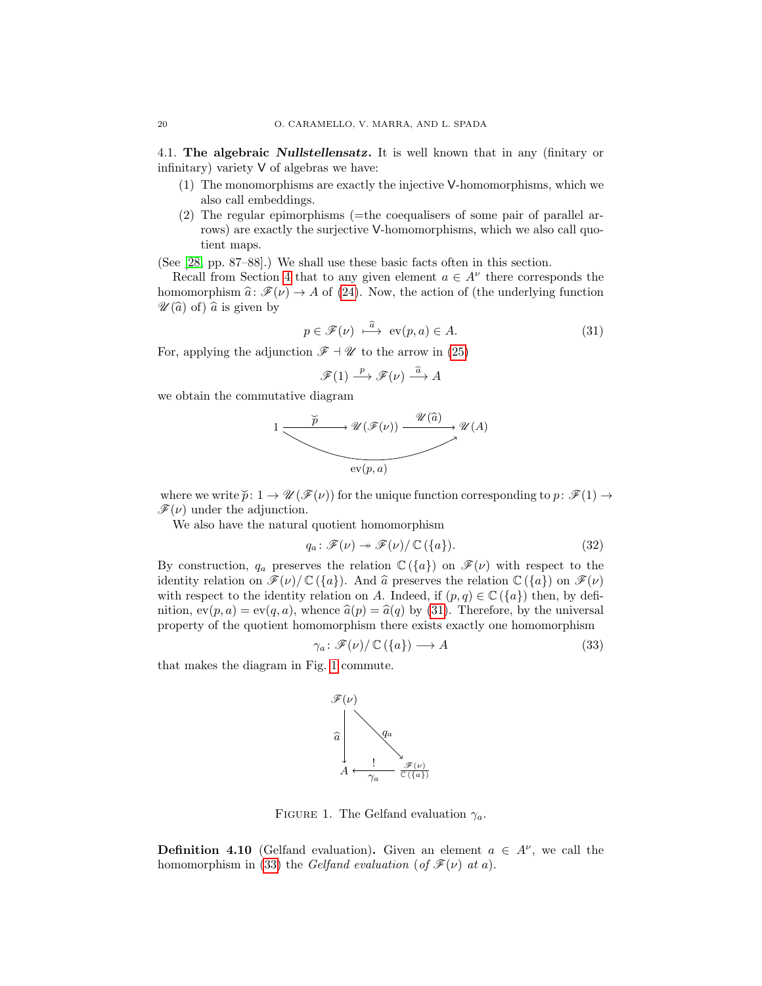4.1. The algebraic Nullstellensatz. It is well known that in any (finitary or infinitary) variety V of algebras we have:

- (1) The monomorphisms are exactly the injective V-homomorphisms, which we also call embeddings.
- (2) The regular epimorphisms (=the coequalisers of some pair of parallel arrows) are exactly the surjective V-homomorphisms, which we also call quotient maps.

(See [\[28,](#page-32-5) pp. 87–88].) We shall use these basic facts often in this section.

Recall from Section [4](#page-14-0) that to any given element  $a \in A^{\nu}$  there corresponds the homomorphism  $\hat{a}: \mathscr{F}(\nu) \to A$  of [\(24\)](#page-15-3). Now, the action of (the underlying function  $\mathscr{U}(\widehat{a})$  of)  $\widehat{a}$  is given by

$$
p \in \mathcal{F}(\nu) \stackrel{\widehat{a}}{\longrightarrow} \text{ev}(p, a) \in A. \tag{31}
$$

For, applying the adjunction  $\mathscr{F} \dashv \mathscr{U}$  to the arrow in [\(25\)](#page-15-4)

<span id="page-19-0"></span>
$$
\mathscr{F}(1) \xrightarrow{p} \mathscr{F}(\nu) \xrightarrow{\widehat{a}} A
$$

we obtain the commutative diagram

$$
1 \xrightarrow{\check{p}} \mathcal{U}(\mathcal{F}(\nu)) \xrightarrow{\mathcal{U}(\widehat{a})} \mathcal{U}(A)
$$
\n
$$
\xrightarrow{\text{ev}(p, a)} \mathcal{U}(A)
$$

where we write  $\widetilde{p}: 1 \to \mathscr{U}(\mathscr{F}(\nu))$  for the unique function corresponding to  $p: \mathscr{F}(1) \to$  $\mathscr{F}(\nu)$  under the adjunction.

We also have the natural quotient homomorphism

<span id="page-19-4"></span>
$$
q_a \colon \mathscr{F}(\nu) \twoheadrightarrow \mathscr{F}(\nu) / \mathbb{C}(\{a\}). \tag{32}
$$

By construction,  $q_a$  preserves the relation  $\mathbb{C}(\{a\})$  on  $\mathscr{F}(\nu)$  with respect to the identity relation on  $\mathscr{F}(\nu)/\mathbb{C}(\lbrace a \rbrace)$ . And  $\widehat{a}$  preserves the relation  $\mathbb{C}(\lbrace a \rbrace)$  on  $\mathscr{F}(\nu)$ with respect to the identity relation on A. Indeed, if  $(p, q) \in \mathbb{C}(\lbrace a \rbrace)$  then, by definition,  $ev(p, a) = ev(q, a)$ , whence  $\hat{a}(p) = \hat{a}(q)$  by [\(31\)](#page-19-0). Therefore, by the universal property of the quotient homomorphism there exists exactly one homomorphism

$$
\gamma_a \colon \mathscr{F}(\nu) / \mathbb{C}(\{a\}) \longrightarrow A \tag{33}
$$

that makes the diagram in Fig. [1](#page-19-1) commute.

<span id="page-19-2"></span>

<span id="page-19-1"></span>FIGURE 1. The Gelfand evaluation  $\gamma_a$ .

<span id="page-19-3"></span>**Definition 4.10** (Gelfand evaluation). Given an element  $a \in A^{\nu}$ , we call the homomorphism in [\(33\)](#page-19-2) the Gelfand evaluation (of  $\mathscr{F}(\nu)$  at a).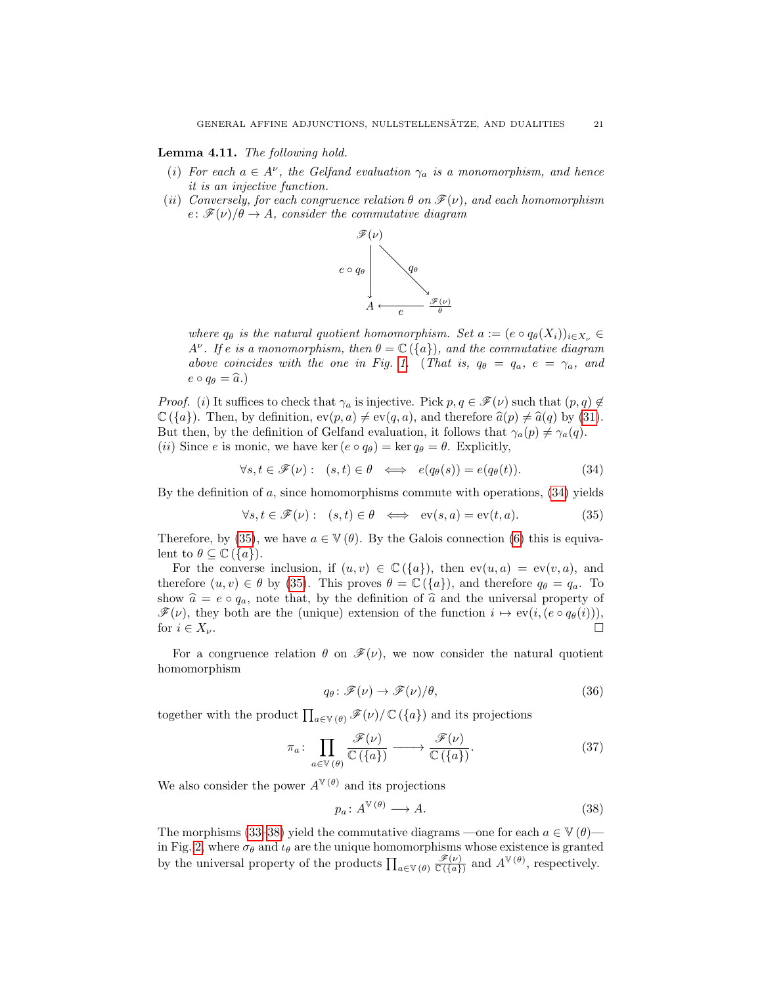### <span id="page-20-3"></span>Lemma 4.11. The following hold.

- (i) For each  $a \in A^{\nu}$ , the Gelfand evaluation  $\gamma_a$  is a monomorphism, and hence it is an injective function.
- <span id="page-20-4"></span>(ii) Conversely, for each congruence relation  $\theta$  on  $\mathcal{F}(\nu)$ , and each homomorphism  $e: \mathscr{F}(\nu)/\theta \to A$ , consider the commutative diagram

<span id="page-20-0"></span>

where  $q_{\theta}$  is the natural quotient homomorphism. Set  $a := (e \circ q_{\theta}(X_i))_{i \in X_{\nu}} \in$  $A^{\nu}$ . If e is a monomorphism, then  $\theta = \mathbb{C}(\{a\})$ , and the commutative diagram above coincides with the one in Fig. [1.](#page-19-1) (That is,  $q_{\theta} = q_a$ ,  $e = \gamma_a$ , and  $e \circ q_{\theta} = \widehat{a}.$ 

*Proof.* (i) It suffices to check that  $\gamma_a$  is injective. Pick  $p, q \in \mathscr{F}(\nu)$  such that  $(p, q) \notin$  $\mathbb{C}(\{a\})$ . Then, by definition,  $ev(p, a) \neq ev(q, a)$ , and therefore  $\widehat{a}(p) \neq \widehat{a}(q)$  by [\(31\)](#page-19-0). But then, by the definition of Gelfand evaluation, it follows that  $\gamma_a(p) \neq \gamma_a(q)$ . (*ii*) Since e is monic, we have ker  $(e \circ q_{\theta}) = \ker q_{\theta} = \theta$ . Explicitly,

$$
\forall s, t \in \mathscr{F}(\nu): (s, t) \in \theta \iff e(q_{\theta}(s)) = e(q_{\theta}(t)). \tag{34}
$$

By the definition of  $a$ , since homomorphisms commute with operations,  $(34)$  yields

$$
\forall s, t \in \mathcal{F}(\nu): (s, t) \in \theta \iff \text{ev}(s, a) = \text{ev}(t, a). \tag{35}
$$

Therefore, by [\(35\)](#page-20-1), we have  $a \in \mathbb{V}(\theta)$ . By the Galois connection [\(6\)](#page-5-3) this is equivalent to  $\theta \subseteq \mathbb{C}(\{a\})$ .

For the converse inclusion, if  $(u, v) \in \mathbb{C}(\{a\})$ , then  $ev(u, a) = ev(v, a)$ , and therefore  $(u, v) \in \theta$  by [\(35\)](#page-20-1). This proves  $\theta = \mathbb{C}(\{a\})$ , and therefore  $q_{\theta} = q_a$ . To show  $\hat{a} = e \circ q_a$ , note that, by the definition of  $\hat{a}$  and the universal property of  $\mathscr{F}(\nu)$ , they both are the (unique) extension of the function  $i \mapsto \text{ev}(i, (e \circ q_{\theta}(i)))$ , for  $i \in X_{\nu}$ .

For a congruence relation  $\theta$  on  $\mathscr{F}(\nu)$ , we now consider the natural quotient homomorphism

<span id="page-20-1"></span>
$$
q_{\theta} \colon \mathscr{F}(\nu) \to \mathscr{F}(\nu)/\theta,\tag{36}
$$

together with the product  $\prod_{a\in V(\theta)} \mathscr{F}(\nu) / \mathbb{C}(\{a\})$  and its projections

$$
\pi_a \colon \prod_{a \in \mathbb{V}(\theta)} \frac{\mathscr{F}(\nu)}{\mathbb{C}(\{a\})} \longrightarrow \frac{\mathscr{F}(\nu)}{\mathbb{C}(\{a\})}. \tag{37}
$$

We also consider the power  $A^{\mathbb{V}(\theta)}$  and its projections

<span id="page-20-2"></span>
$$
p_a \colon A^{\mathbb{V}(\theta)} \longrightarrow A. \tag{38}
$$

The morphisms [\(33](#page-19-2)[–38\)](#page-20-2) yield the commutative diagrams —one for each  $a \in V(\theta)$ — in Fig. [2,](#page-21-1) where  $\sigma_{\theta}$  and  $\iota_{\theta}$  are the unique homomorphisms whose existence is granted by the universal property of the products  $\prod_{a\in V(\theta)} \frac{\mathscr{F}(\nu)}{\mathbb{C}(\{a\})}$  and  $A^{\mathbb{V}(\theta)}$ , respectively.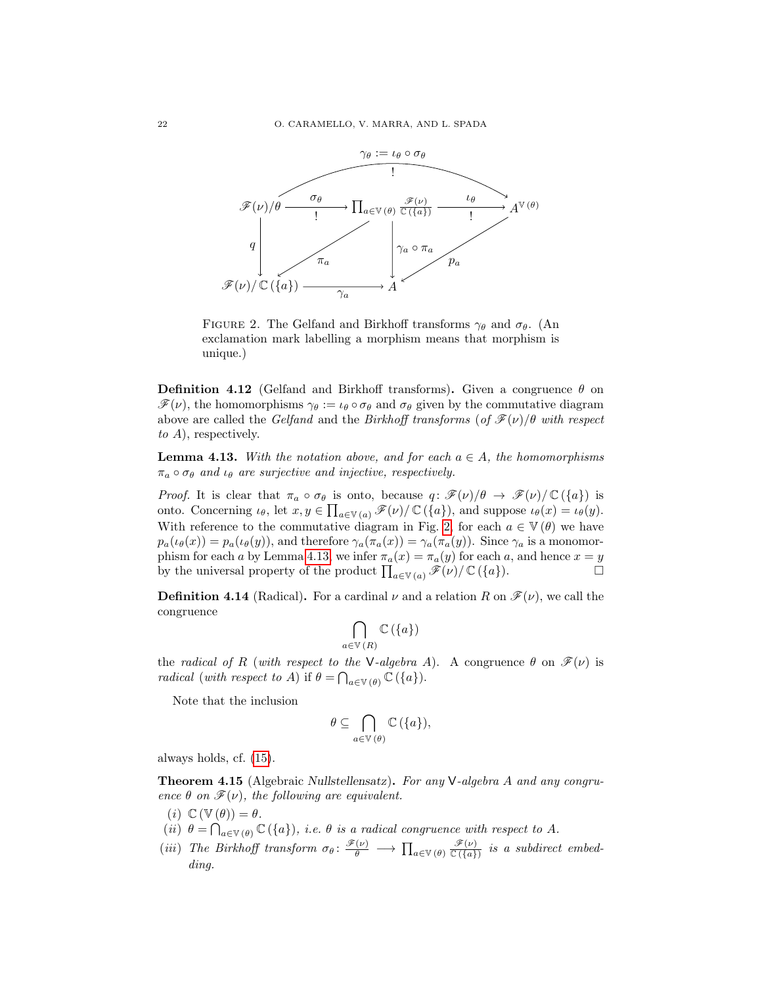

<span id="page-21-1"></span>FIGURE 2. The Gelfand and Birkhoff transforms  $\gamma_{\theta}$  and  $\sigma_{\theta}$ . (An exclamation mark labelling a morphism means that morphism is unique.)

**Definition 4.12** (Gelfand and Birkhoff transforms). Given a congruence  $\theta$  on  $\mathscr{F}(\nu)$ , the homomorphisms  $\gamma_{\theta} := \iota_{\theta} \circ \sigma_{\theta}$  and  $\sigma_{\theta}$  given by the commutative diagram above are called the Gelfand and the Birkhoff transforms (of  $\mathcal{F}(\nu)/\theta$  with respect to A), respectively.

<span id="page-21-2"></span>**Lemma 4.13.** With the notation above, and for each  $a \in A$ , the homomorphisms  $\pi_a \circ \sigma_\theta$  and  $\iota_\theta$  are surjective and injective, respectively.

*Proof.* It is clear that  $\pi_a \circ \sigma_\theta$  is onto, because  $q: \mathscr{F}(\nu)/\theta \to \mathscr{F}(\nu)/\mathbb{C}(\{a\})$  is onto. Concerning  $\iota_{\theta}$ , let  $x, y \in \prod_{a \in V(a)} \mathscr{F}(\nu) / \mathbb{C}(\{a\})$ , and suppose  $\iota_{\theta}(x) = \iota_{\theta}(y)$ . With reference to the commutative diagram in Fig. [2,](#page-21-1) for each  $a \in \mathbb{V}(\theta)$  we have  $p_a(\iota_\theta(x)) = p_a(\iota_\theta(y))$ , and therefore  $\gamma_a(\pi_a(x)) = \gamma_a(\pi_a(y))$ . Since  $\gamma_a$  is a monomor-phism for each a by Lemma [4.13,](#page-21-2) we infer  $\pi_a(x) = \pi_a(y)$  for each a, and hence  $x = y$ by the universal property of the product  $\prod_{a\in V(a)} \mathscr{F}(\nu)/\mathbb{C}(\{a\}).$ 

**Definition 4.14** (Radical). For a cardinal  $\nu$  and a relation R on  $\mathcal{F}(\nu)$ , we call the congruence

$$
\bigcap_{a\in\mathbb{V}\,(R)}\mathbb{C}\left(\{a\}\right)
$$

the radical of R (with respect to the V-algebra A). A congruence  $\theta$  on  $\mathscr{F}(\nu)$  is *radical* (with respect to A) if  $\theta = \bigcap_{a \in \mathbb{V}(\theta)} \mathbb{C}(\{a\}).$ 

Note that the inclusion

$$
\theta \subseteq \bigcap_{a \in \mathbb{V}(\theta)} \mathbb{C}(\{a\}),
$$

always holds, cf. [\(15\)](#page-10-1).

<span id="page-21-0"></span>Theorem 4.15 (Algebraic Nullstellensatz). For any V-algebra A and any congruence  $\theta$  on  $\mathscr{F}(\nu)$ , the following are equivalent.

- <span id="page-21-3"></span>(i)  $\mathbb{C}(\mathbb{V}(\theta)) = \theta$ .
- <span id="page-21-4"></span>(ii)  $\theta = \bigcap_{a \in V(\theta)} \mathbb{C}(\{a\}),$  i.e.  $\theta$  is a radical congruence with respect to A.
- <span id="page-21-5"></span>(iii) The Birkhoff transform  $\sigma_{\theta} \colon \frac{\mathscr{F}(\nu)}{\theta} \longrightarrow \prod_{a \in V(\theta)} \frac{\mathscr{F}(\nu)}{\mathbb{C}(\{a\})}$  is a subdirect embedding.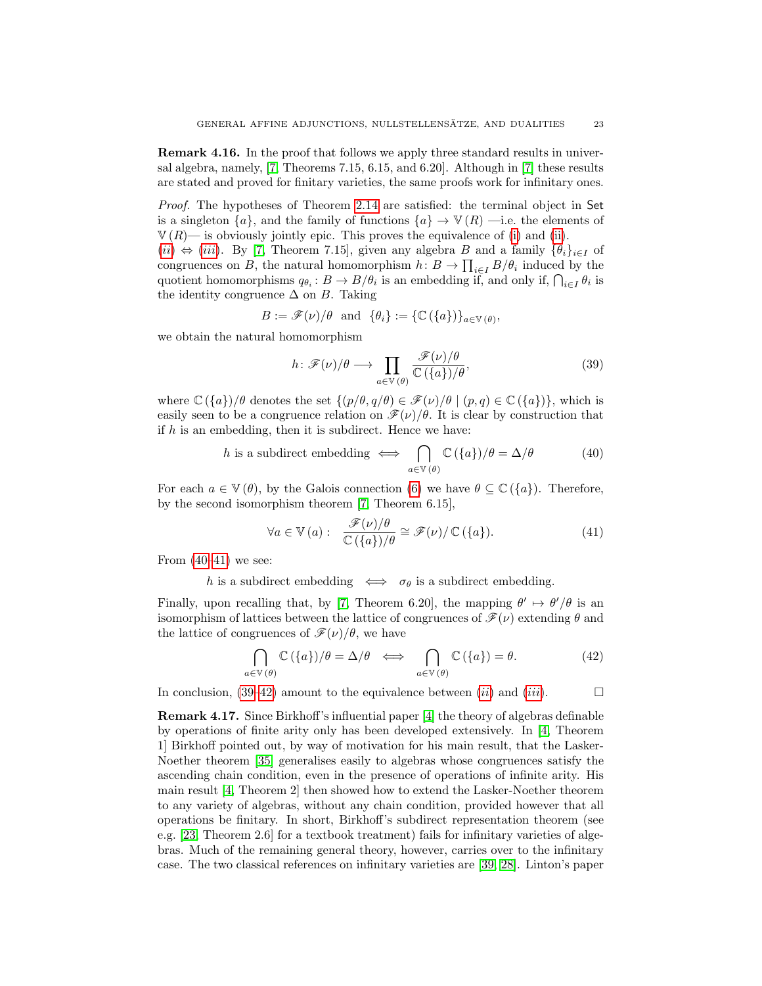Remark 4.16. In the proof that follows we apply three standard results in universal algebra, namely, [\[7,](#page-32-4) Theorems 7.15, 6.15, and 6.20]. Although in [\[7\]](#page-32-4) these results are stated and proved for finitary varieties, the same proofs work for infinitary ones.

Proof. The hypotheses of Theorem [2.14](#page-10-0) are satisfied: the terminal object in Set is a singleton  $\{a\}$ , and the family of functions  $\{a\} \rightarrow \mathbb{V}(R)$  —i.e. the elements of  $\mathbb{V}(R)$ — is obviously jointly epic. This proves the equivalence of [\(i\)](#page-21-3) and [\(ii\)](#page-21-4).

([ii](#page-21-4))  $\Leftrightarrow$  ([iii](#page-21-5)). By [\[7,](#page-32-4) Theorem 7.15], given any algebra B and a family  $\{\theta_i\}_{i\in I}$  of congruences on B, the natural homomorphism  $h: B \to \prod_{i \in I} B/\theta_i$  induced by the quotient homomorphisms  $q_{\theta_i}: B \to B/\theta_i$  is an embedding if, and only if,  $\bigcap_{i \in I} \theta_i$  is the identity congruence  $\Delta$  on B. Taking

$$
B := \mathscr{F}(\nu)/\theta \text{ and } \{\theta_i\} := \{\mathbb{C}\left(\{a\}\right)\}_{a \in \mathbb{V}\left(\theta\right)},
$$

we obtain the natural homomorphism

<span id="page-22-3"></span><span id="page-22-1"></span>
$$
h: \mathscr{F}(\nu)/\theta \longrightarrow \prod_{a \in \mathbb{V}(\theta)} \frac{\mathscr{F}(\nu)/\theta}{\mathbb{C}(\{a\})/\theta},\tag{39}
$$

where  $\mathbb{C}(\{a\})/\theta$  denotes the set  $\{(p/\theta, q/\theta) \in \mathscr{F}(\nu)/\theta \mid (p,q) \in \mathbb{C}(\{a\})\}\)$ , which is easily seen to be a congruence relation on  $\mathcal{F}(\nu)/\theta$ . It is clear by construction that if  $h$  is an embedding, then it is subdirect. Hence we have:

*h* is a subdirect embedding 
$$
\iff \bigcap_{a \in \mathbb{V}(\theta)} \mathbb{C}(\{a\})/\theta = \Delta/\theta
$$
 (40)

For each  $a \in \mathbb{V}(\theta)$ , by the Galois connection [\(6\)](#page-5-3) we have  $\theta \subseteq \mathbb{C}(\{a\})$ . Therefore, by the second isomorphism theorem [\[7,](#page-32-4) Theorem 6.15],

<span id="page-22-2"></span>
$$
\forall a \in \mathbb{V}(a): \quad \frac{\mathscr{F}(\nu)/\theta}{\mathbb{C}(\{a\})/\theta} \cong \mathscr{F}(\nu)/\mathbb{C}(\{a\}).\tag{41}
$$

From  $(40-41)$  $(40-41)$  we see:

h is a subdirect embedding  $\iff \sigma_{\theta}$  is a subdirect embedding.

Finally, upon recalling that, by [\[7,](#page-32-4) Theorem 6.20], the mapping  $\theta' \mapsto \theta'/\theta$  is an isomorphism of lattices between the lattice of congruences of  $\mathscr{F}(\nu)$  extending  $\theta$  and the lattice of congruences of  $\mathscr{F}(\nu)/\theta$ , we have

<span id="page-22-4"></span>
$$
\bigcap_{a\in\mathbb{V}(\theta)}\mathbb{C}\left(\{a\}\right)/\theta=\Delta/\theta \iff \bigcap_{a\in\mathbb{V}(\theta)}\mathbb{C}\left(\{a\}\right)=\theta. \tag{42}
$$

In conclusion,  $(39-42)$  $(39-42)$  amount to the equivalence between  $(ii)$  $(ii)$  $(ii)$  and  $(iii)$  $(iii)$  $(iii)$ .

<span id="page-22-0"></span>Remark 4.17. Since Birkhoff's influential paper [\[4\]](#page-32-16) the theory of algebras definable by operations of finite arity only has been developed extensively. In [\[4,](#page-32-16) Theorem 1] Birkhoff pointed out, by way of motivation for his main result, that the Lasker-Noether theorem [\[35\]](#page-33-8) generalises easily to algebras whose congruences satisfy the ascending chain condition, even in the presence of operations of infinite arity. His main result [\[4,](#page-32-16) Theorem 2] then showed how to extend the Lasker-Noether theorem to any variety of algebras, without any chain condition, provided however that all operations be finitary. In short, Birkhoff's subdirect representation theorem (see e.g. [\[23,](#page-32-3) Theorem 2.6] for a textbook treatment) fails for infinitary varieties of algebras. Much of the remaining general theory, however, carries over to the infinitary case. The two classical references on infinitary varieties are [\[39,](#page-33-0) [28\]](#page-32-5). Linton's paper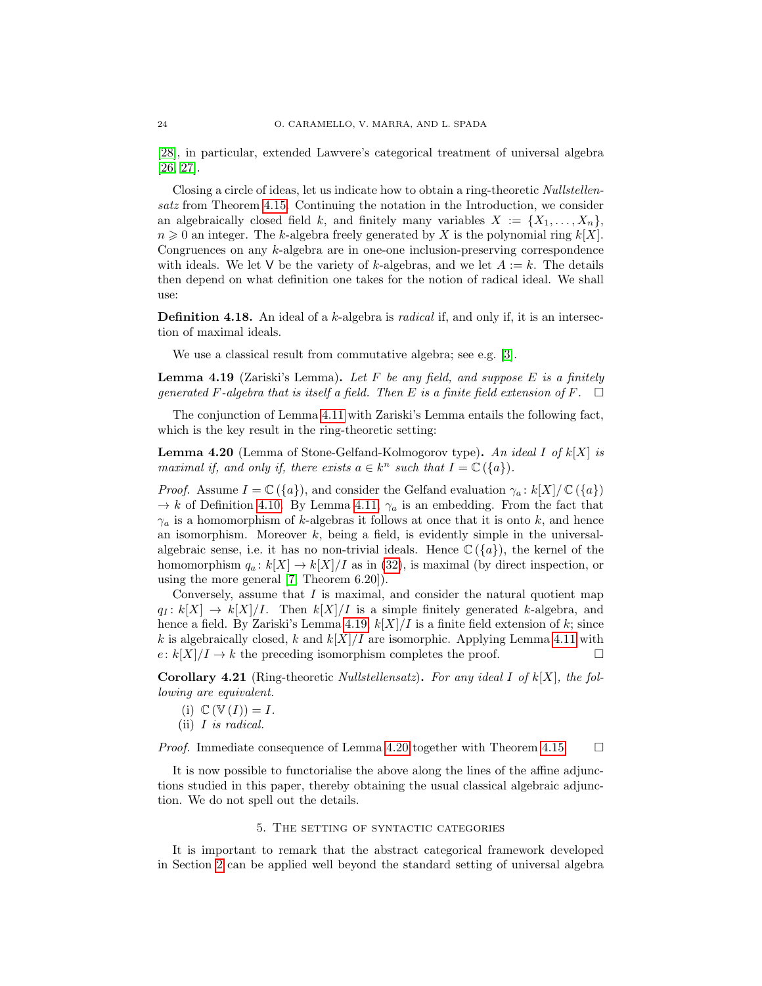[\[28\]](#page-32-5), in particular, extended Lawvere's categorical treatment of universal algebra [\[26,](#page-32-13) [27\]](#page-32-6).

Closing a circle of ideas, let us indicate how to obtain a ring-theoretic Nullstellensatz from Theorem [4.15.](#page-21-0) Continuing the notation in the Introduction, we consider an algebraically closed field k, and finitely many variables  $X := \{X_1, \ldots, X_n\}$ ,  $n \geq 0$  an integer. The k-algebra freely generated by X is the polynomial ring  $k[X]$ . Congruences on any k-algebra are in one-one inclusion-preserving correspondence with ideals. We let V be the variety of k-algebras, and we let  $A := k$ . The details then depend on what definition one takes for the notion of radical ideal. We shall use:

**Definition 4.18.** An ideal of a k-algebra is *radical* if, and only if, it is an intersection of maximal ideals.

We use a classical result from commutative algebra; see e.g. [\[3\]](#page-32-17).

<span id="page-23-1"></span>**Lemma 4.19** (Zariski's Lemma). Let F be any field, and suppose E is a finitely generated F-algebra that is itself a field. Then E is a finite field extension of F.  $\Box$ 

The conjunction of Lemma [4.11](#page-20-3) with Zariski's Lemma entails the following fact, which is the key result in the ring-theoretic setting:

<span id="page-23-2"></span>**Lemma 4.20** (Lemma of Stone-Gelfand-Kolmogorov type). An ideal I of  $k[X]$  is maximal if, and only if, there exists  $a \in k^n$  such that  $I = \mathbb{C}(\{a\}).$ 

*Proof.* Assume  $I = \mathbb{C}(\{a\})$ , and consider the Gelfand evaluation  $\gamma_a : k[X]/\mathbb{C}(\{a\})$  $\rightarrow k$  of Definition [4.10.](#page-19-3) By Lemma [4.11,](#page-20-3)  $\gamma_a$  is an embedding. From the fact that  $\gamma_a$  is a homomorphism of k-algebras it follows at once that it is onto k, and hence an isomorphism. Moreover  $k$ , being a field, is evidently simple in the universalalgebraic sense, i.e. it has no non-trivial ideals. Hence  $\mathbb{C}(\lbrace a \rbrace)$ , the kernel of the homomorphism  $q_a: k[X] \to k[X]/I$  as in [\(32\)](#page-19-4), is maximal (by direct inspection, or using the more general [\[7,](#page-32-4) Theorem 6.20]).

Conversely, assume that  $I$  is maximal, and consider the natural quotient map  $q_I : k[X] \to k[X]/I$ . Then  $k[X]/I$  is a simple finitely generated k-algebra, and hence a field. By Zariski's Lemma [4.19,](#page-23-1)  $k[X]/I$  is a finite field extension of k; since k is algebraically closed, k and  $k[X]/I$  are isomorphic. Applying Lemma [4.11](#page-20-3) with  $e: k[X]/I \to k$  the preceding isomorphism completes the proof.

**Corollary 4.21** (Ring-theoretic *Nullstellensatz*). For any ideal I of  $k[X]$ , the following are equivalent.

- (i)  $\mathbb{C}(\mathbb{V}(I)) = I$ .
- (ii) I is radical.

*Proof.* Immediate consequence of Lemma [4.20](#page-23-2) together with Theorem [4.15.](#page-21-0)  $\Box$ 

It is now possible to functorialise the above along the lines of the affine adjunctions studied in this paper, thereby obtaining the usual classical algebraic adjunction. We do not spell out the details.

### 5. The setting of syntactic categories

<span id="page-23-0"></span>It is important to remark that the abstract categorical framework developed in Section [2](#page-4-0) can be applied well beyond the standard setting of universal algebra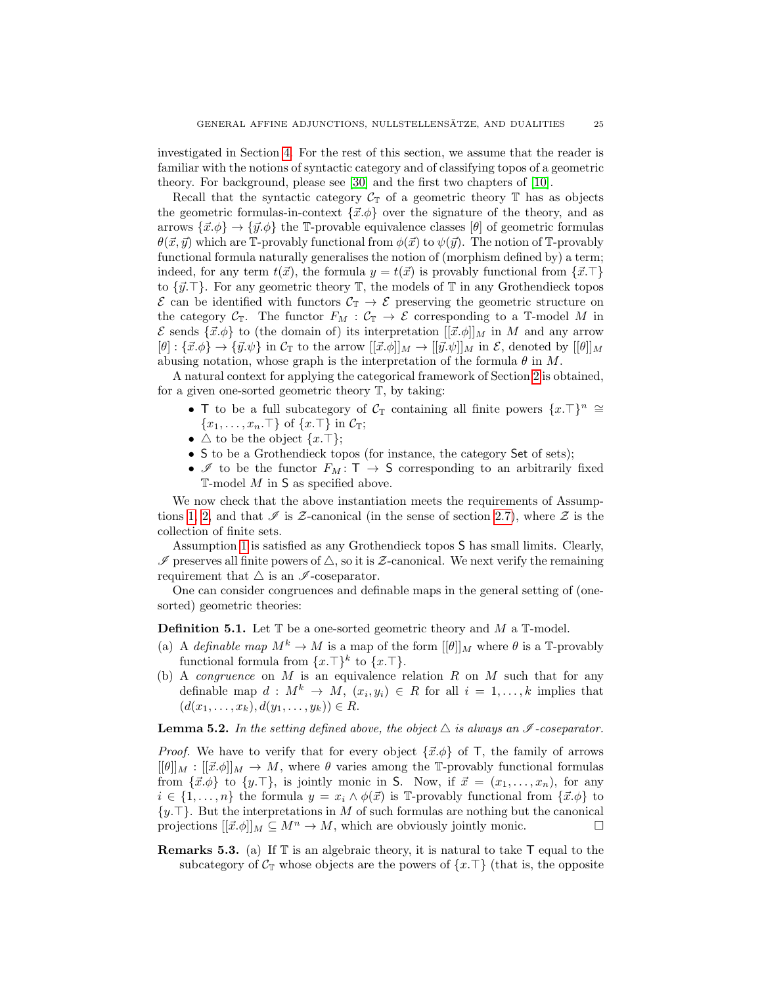investigated in Section [4.](#page-14-0) For the rest of this section, we assume that the reader is familiar with the notions of syntactic category and of classifying topos of a geometric theory. For background, please see [\[30\]](#page-32-18) and the first two chapters of [\[10\]](#page-32-19).

Recall that the syntactic category  $\mathcal{C}_{\mathbb{T}}$  of a geometric theory  $\mathbb{T}$  has as objects the geometric formulas-in-context  $\{\vec{x}, \phi\}$  over the signature of the theory, and as arrows  $\{\vec{x}.\phi\} \rightarrow \{\vec{y}.\phi\}$  the T-provable equivalence classes  $[\theta]$  of geometric formulas  $\theta(\vec{x}, \vec{y})$  which are T-provably functional from  $\phi(\vec{x})$  to  $\psi(\vec{y})$ . The notion of T-provably functional formula naturally generalises the notion of (morphism defined by) a term; indeed, for any term  $t(\vec{x})$ , the formula  $y = t(\vec{x})$  is provably functional from  $\{\vec{x}.\top\}$ to  $\{\vec{y}.\top\}$ . For any geometric theory  $\mathbb T$ , the models of  $\mathbb T$  in any Grothendieck topos  $\mathcal E$  can be identified with functors  $\mathcal C_{\mathbb T}\to \mathcal E$  preserving the geometric structure on the category  $C_T$ . The functor  $F_M : C_T \to \mathcal{E}$  corresponding to a T-model M in  $\mathcal E$  sends  $\{\vec{x},\phi\}$  to (the domain of) its interpretation  $[[\vec{x}. \phi]]_M$  in M and any arrow  $[\theta]: {\{\vec{x}. \phi\}} \to {\{\vec{y}. \psi\}}$  in  $\mathcal{C}_{\mathbb{T}}$  to the arrow  $[[\vec{x}. \phi]]_M \to [[\vec{y}. \psi]]_M$  in  $\mathcal{E}$ , denoted by  $[[\theta]]_M$ abusing notation, whose graph is the interpretation of the formula  $\theta$  in M.

A natural context for applying the categorical framework of Section [2](#page-4-0) is obtained, for a given one-sorted geometric theory T, by taking:

- T to be a full subcategory of  $\mathcal{C}_{\mathbb{T}}$  containing all finite powers  $\{x.\top\}^n \cong$  ${x_1, \ldots, x_n.\top}$  of  ${x.\top}$  in  $\mathcal{C}_T$ ;
- $\Delta$  to be the object  $\{x.\top\};$
- S to be a Grothendieck topos (for instance, the category Set of sets);
- $\mathscr I$  to be the functor  $F_M: \mathsf T \to \mathsf S$  corresponding to an arbitrarily fixed  $\mathbb{T}\text{-model }M$  in **S** as specified above.

We now check that the above instantiation meets the requirements of Assump-tions [1,](#page-4-1) [2,](#page-7-1) and that  $\mathscr I$  is Z-canonical (in the sense of section [2.7\)](#page-8-4), where  $\mathscr Z$  is the collection of finite sets.

Assumption [1](#page-4-1) is satisfied as any Grothendieck topos S has small limits. Clearly,  $\mathscr I$  preserves all finite powers of  $\triangle$ , so it is  $\mathcal Z$ -canonical. We next verify the remaining requirement that  $\triangle$  is an  $\mathscr I$ -coseparator.

One can consider congruences and definable maps in the general setting of (onesorted) geometric theories:

<span id="page-24-0"></span>**Definition 5.1.** Let  $\mathbb{T}$  be a one-sorted geometric theory and M a  $\mathbb{T}$ -model.

- (a) A definable map  $M^k \to M$  is a map of the form  $[[\theta]]_M$  where  $\theta$  is a T-provably functional formula from  $\{x.\top\}^k$  to  $\{x.\top\}$ .
- (b) A *congruence* on  $M$  is an equivalence relation  $R$  on  $M$  such that for any definable map  $d: M^k \to M$ ,  $(x_i, y_i) \in R$  for all  $i = 1, ..., k$  implies that  $(d(x_1, \ldots, x_k), d(y_1, \ldots, y_k)) \in R.$

## **Lemma 5.2.** In the setting defined above, the object  $\triangle$  is always an  $\mathscr I$ -coseparator.

*Proof.* We have to verify that for every object  $\{\vec{x}.\phi\}$  of T, the family of arrows  $[[\theta]]_M : [[\vec{x}, \phi]]_M \to M$ , where  $\theta$  varies among the T-provably functional formulas from  $\{\vec{x}.\phi\}$  to  $\{y.\top\}$ , is jointly monic in S. Now, if  $\vec{x} = (x_1, \ldots, x_n)$ , for any  $i \in \{1, \ldots, n\}$  the formula  $y = x_i \wedge \phi(\vec{x})$  is T-provably functional from  $\{\vec{x} \cdot \phi\}$  to  $\{y.\top\}$ . But the interpretations in M of such formulas are nothing but the canonical projections  $[[\vec{x}. \phi]]_M \subseteq M^n \to M$ , which are obviously jointly monic.

**Remarks 5.3.** (a) If  $\mathbb{T}$  is an algebraic theory, it is natural to take  $\mathsf{T}$  equal to the subcategory of  $C_{\mathbb{T}}$  whose objects are the powers of  $\{x.\top\}$  (that is, the opposite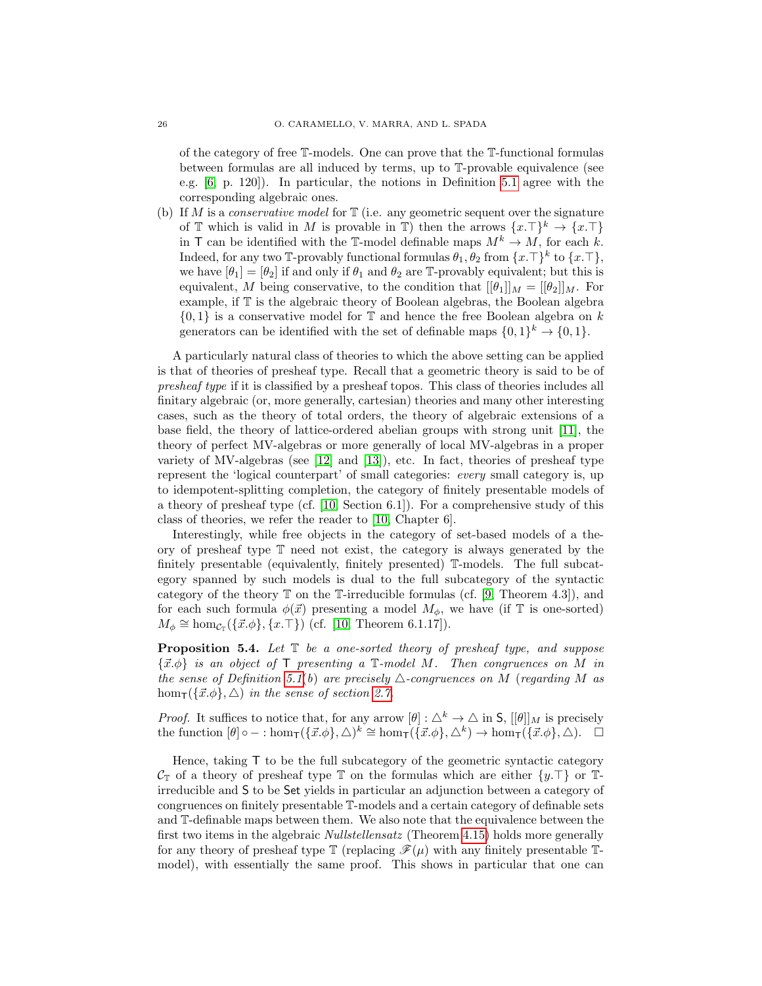of the category of free T-models. One can prove that the T-functional formulas between formulas are all induced by terms, up to T-provable equivalence (see e.g. [\[6,](#page-32-20) p. 120]). In particular, the notions in Definition [5.1](#page-24-0) agree with the corresponding algebraic ones.

(b) If M is a *conservative model* for  $\mathbb T$  (i.e. any geometric sequent over the signature of  $\mathbb T$  which is valid in M is provable in  $\mathbb T$ ) then the arrows  $\{x.\top\}^k \to \{x.\top\}^k$ in T can be identified with the T-model definable maps  $M^k \to M$ , for each k. Indeed, for any two T-provably functional formulas  $\theta_1, \theta_2$  from  $\{x.\top\}^k$  to  $\{x.\top\}$ , we have  $[\theta_1] = [\theta_2]$  if and only if  $\theta_1$  and  $\theta_2$  are T-provably equivalent; but this is equivalent, M being conservative, to the condition that  $[[\theta_1]]_M = [[\theta_2]]_M$ . For example, if T is the algebraic theory of Boolean algebras, the Boolean algebra  $\{0, 1\}$  is a conservative model for  $\mathbb T$  and hence the free Boolean algebra on k generators can be identified with the set of definable maps  $\{0,1\}^k \to \{0,1\}$ .

A particularly natural class of theories to which the above setting can be applied is that of theories of presheaf type. Recall that a geometric theory is said to be of presheaf type if it is classified by a presheaf topos. This class of theories includes all finitary algebraic (or, more generally, cartesian) theories and many other interesting cases, such as the theory of total orders, the theory of algebraic extensions of a base field, the theory of lattice-ordered abelian groups with strong unit [\[11\]](#page-32-21), the theory of perfect MV-algebras or more generally of local MV-algebras in a proper variety of MV-algebras (see [\[12\]](#page-32-22) and [\[13\]](#page-32-23)), etc. In fact, theories of presheaf type represent the 'logical counterpart' of small categories: every small category is, up to idempotent-splitting completion, the category of finitely presentable models of a theory of presheaf type (cf. [\[10,](#page-32-19) Section 6.1]). For a comprehensive study of this class of theories, we refer the reader to [\[10,](#page-32-19) Chapter 6].

Interestingly, while free objects in the category of set-based models of a theory of presheaf type T need not exist, the category is always generated by the finitely presentable (equivalently, finitely presented) T-models. The full subcategory spanned by such models is dual to the full subcategory of the syntactic category of the theory  $\mathbb T$  on the T-irreducible formulas (cf. [\[9,](#page-32-24) Theorem 4.3]), and for each such formula  $\phi(\vec{x})$  presenting a model  $M_{\phi}$ , we have (if T is one-sorted)  $M_{\phi} \cong \text{hom}_{\mathcal{C}_{T}}(\{\vec{x}.\phi\}, \{x.\top\})$  (cf. [\[10,](#page-32-19) Theorem 6.1.17]).

**Proposition 5.4.** Let  $\mathbb{T}$  be a one-sorted theory of presheaf type, and suppose  $\{\vec{x}.\phi\}$  is an object of T presenting a T-model M. Then congruences on M in the sense of Definition [5.1](#page-24-0)(b) are precisely  $\triangle$ -congruences on M (regarding M as  $hom_{\mathsf{T}}(\{\vec{x}. \phi\}, \triangle)$  in the sense of section [2.7.](#page-8-4)

*Proof.* It suffices to notice that, for any arrow  $[\theta] : \Delta^k \to \Delta$  in S,  $[[\theta]]_M$  is precisely the function  $[\theta] \circ - : \hom_{\mathsf{T}}(\{\vec{x}.\phi\}, \triangle)^k \cong \hom_{\mathsf{T}}(\{\vec{x}.\phi\}, \triangle^k) \to \hom_{\mathsf{T}}(\{\vec{x}.\phi\}, \triangle)$ .

Hence, taking  $\mathsf T$  to be the full subcategory of the geometric syntactic category  $\mathcal{C}_{\mathbb{T}}$  of a theory of presheaf type  $\mathbb{T}$  on the formulas which are either  $\{y.\mathbb{T}\}\$ or  $\mathbb{T}$ irreducible and S to be Set yields in particular an adjunction between a category of congruences on finitely presentable T-models and a certain category of definable sets and T-definable maps between them. We also note that the equivalence between the first two items in the algebraic *Nullstellensatz* (Theorem [4.15\)](#page-21-0) holds more generally for any theory of presheaf type  $\mathbb T$  (replacing  $\mathscr F(\mu)$  with any finitely presentable  $\mathbb T$ model), with essentially the same proof. This shows in particular that one can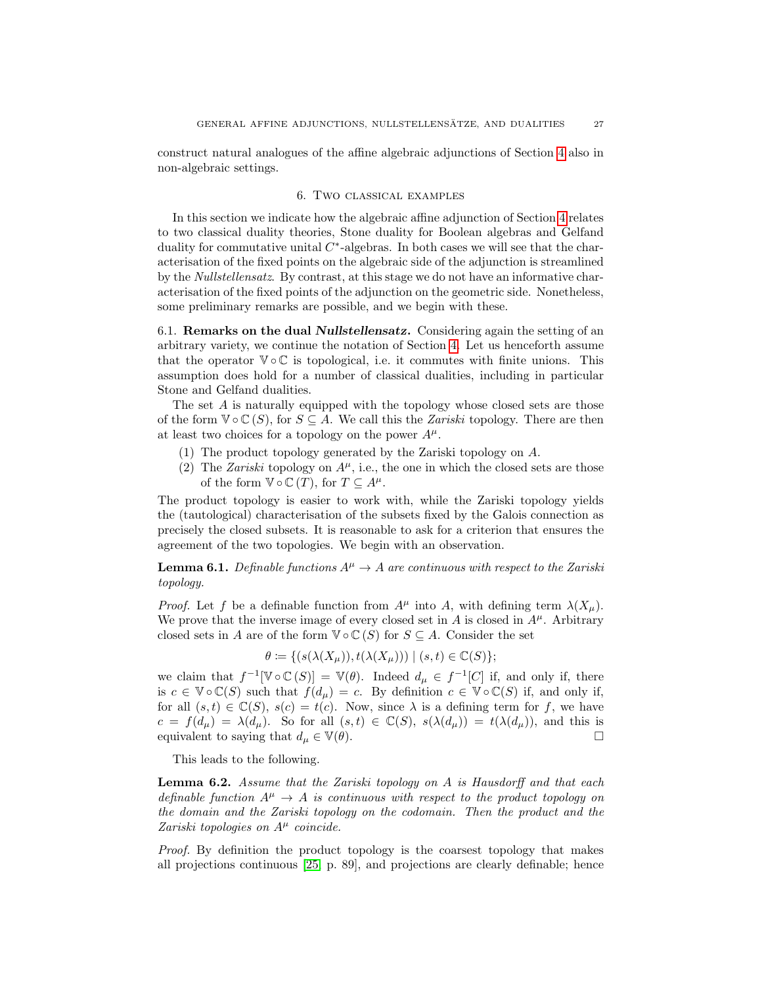construct natural analogues of the affine algebraic adjunctions of Section [4](#page-14-0) also in non-algebraic settings.

### 6. Two classical examples

<span id="page-26-1"></span>In this section we indicate how the algebraic affine adjunction of Section [4](#page-14-0) relates to two classical duality theories, Stone duality for Boolean algebras and Gelfand duality for commutative unital  $C^*$ -algebras. In both cases we will see that the characterisation of the fixed points on the algebraic side of the adjunction is streamlined by the Nullstellensatz. By contrast, at this stage we do not have an informative characterisation of the fixed points of the adjunction on the geometric side. Nonetheless, some preliminary remarks are possible, and we begin with these.

<span id="page-26-0"></span>6.1. Remarks on the dual Nullstellensatz. Considering again the setting of an arbitrary variety, we continue the notation of Section [4.](#page-14-0) Let us henceforth assume that the operator  $\mathbb{V} \circ \mathbb{C}$  is topological, i.e. it commutes with finite unions. This assumption does hold for a number of classical dualities, including in particular Stone and Gelfand dualities.

The set A is naturally equipped with the topology whose closed sets are those of the form  $\mathbb{V} \circ \mathbb{C}(S)$ , for  $S \subseteq A$ . We call this the *Zariski* topology. There are then at least two choices for a topology on the power  $A^{\mu}$ .

- (1) The product topology generated by the Zariski topology on A.
- (2) The Zariski topology on  $A^{\mu}$ , i.e., the one in which the closed sets are those of the form  $\mathbb{V} \circ \mathbb{C}(T)$ , for  $T \subseteq A^{\mu}$ .

The product topology is easier to work with, while the Zariski topology yields the (tautological) characterisation of the subsets fixed by the Galois connection as precisely the closed subsets. It is reasonable to ask for a criterion that ensures the agreement of the two topologies. We begin with an observation.

<span id="page-26-2"></span>**Lemma 6.1.** Definable functions  $A^{\mu} \rightarrow A$  are continuous with respect to the Zariski topology.

*Proof.* Let f be a definable function from  $A^{\mu}$  into A, with defining term  $\lambda(X_{\mu})$ . We prove that the inverse image of every closed set in A is closed in  $A^{\mu}$ . Arbitrary closed sets in A are of the form  $\mathbb{V} \circ \mathbb{C}(S)$  for  $S \subseteq A$ . Consider the set

$$
\theta := \{ (s(\lambda(X_{\mu})), t(\lambda(X_{\mu}))) \mid (s, t) \in \mathbb{C}(S) \};
$$

we claim that  $f^{-1}[\mathbb{V} \circ \mathbb{C}(S)] = \mathbb{V}(\theta)$ . Indeed  $d_{\mu} \in f^{-1}[C]$  if, and only if, there is  $c \in \mathbb{V} \circ \mathbb{C}(S)$  such that  $f(d_{\mu}) = c$ . By definition  $c \in \mathbb{V} \circ \mathbb{C}(S)$  if, and only if, for all  $(s, t) \in \mathbb{C}(S)$ ,  $s(c) = t(c)$ . Now, since  $\lambda$  is a defining term for f, we have  $c = f(d_\mu) = \lambda(d_\mu)$ . So for all  $(s, t) \in \mathbb{C}(S)$ ,  $s(\lambda(d_\mu)) = t(\lambda(d_\mu))$ , and this is equivalent to saying that  $d_{\mu} \in \mathbb{V}(\theta)$ .

This leads to the following.

<span id="page-26-3"></span>**Lemma 6.2.** Assume that the Zariski topology on  $A$  is Hausdorff and that each definable function  $A^{\mu} \rightarrow A$  is continuous with respect to the product topology on the domain and the Zariski topology on the codomain. Then the product and the Zariski topologies on  $A^{\mu}$  coincide.

Proof. By definition the product topology is the coarsest topology that makes all projections continuous [\[25,](#page-32-25) p. 89], and projections are clearly definable; hence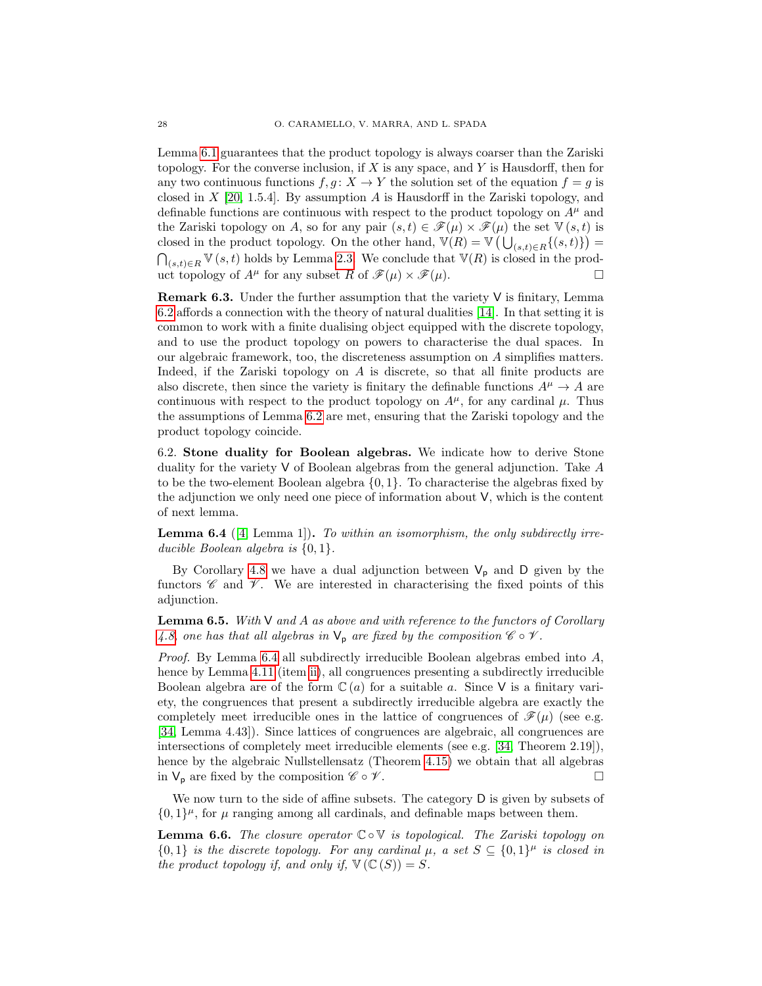Lemma [6.1](#page-26-2) guarantees that the product topology is always coarser than the Zariski topology. For the converse inclusion, if  $X$  is any space, and  $Y$  is Hausdorff, then for any two continuous functions  $f, g: X \to Y$  the solution set of the equation  $f = g$  is closed in  $X$  [\[20,](#page-32-26) 1.5.4]. By assumption  $A$  is Hausdorff in the Zariski topology, and definable functions are continuous with respect to the product topology on  $A^{\mu}$  and the Zariski topology on A, so for any pair  $(s,t) \in \mathscr{F}(\mu) \times \mathscr{F}(\mu)$  the set  $\mathbb{V}(s,t)$  is closed in the product topology. On the other hand,  $\mathbb{V}(R) = \mathbb{V}(\bigcup_{(s,t)\in R}\{(s,t)\}) =$  $\bigcap_{(s,t)\in R} \mathbb{V}(s,t)$  holds by Lemma [2.3.](#page-5-0) We conclude that  $\mathbb{V}(R)$  is closed in the product topology of  $A^{\mu}$  for any subset R of  $\mathscr{F}(\mu) \times \mathscr{F}(\mu)$ .

<span id="page-27-1"></span>**Remark 6.3.** Under the further assumption that the variety  $V$  is finitary, Lemma [6.2](#page-26-3) affords a connection with the theory of natural dualities [\[14\]](#page-32-11). In that setting it is common to work with a finite dualising object equipped with the discrete topology, and to use the product topology on powers to characterise the dual spaces. In our algebraic framework, too, the discreteness assumption on A simplifies matters. Indeed, if the Zariski topology on A is discrete, so that all finite products are also discrete, then since the variety is finitary the definable functions  $A^{\mu} \to A$  are continuous with respect to the product topology on  $A^{\mu}$ , for any cardinal  $\mu$ . Thus the assumptions of Lemma [6.2](#page-26-3) are met, ensuring that the Zariski topology and the product topology coincide.

6.2. Stone duality for Boolean algebras. We indicate how to derive Stone duality for the variety  $V$  of Boolean algebras from the general adjunction. Take A to be the two-element Boolean algebra  $\{0, 1\}$ . To characterise the algebras fixed by the adjunction we only need one piece of information about V, which is the content of next lemma.

<span id="page-27-0"></span>**Lemma 6.4** ([\[4,](#page-32-16) Lemma 1]). To within an isomorphism, the only subdirectly irreducible Boolean algebra is  $\{0, 1\}.$ 

By Corollary [4.8](#page-18-1) we have a dual adjunction between  $V_p$  and D given by the functors  $\mathscr C$  and  $\mathscr V$ . We are interested in characterising the fixed points of this adjunction.

<span id="page-27-2"></span>**Lemma 6.5.** With  $V$  and A as above and with reference to the functors of Corollary [4.8,](#page-18-1) one has that all algebras in  $\mathsf{V}_p$  are fixed by the composition  $\mathscr{C} \circ \mathscr{V}$ .

*Proof.* By Lemma [6.4](#page-27-0) all subdirectly irreducible Boolean algebras embed into  $A$ , hence by Lemma [4.11](#page-20-3) (item [ii\)](#page-20-4), all congruences presenting a subdirectly irreducible Boolean algebra are of the form  $\mathbb{C}(a)$  for a suitable a. Since V is a finitary variety, the congruences that present a subdirectly irreducible algebra are exactly the completely meet irreducible ones in the lattice of congruences of  $\mathscr{F}(\mu)$  (see e.g. [\[34,](#page-33-9) Lemma 4.43]). Since lattices of congruences are algebraic, all congruences are intersections of completely meet irreducible elements (see e.g. [\[34,](#page-33-9) Theorem 2.19]), hence by the algebraic Nullstellensatz (Theorem [4.15\)](#page-21-0) we obtain that all algebras in  $V_p$  are fixed by the composition  $\mathscr{C} \circ \mathscr{V}$ .

We now turn to the side of affine subsets. The category D is given by subsets of  $\{0,1\}^{\mu}$ , for  $\mu$  ranging among all cardinals, and definable maps between them.

<span id="page-27-3"></span>**Lemma 6.6.** The closure operator  $\mathbb{C} \circ \mathbb{V}$  is topological. The Zariski topology on  ${0,1}$  is the discrete topology. For any cardinal  $\mu$ , a set  $S \subseteq \{0,1\}^{\mu}$  is closed in the product topology if, and only if,  $\nabla (\mathbb{C}(S)) = S$ .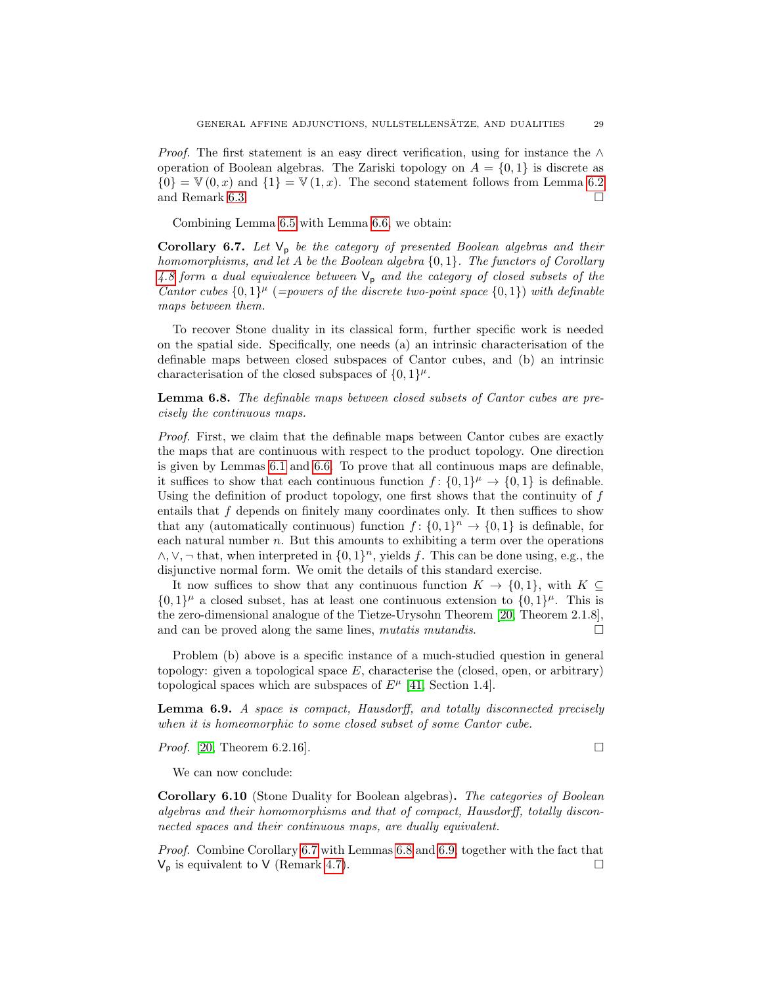*Proof.* The first statement is an easy direct verification, using for instance the  $\wedge$ operation of Boolean algebras. The Zariski topology on  $A = \{0, 1\}$  is discrete as  $\{0\} = \mathbb{V}(0, x)$  and  $\{1\} = \mathbb{V}(1, x)$ . The second statement follows from Lemma [6.2](#page-26-3) and Remark [6.3.](#page-27-1)  $\Box$ 

Combining Lemma [6.5](#page-27-2) with Lemma [6.6,](#page-27-3) we obtain:

<span id="page-28-0"></span>Corollary 6.7. Let  $V_p$  be the category of presented Boolean algebras and their homomorphisms, and let A be the Boolean algebra  $\{0, 1\}$ . The functors of Corollary [4.8](#page-18-1) form a dual equivalence between  $V_p$  and the category of closed subsets of the Cantor cubes  $\{0,1\}^\mu$  (=powers of the discrete two-point space  $\{0,1\}$ ) with definable maps between them.

To recover Stone duality in its classical form, further specific work is needed on the spatial side. Specifically, one needs (a) an intrinsic characterisation of the definable maps between closed subspaces of Cantor cubes, and (b) an intrinsic characterisation of the closed subspaces of  $\{0,1\}^{\mu}$ .

<span id="page-28-1"></span>Lemma 6.8. The definable maps between closed subsets of Cantor cubes are precisely the continuous maps.

Proof. First, we claim that the definable maps between Cantor cubes are exactly the maps that are continuous with respect to the product topology. One direction is given by Lemmas [6.1](#page-26-2) and [6.6.](#page-27-3) To prove that all continuous maps are definable, it suffices to show that each continuous function  $f: \{0,1\}^{\mu} \to \{0,1\}$  is definable. Using the definition of product topology, one first shows that the continuity of  $f$ entails that f depends on finitely many coordinates only. It then suffices to show that any (automatically continuous) function  $f: \{0,1\}^n \to \{0,1\}$  is definable, for each natural number n. But this amounts to exhibiting a term over the operations  $\wedge, \vee, \neg$  that, when interpreted in  $\{0,1\}^n$ , yields f. This can be done using, e.g., the disjunctive normal form. We omit the details of this standard exercise.

It now suffices to show that any continuous function  $K \to \{0,1\}$ , with  $K \subseteq$  $\{0,1\}^{\mu}$  a closed subset, has at least one continuous extension to  $\{0,1\}^{\mu}$ . This is the zero-dimensional analogue of the Tietze-Urysohn Theorem [\[20,](#page-32-26) Theorem 2.1.8], and can be proved along the same lines, mutatis mutandis.  $\square$ 

Problem (b) above is a specific instance of a much-studied question in general topology: given a topological space  $E$ , characterise the (closed, open, or arbitrary) topological spaces which are subspaces of  $E^{\mu}$  [\[41,](#page-33-10) Section 1.4].

<span id="page-28-2"></span>Lemma 6.9. A space is compact, Hausdorff, and totally disconnected precisely when it is homeomorphic to some closed subset of some Cantor cube.

*Proof.* [\[20,](#page-32-26) Theorem 6.2.16].

We can now conclude:

Corollary 6.10 (Stone Duality for Boolean algebras). The categories of Boolean algebras and their homomorphisms and that of compact, Hausdorff, totally disconnected spaces and their continuous maps, are dually equivalent.

Proof. Combine Corollary [6.7](#page-28-0) with Lemmas [6.8](#page-28-1) and [6.9,](#page-28-2) together with the fact that  $V_{\rm p}$  is equivalent to V (Remark [4.7\)](#page-18-0).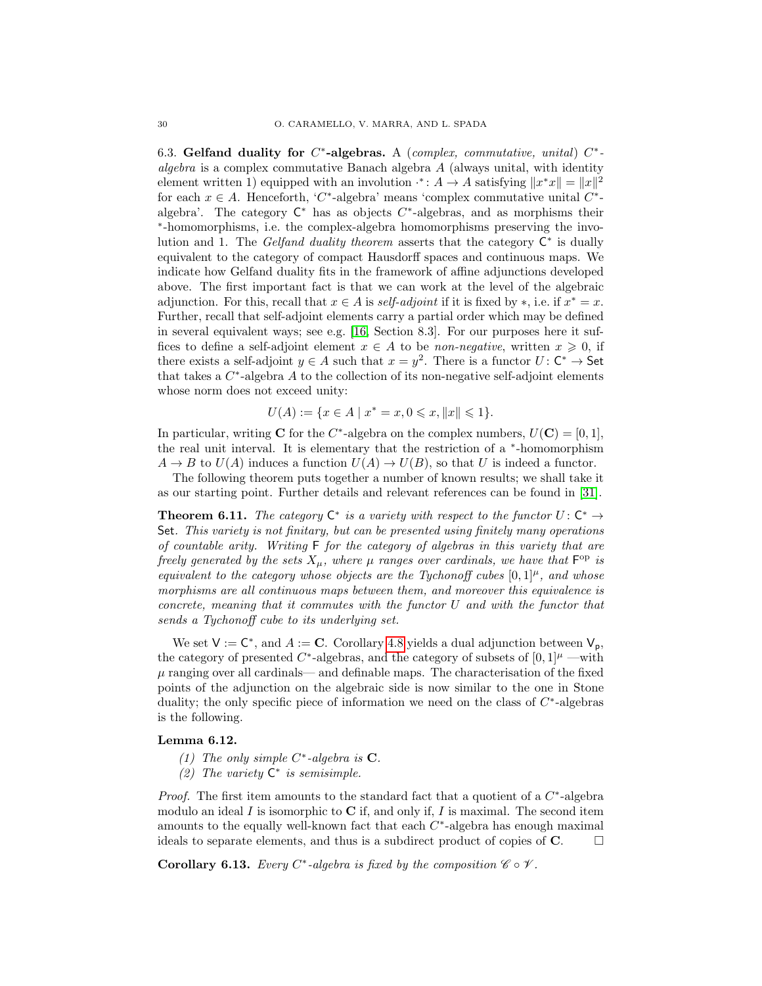6.3. Gelfand duality for  $C^*$ -algebras. A (complex, commutative, unital)  $C^*$ algebra is a complex commutative Banach algebra  $A$  (always unital, with identity element written 1) equipped with an involution  $f: A \to A$  satisfying  $||x^*x|| = ||x||^2$ for each  $x \in A$ . Henceforth, 'C<sup>\*</sup>-algebra' means 'complex commutative unital C<sup>\*</sup>algebra'. The category  $\mathsf{C}^*$  has as objects  $C^*$ -algebras, and as morphisms their ∗ -homomorphisms, i.e. the complex-algebra homomorphisms preserving the involution and 1. The Gelfand duality theorem asserts that the category  $C^*$  is dually equivalent to the category of compact Hausdorff spaces and continuous maps. We indicate how Gelfand duality fits in the framework of affine adjunctions developed above. The first important fact is that we can work at the level of the algebraic adjunction. For this, recall that  $x \in A$  is self-adjoint if it is fixed by \*, i.e. if  $x^* = x$ . Further, recall that self-adjoint elements carry a partial order which may be defined in several equivalent ways; see e.g. [\[16,](#page-32-27) Section 8.3]. For our purposes here it suffices to define a self-adjoint element  $x \in A$  to be *non-negative*, written  $x \ge 0$ , if there exists a self-adjoint  $y \in A$  such that  $x = y^2$ . There is a functor  $U: \mathbb{C}^* \to \mathsf{Set}$ that takes a  $C^*$ -algebra A to the collection of its non-negative self-adjoint elements whose norm does not exceed unity:

$$
U(A) := \{ x \in A \mid x^* = x, 0 \leq x, ||x|| \leq 1 \}.
$$

In particular, writing **C** for the C<sup>\*</sup>-algebra on the complex numbers,  $U(\mathbf{C}) = [0, 1]$ , the real unit interval. It is elementary that the restriction of a <sup>∗</sup> -homomorphism  $A \to B$  to  $U(A)$  induces a function  $U(A) \to U(B)$ , so that U is indeed a functor.

The following theorem puts together a number of known results; we shall take it as our starting point. Further details and relevant references can be found in [\[31\]](#page-33-3).

<span id="page-29-3"></span>**Theorem 6.11.** The category  $C^*$  is a variety with respect to the functor  $U: C^* \to$ Set. This variety is not finitary, but can be presented using finitely many operations of countable arity. Writing F for the category of algebras in this variety that are freely generated by the sets  $X_{\mu}$ , where  $\mu$  ranges over cardinals, we have that  $\mathsf{F}^{\rm op}$  is equivalent to the category whose objects are the Tychonoff cubes  $[0, 1]^{\mu}$ , and whose morphisms are all continuous maps between them, and moreover this equivalence is concrete, meaning that it commutes with the functor U and with the functor that sends a Tychonoff cube to its underlying set.

We set  $V := C^*$ , and  $A := C$ . Corollary [4.8](#page-18-1) yields a dual adjunction between  $V_p$ , the category of presented  $C^*$ -algebras, and the category of subsets of  $[0,1]^\mu$  —with  $\mu$  ranging over all cardinals— and definable maps. The characterisation of the fixed points of the adjunction on the algebraic side is now similar to the one in Stone duality; the only specific piece of information we need on the class of  $C^*$ -algebras is the following.

## <span id="page-29-2"></span><span id="page-29-0"></span>Lemma 6.12.

- (1) The only simple  $C^*$ -algebra is **C**.
- <span id="page-29-1"></span>(2) The variety  $C^*$  is semisimple.

*Proof.* The first item amounts to the standard fact that a quotient of a  $C^*$ -algebra modulo an ideal I is isomorphic to  $C$  if, and only if, I is maximal. The second item amounts to the equally well-known fact that each  $C^*$ -algebra has enough maximal ideals to separate elements, and thus is a subdirect product of copies of  $\mathbf{C}$ .  $\Box$ 

**Corollary 6.13.** Every C<sup>\*</sup>-algebra is fixed by the composition  $\mathscr{C} \circ \mathscr{V}$ .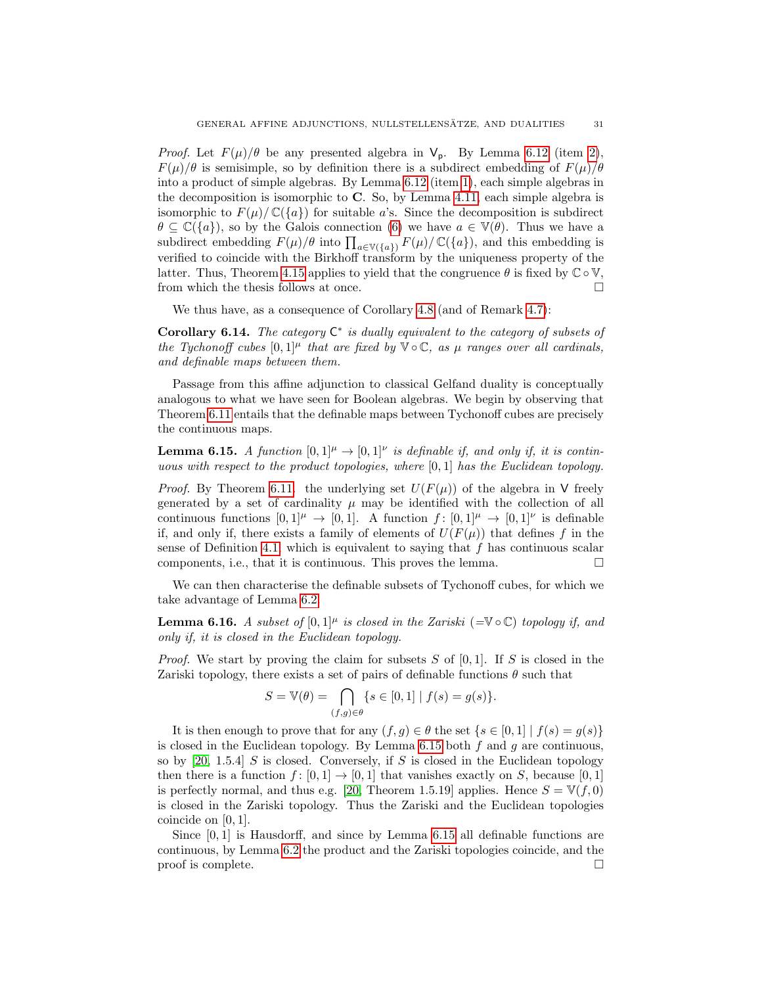*Proof.* Let  $F(\mu)/\theta$  be any presented algebra in  $V_p$ . By Lemma [6.12](#page-29-0) (item [2\)](#page-29-1),  $F(\mu)/\theta$  is semisimple, so by definition there is a subdirect embedding of  $F(\mu)/\theta$ into a product of simple algebras. By Lemma [6.12](#page-29-0) (item [1\)](#page-29-2), each simple algebras in the decomposition is isomorphic to  $C$ . So, by Lemma [4.11,](#page-20-3) each simple algebra is isomorphic to  $F(\mu)/\mathbb{C}(\lbrace a \rbrace)$  for suitable a's. Since the decomposition is subdirect  $\theta \subseteq \mathbb{C}(\{a\})$ , so by the Galois connection [\(6\)](#page-5-3) we have  $a \in \mathbb{V}(\theta)$ . Thus we have a subdirect embedding  $F(\mu)/\theta$  into  $\prod_{a \in \mathbb{V}(\{a\})} F(\mu)/\mathbb{C}(\{a\})$ , and this embedding is verified to coincide with the Birkhoff transform by the uniqueness property of the latter. Thus, Theorem [4.15](#page-21-0) applies to yield that the congruence  $\theta$  is fixed by  $\mathbb{C} \circ \mathbb{V}$ , from which the thesis follows at once.  $\hfill \square$ 

We thus have, as a consequence of Corollary [4.8](#page-18-1) (and of Remark [4.7\)](#page-18-0):

<span id="page-30-1"></span>Corollary 6.14. The category  $C^*$  is dually equivalent to the category of subsets of the Tychonoff cubes  $[0, 1]^{\mu}$  that are fixed by  $\mathbb{V} \circ \mathbb{C}$ , as  $\mu$  ranges over all cardinals, and definable maps between them.

Passage from this affine adjunction to classical Gelfand duality is conceptually analogous to what we have seen for Boolean algebras. We begin by observing that Theorem [6.11](#page-29-3) entails that the definable maps between Tychonoff cubes are precisely the continuous maps.

<span id="page-30-0"></span>**Lemma 6.15.** A function  $[0,1]^{\mu} \rightarrow [0,1]^{\nu}$  is definable if, and only if, it is continuous with respect to the product topologies, where  $[0, 1]$  has the Euclidean topology.

*Proof.* By Theorem [6.11.](#page-29-3) the underlying set  $U(F(\mu))$  of the algebra in V freely generated by a set of cardinality  $\mu$  may be identified with the collection of all continuous functions  $[0,1]^\mu \to [0,1]$ . A function  $f: [0,1]^\mu \to [0,1]^\nu$  is definable if, and only if, there exists a family of elements of  $U(F(\mu))$  that defines f in the sense of Definition [4.1,](#page-16-1) which is equivalent to saying that  $f$  has continuous scalar components, i.e., that it is continuous. This proves the lemma.  $\Box$ 

We can then characterise the definable subsets of Tychonoff cubes, for which we take advantage of Lemma [6.2.](#page-26-3)

<span id="page-30-2"></span>**Lemma 6.16.** A subset of  $[0,1]^{\mu}$  is closed in the Zariski (=V  $\circ$  C) topology if, and only if, it is closed in the Euclidean topology.

*Proof.* We start by proving the claim for subsets S of  $[0, 1]$ . If S is closed in the Zariski topology, there exists a set of pairs of definable functions  $\theta$  such that

$$
S = \mathbb{V}(\theta) = \bigcap_{(f,g)\in\theta} \{ s \in [0,1] \mid f(s) = g(s) \}.
$$

It is then enough to prove that for any  $(f, g) \in \theta$  the set  $\{s \in [0, 1] \mid f(s) = g(s)\}\$ is closed in the Euclidean topology. By Lemma  $6.15$  both  $f$  and  $g$  are continuous, so by  $[20, 1.5.4]$  $[20, 1.5.4]$  S is closed. Conversely, if S is closed in the Euclidean topology then there is a function  $f : [0, 1] \rightarrow [0, 1]$  that vanishes exactly on S, because [0, 1] is perfectly normal, and thus e.g. [\[20,](#page-32-26) Theorem 1.5.19] applies. Hence  $S = V(f, 0)$ is closed in the Zariski topology. Thus the Zariski and the Euclidean topologies coincide on [0, 1].

Since [0, 1] is Hausdorff, and since by Lemma [6.15](#page-30-0) all definable functions are continuous, by Lemma [6.2](#page-26-3) the product and the Zariski topologies coincide, and the proof is complete.  $\Box$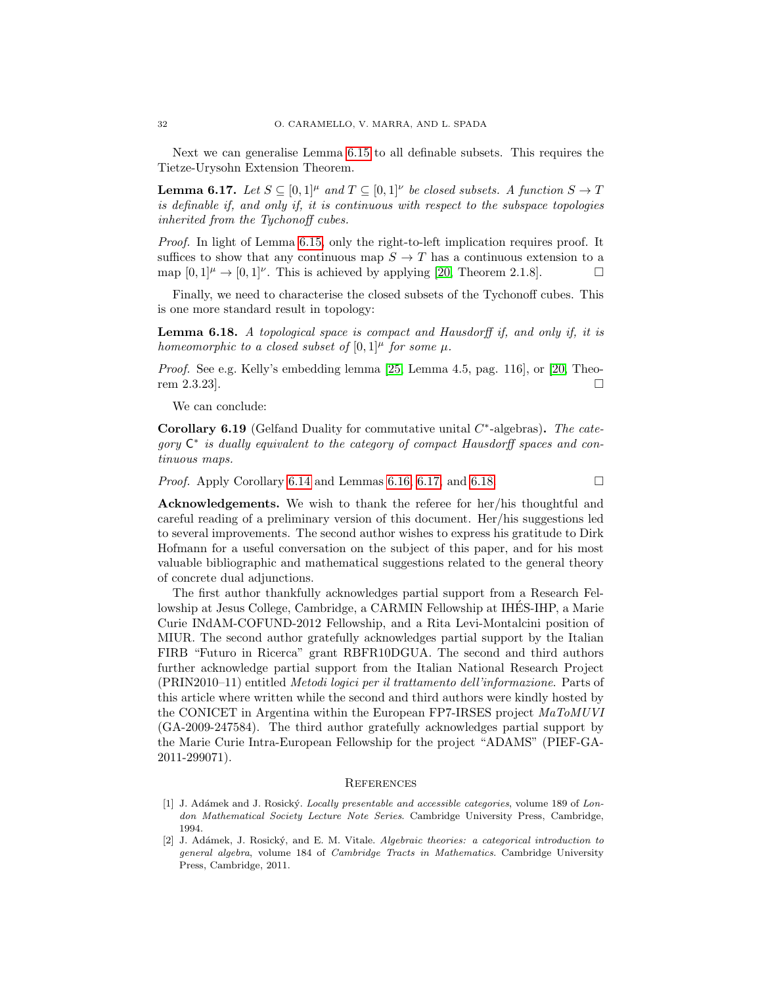Next we can generalise Lemma [6.15](#page-30-0) to all definable subsets. This requires the Tietze-Urysohn Extension Theorem.

<span id="page-31-2"></span>**Lemma 6.17.** Let  $S \subseteq [0,1]^{\mu}$  and  $T \subseteq [0,1]^{\nu}$  be closed subsets. A function  $S \to T$ is definable if, and only if, it is continuous with respect to the subspace topologies inherited from the Tychonoff cubes.

Proof. In light of Lemma [6.15,](#page-30-0) only the right-to-left implication requires proof. It suffices to show that any continuous map  $S \to T$  has a continuous extension to a map  $[0,1]^\mu \to [0,1]^\nu$ . This is achieved by applying [\[20,](#page-32-26) Theorem 2.1.8].

Finally, we need to characterise the closed subsets of the Tychonoff cubes. This is one more standard result in topology:

<span id="page-31-3"></span>Lemma 6.18. A topological space is compact and Hausdorff if, and only if, it is homeomorphic to a closed subset of  $[0,1]^{\mu}$  for some  $\mu$ .

Proof. See e.g. Kelly's embedding lemma [\[25,](#page-32-25) Lemma 4.5, pag. 116], or [\[20,](#page-32-26) Theorem 2.3.23.  $\Box$ 

We can conclude:

Corollary 6.19 (Gelfand Duality for commutative unital  $C^*$ -algebras). The category  $\mathsf{C}^*$  is dually equivalent to the category of compact Hausdorff spaces and continuous maps.

*Proof.* Apply Corollary [6.14](#page-30-1) and Lemmas [6.16,](#page-30-2) [6.17,](#page-31-2) and [6.18.](#page-31-3)

Acknowledgements. We wish to thank the referee for her/his thoughtful and careful reading of a preliminary version of this document. Her/his suggestions led to several improvements. The second author wishes to express his gratitude to Dirk Hofmann for a useful conversation on the subject of this paper, and for his most valuable bibliographic and mathematical suggestions related to the general theory of concrete dual adjunctions.

The first author thankfully acknowledges partial support from a Research Fellowship at Jesus College, Cambridge, a CARMIN Fellowship at IHES-IHP, a Marie ´ Curie INdAM-COFUND-2012 Fellowship, and a Rita Levi-Montalcini position of MIUR. The second author gratefully acknowledges partial support by the Italian FIRB "Futuro in Ricerca" grant RBFR10DGUA. The second and third authors further acknowledge partial support from the Italian National Research Project (PRIN2010–11) entitled Metodi logici per il trattamento dell'informazione. Parts of this article where written while the second and third authors were kindly hosted by the CONICET in Argentina within the European FP7-IRSES project MaToMUVI (GA-2009-247584). The third author gratefully acknowledges partial support by the Marie Curie Intra-European Fellowship for the project "ADAMS" (PIEF-GA-2011-299071).

### **REFERENCES**

- <span id="page-31-0"></span>[1] J. Adámek and J. Rosický. Locally presentable and accessible categories, volume 189 of London Mathematical Society Lecture Note Series. Cambridge University Press, Cambridge, 1994.
- <span id="page-31-1"></span>J. Adámek, J. Rosický, and E. M. Vitale. Algebraic theories: a categorical introduction to general algebra, volume 184 of Cambridge Tracts in Mathematics. Cambridge University Press, Cambridge, 2011.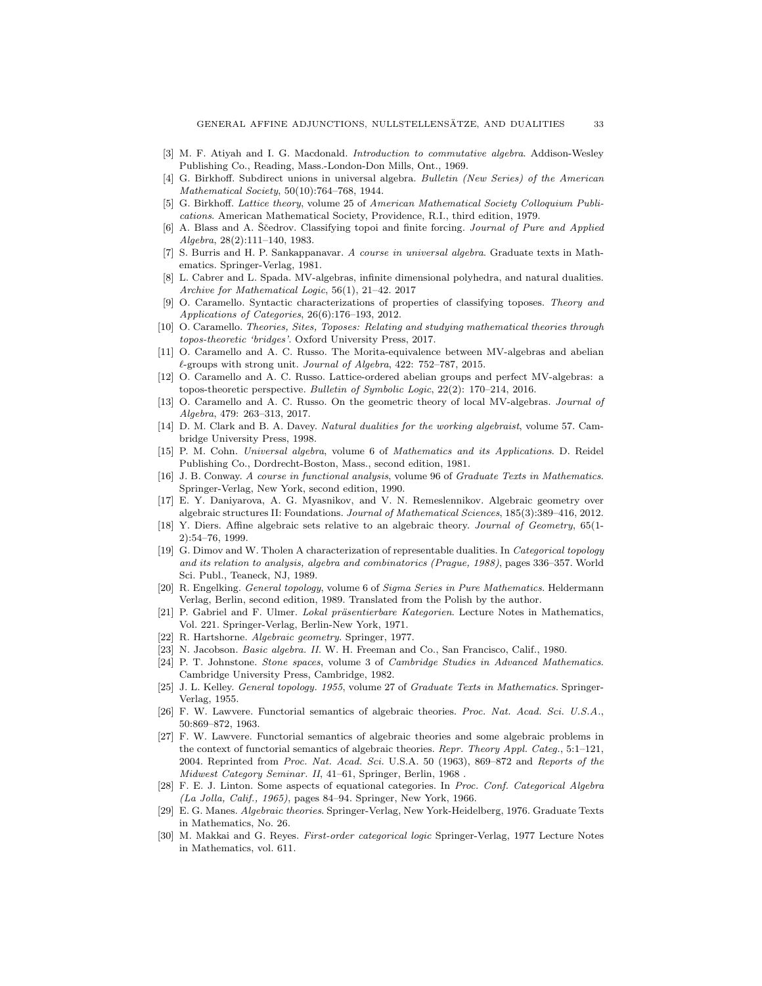- <span id="page-32-17"></span>[3] M. F. Atiyah and I. G. Macdonald. Introduction to commutative algebra. Addison-Wesley Publishing Co., Reading, Mass.-London-Don Mills, Ont., 1969.
- <span id="page-32-16"></span>[4] G. Birkhoff. Subdirect unions in universal algebra. Bulletin (New Series) of the American Mathematical Society, 50(10):764–768, 1944.
- <span id="page-32-1"></span>[5] G. Birkhoff. Lattice theory, volume 25 of American Mathematical Society Colloquium Publications. American Mathematical Society, Providence, R.I., third edition, 1979.
- <span id="page-32-20"></span>[6] A. Blass and A. Ščedrov. Classifying topoi and finite forcing. Journal of Pure and Applied Algebra, 28(2):111–140, 1983.
- <span id="page-32-4"></span>[7] S. Burris and H. P. Sankappanavar. A course in universal algebra. Graduate texts in Mathematics. Springer-Verlag, 1981.
- <span id="page-32-9"></span>[8] L. Cabrer and L. Spada. MV-algebras, infinite dimensional polyhedra, and natural dualities. Archive for Mathematical Logic, 56(1), 21–42. 2017
- <span id="page-32-24"></span>O. Caramello. Syntactic characterizations of properties of classifying toposes. Theory and Applications of Categories, 26(6):176–193, 2012.
- <span id="page-32-19"></span>[10] O. Caramello. Theories, Sites, Toposes: Relating and studying mathematical theories through topos-theoretic 'bridges'. Oxford University Press, 2017.
- <span id="page-32-21"></span>[11] O. Caramello and A. C. Russo. The Morita-equivalence between MV-algebras and abelian  $\ell$ -groups with strong unit. Journal of Algebra, 422: 752–787, 2015.
- <span id="page-32-22"></span>[12] O. Caramello and A. C. Russo. Lattice-ordered abelian groups and perfect MV-algebras: a topos-theoretic perspective. Bulletin of Symbolic Logic, 22(2): 170–214, 2016.
- <span id="page-32-23"></span>[13] O. Caramello and A. C. Russo. On the geometric theory of local MV-algebras. Journal of Algebra, 479: 263–313, 2017.
- <span id="page-32-11"></span>[14] D. M. Clark and B. A. Davey. Natural dualities for the working algebraist, volume 57. Cambridge University Press, 1998.
- <span id="page-32-2"></span>[15] P. M. Cohn. Universal algebra, volume 6 of Mathematics and its Applications. D. Reidel Publishing Co., Dordrecht-Boston, Mass., second edition, 1981.
- <span id="page-32-27"></span>[16] J. B. Conway. A course in functional analysis, volume 96 of Graduate Texts in Mathematics. Springer-Verlag, New York, second edition, 1990.
- <span id="page-32-8"></span>[17] E. Y. Daniyarova, A. G. Myasnikov, and V. N. Remeslennikov. Algebraic geometry over algebraic structures II: Foundations. Journal of Mathematical Sciences, 185(3):389–416, 2012.
- <span id="page-32-7"></span>[18] Y. Diers. Affine algebraic sets relative to an algebraic theory. Journal of Geometry, 65(1-2):54–76, 1999.
- <span id="page-32-12"></span>[19] G. Dimov and W. Tholen A characterization of representable dualities. In Categorical topology and its relation to analysis, algebra and combinatorics (Prague, 1988), pages 336–357. World Sci. Publ., Teaneck, NJ, 1989.
- <span id="page-32-26"></span>[20] R. Engelking. General topology, volume 6 of Sigma Series in Pure Mathematics. Heldermann Verlag, Berlin, second edition, 1989. Translated from the Polish by the author.
- <span id="page-32-14"></span>[21] P. Gabriel and F. Ulmer. Lokal präsentierbare Kategorien. Lecture Notes in Mathematics, Vol. 221. Springer-Verlag, Berlin-New York, 1971.
- <span id="page-32-0"></span>[22] R. Hartshorne. Algebraic geometry. Springer, 1977.
- <span id="page-32-3"></span>[23] N. Jacobson. Basic algebra. II. W. H. Freeman and Co., San Francisco, Calif., 1980.
- <span id="page-32-10"></span>[24] P. T. Johnstone. Stone spaces, volume 3 of Cambridge Studies in Advanced Mathematics. Cambridge University Press, Cambridge, 1982.
- <span id="page-32-25"></span>[25] J. L. Kelley. General topology. 1955, volume 27 of Graduate Texts in Mathematics. Springer-Verlag, 1955.
- <span id="page-32-13"></span>[26] F. W. Lawvere. Functorial semantics of algebraic theories. Proc. Nat. Acad. Sci. U.S.A., 50:869–872, 1963.
- <span id="page-32-6"></span>[27] F. W. Lawvere. Functorial semantics of algebraic theories and some algebraic problems in the context of functorial semantics of algebraic theories. Repr. Theory Appl. Categ., 5:1–121, 2004. Reprinted from Proc. Nat. Acad. Sci. U.S.A. 50 (1963), 869–872 and Reports of the Midwest Category Seminar. II, 41–61, Springer, Berlin, 1968 .
- <span id="page-32-5"></span>[28] F. E. J. Linton. Some aspects of equational categories. In Proc. Conf. Categorical Algebra (La Jolla, Calif., 1965), pages 84–94. Springer, New York, 1966.
- <span id="page-32-15"></span>[29] E. G. Manes. Algebraic theories. Springer-Verlag, New York-Heidelberg, 1976. Graduate Texts in Mathematics, No. 26.
- <span id="page-32-18"></span>[30] M. Makkai and G. Reyes. First-order categorical logic Springer-Verlag, 1977 Lecture Notes in Mathematics, vol. 611.